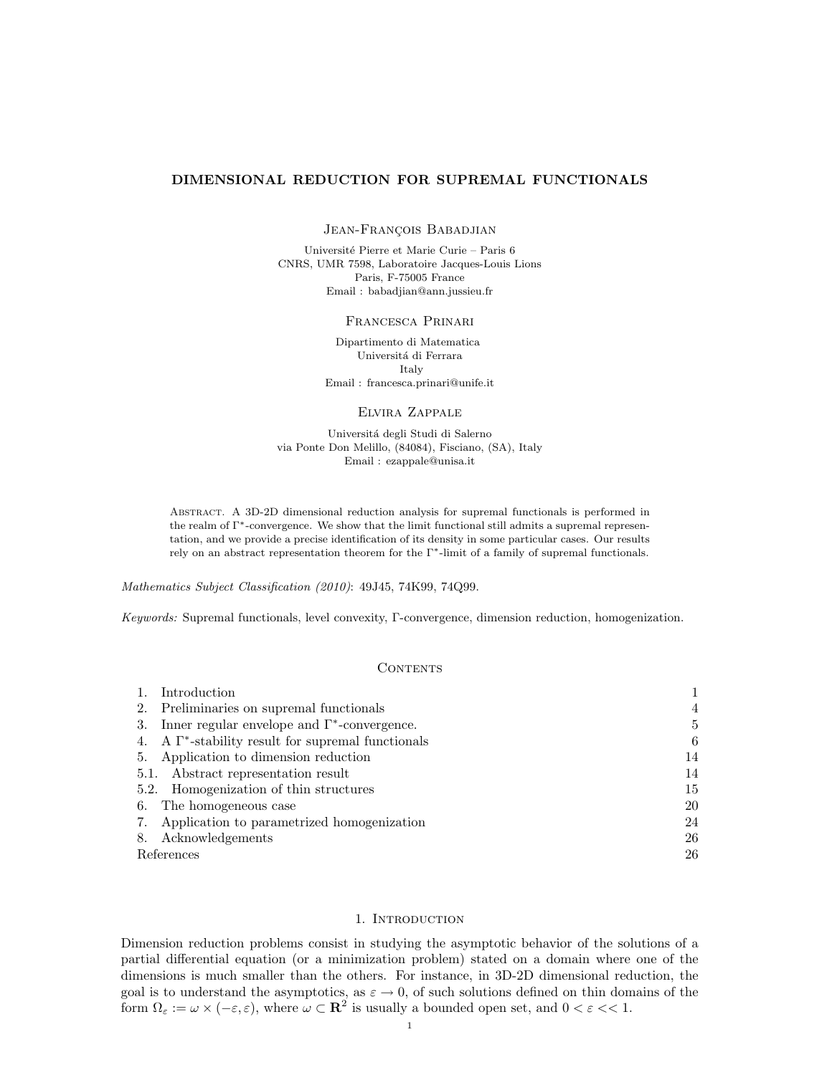## DIMENSIONAL REDUCTION FOR SUPREMAL FUNCTIONALS

JEAN-FRANÇOIS BABADJIAN

Université Pierre et Marie Curie – Paris 6 CNRS, UMR 7598, Laboratoire Jacques-Louis Lions Paris, F-75005 France Email : babadjian@ann.jussieu.fr

### Francesca Prinari

Dipartimento di Matematica Universitá di Ferrara Italy Email : francesca.prinari@unife.it

### Elvira Zappale

Universit´a degli Studi di Salerno via Ponte Don Melillo, (84084), Fisciano, (SA), Italy Email : ezappale@unisa.it

Abstract. A 3D-2D dimensional reduction analysis for supremal functionals is performed in the realm of Γ∗-convergence. We show that the limit functional still admits a supremal representation, and we provide a precise identification of its density in some particular cases. Our results rely on an abstract representation theorem for the Γ∗-limit of a family of supremal functionals.

Mathematics Subject Classification (2010): 49J45, 74K99, 74Q99.

Keywords: Supremal functionals, level convexity, Γ-convergence, dimension reduction, homogenization.

### **CONTENTS**

| Introduction                                               |                |
|------------------------------------------------------------|----------------|
| 2. Preliminaries on supremal functionals                   | $\overline{4}$ |
| 3. Inner regular envelope and $\Gamma^*$ -convergence.     | 5              |
| 4. A $\Gamma^*$ -stability result for supremal functionals | 6              |
| 5. Application to dimension reduction                      | 14             |
| 5.1. Abstract representation result                        | 14             |
| 5.2. Homogenization of thin structures                     | 15             |
| 6. The homogeneous case                                    | 20             |
| 7. Application to parametrized homogenization              | 24             |
| Acknowledgements<br>8.                                     | 26             |
| References                                                 | 26             |

### 1. INTRODUCTION

Dimension reduction problems consist in studying the asymptotic behavior of the solutions of a partial differential equation (or a minimization problem) stated on a domain where one of the dimensions is much smaller than the others. For instance, in 3D-2D dimensional reduction, the goal is to understand the asymptotics, as  $\varepsilon \to 0$ , of such solutions defined on thin domains of the form  $\Omega_{\varepsilon} := \omega \times (-\varepsilon, \varepsilon)$ , where  $\omega \subset \mathbb{R}^2$  is usually a bounded open set, and  $0 < \varepsilon \ll 1$ .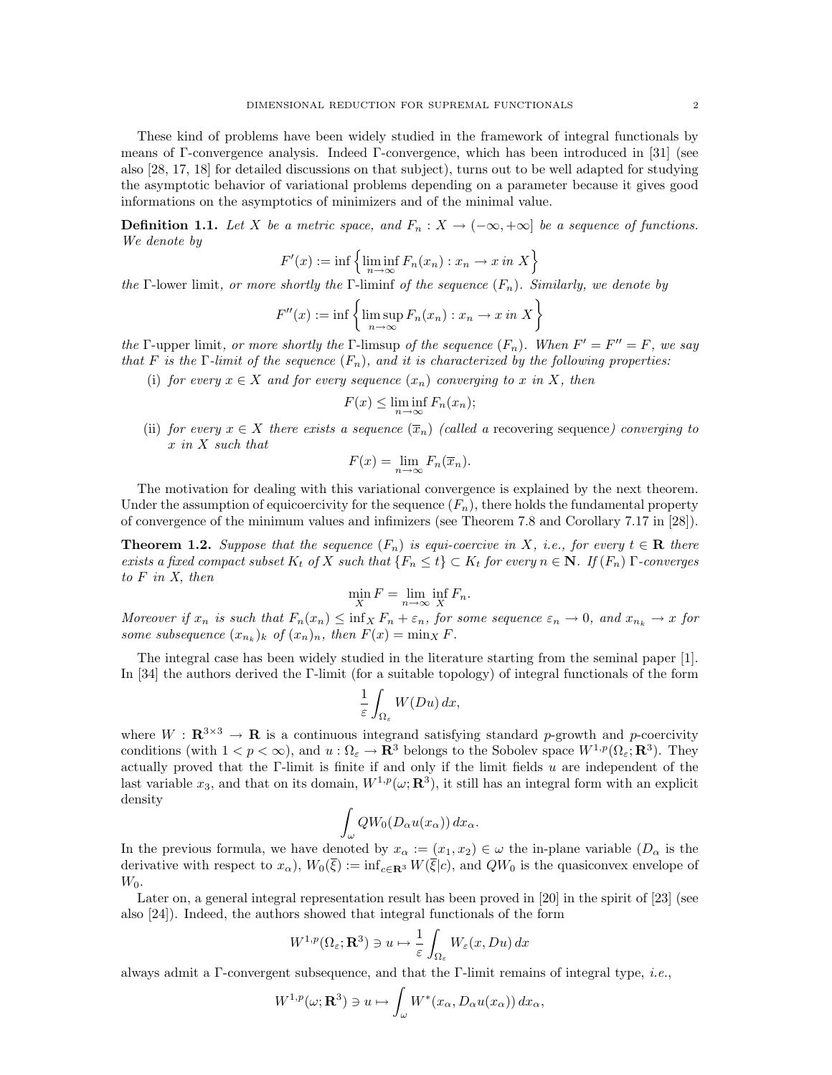These kind of problems have been widely studied in the framework of integral functionals by means of Γ-convergence analysis. Indeed Γ-convergence, which has been introduced in [31] (see also [28, 17, 18] for detailed discussions on that subject), turns out to be well adapted for studying the asymptotic behavior of variational problems depending on a parameter because it gives good informations on the asymptotics of minimizers and of the minimal value.

**Definition 1.1.** Let X be a metric space, and  $F_n : X \to (-\infty, +\infty]$  be a sequence of functions. We denote by

$$
F'(x) := \inf \left\{ \liminf_{n \to \infty} F_n(x_n) : x_n \to x \text{ in } X \right\}
$$

the Γ-lower limit, or more shortly the Γ-liminf of the sequence  $(F_n)$ . Similarly, we denote by

$$
F''(x) := \inf \left\{ \limsup_{n \to \infty} F_n(x_n) : x_n \to x \text{ in } X \right\}
$$

the Γ-upper limit, or more shortly the Γ-limsup of the sequence  $(F_n)$ . When  $F' = F'' = F$ , we say that F is the Γ-limit of the sequence  $(F_n)$ , and it is characterized by the following properties:

(i) for every  $x \in X$  and for every sequence  $(x_n)$  converging to x in X, then

$$
F(x) \le \liminf_{n \to \infty} F_n(x_n);
$$

(ii) for every  $x \in X$  there exists a sequence  $(\overline{x}_n)$  (called a recovering sequence) converging to x in X such that

$$
F(x) = \lim_{n \to \infty} F_n(\overline{x}_n).
$$

The motivation for dealing with this variational convergence is explained by the next theorem. Under the assumption of equicoercivity for the sequence  $(F_n)$ , there holds the fundamental property of convergence of the minimum values and infimizers (see Theorem 7.8 and Corollary 7.17 in [28]).

**Theorem 1.2.** Suppose that the sequence  $(F_n)$  is equi-coercive in X, i.e., for every  $t \in \mathbf{R}$  there exists a fixed compact subset  $K_t$  of X such that  $\{F_n \leq t\} \subset K_t$  for every  $n \in \mathbb{N}$ . If  $(F_n)$   $\Gamma$ -converges to F in X, then

$$
\min_{X} F = \lim_{n \to \infty} \inf_{X} F_n.
$$

Moreover if  $x_n$  is such that  $F_n(x_n) \leq \inf_X F_n + \varepsilon_n$ , for some sequence  $\varepsilon_n \to 0$ , and  $x_{n_k} \to x$  for some subsequence  $(x_{n_k})_k$  of  $(x_n)_n$ , then  $F(x) = \min_X F$ .

The integral case has been widely studied in the literature starting from the seminal paper [1]. In [34] the authors derived the Γ-limit (for a suitable topology) of integral functionals of the form

$$
\frac{1}{\varepsilon} \int_{\Omega_{\varepsilon}} W(Du) \, dx,
$$

where  $W : \mathbf{R}^{3 \times 3} \to \mathbf{R}$  is a continuous integrand satisfying standard p-growth and p-coercivity conditions (with  $1 < p < \infty$ ), and  $u : \Omega_{\varepsilon} \to \mathbb{R}^3$  belongs to the Sobolev space  $W^{1,p}(\Omega_{\varepsilon}; \mathbb{R}^3)$ . They actually proved that the Γ-limit is finite if and only if the limit fields  $u$  are independent of the last variable  $x_3$ , and that on its domain,  $W^{1,p}(\omega; \mathbf{R}^3)$ , it still has an integral form with an explicit density

$$
\int_{\omega} QW_0(D_{\alpha}u(x_{\alpha})) dx_{\alpha}.
$$

In the previous formula, we have denoted by  $x_\alpha := (x_1, x_2) \in \omega$  the in-plane variable  $(D_\alpha$  is the derivative with respect to  $x_\alpha$ ,  $W_0(\overline{\xi}) := \inf_{c \in \mathbf{R}^3} W(\overline{\xi}|c)$ , and  $QW_0$  is the quasiconvex envelope of  $W_0$ .

Later on, a general integral representation result has been proved in [20] in the spirit of [23] (see also [24]). Indeed, the authors showed that integral functionals of the form

$$
W^{1,p}(\Omega_{\varepsilon};\mathbf{R}^3) \ni u \mapsto \frac{1}{\varepsilon} \int_{\Omega_{\varepsilon}} W_{\varepsilon}(x,Du) dx
$$

always admit a Γ-convergent subsequence, and that the Γ-limit remains of integral type, *i.e.*,

$$
W^{1,p}(\omega; \mathbf{R}^3) \ni u \mapsto \int_{\omega} W^*(x_{\alpha}, D_{\alpha}u(x_{\alpha})) dx_{\alpha},
$$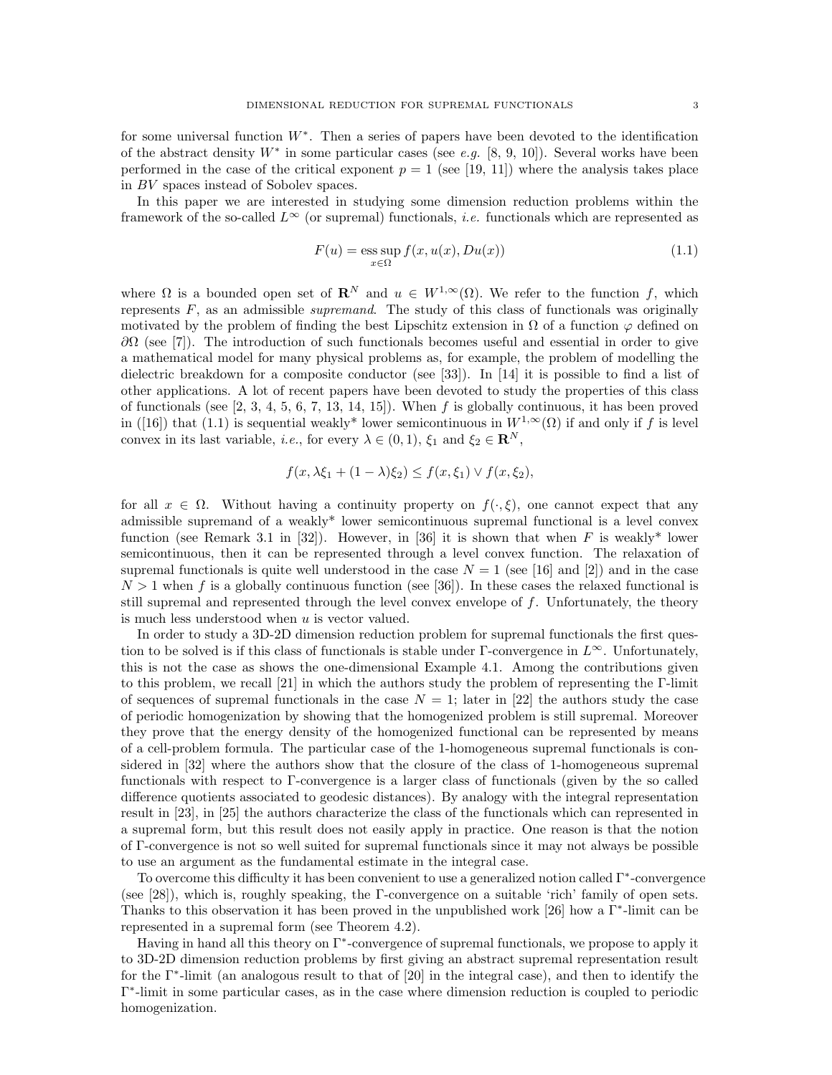for some universal function  $W^*$ . Then a series of papers have been devoted to the identification of the abstract density  $W^*$  in some particular cases (see e.g. [8, 9, 10]). Several works have been performed in the case of the critical exponent  $p = 1$  (see [19, 11]) where the analysis takes place in BV spaces instead of Sobolev spaces.

In this paper we are interested in studying some dimension reduction problems within the framework of the so-called  $L^{\infty}$  (or supremal) functionals, *i.e.* functionals which are represented as

$$
F(u) = \operatorname{ess} \sup_{x \in \Omega} f(x, u(x), Du(x))
$$
\n(1.1)

where  $\Omega$  is a bounded open set of  $\mathbf{R}^N$  and  $u \in W^{1,\infty}(\Omega)$ . We refer to the function f, which represents  $F$ , as an admissible *supremand*. The study of this class of functionals was originally motivated by the problem of finding the best Lipschitz extension in  $\Omega$  of a function  $\varphi$  defined on  $\partial\Omega$  (see [7]). The introduction of such functionals becomes useful and essential in order to give a mathematical model for many physical problems as, for example, the problem of modelling the dielectric breakdown for a composite conductor (see [33]). In [14] it is possible to find a list of other applications. A lot of recent papers have been devoted to study the properties of this class of functionals (see  $[2, 3, 4, 5, 6, 7, 13, 14, 15]$ ). When f is globally continuous, it has been proved in ([16]) that (1.1) is sequential weakly\* lower semicontinuous in  $W^{1,\infty}(\Omega)$  if and only if f is level convex in its last variable, *i.e.*, for every  $\lambda \in (0,1)$ ,  $\xi_1$  and  $\xi_2 \in \mathbb{R}^N$ ,

$$
f(x, \lambda \xi_1 + (1 - \lambda)\xi_2) \le f(x, \xi_1) \vee f(x, \xi_2),
$$

for all  $x \in \Omega$ . Without having a continuity property on  $f(\cdot, \xi)$ , one cannot expect that any admissible supremand of a weakly\* lower semicontinuous supremal functional is a level convex function (see Remark 3.1 in [32]). However, in [36] it is shown that when F is weakly\* lower semicontinuous, then it can be represented through a level convex function. The relaxation of supremal functionals is quite well understood in the case  $N = 1$  (see [16] and [2]) and in the case  $N > 1$  when f is a globally continuous function (see [36]). In these cases the relaxed functional is still supremal and represented through the level convex envelope of f. Unfortunately, the theory is much less understood when  $u$  is vector valued.

In order to study a 3D-2D dimension reduction problem for supremal functionals the first question to be solved is if this class of functionals is stable under Γ-convergence in  $L^{\infty}$ . Unfortunately, this is not the case as shows the one-dimensional Example 4.1. Among the contributions given to this problem, we recall [21] in which the authors study the problem of representing the Γ-limit of sequences of supremal functionals in the case  $N = 1$ ; later in [22] the authors study the case of periodic homogenization by showing that the homogenized problem is still supremal. Moreover they prove that the energy density of the homogenized functional can be represented by means of a cell-problem formula. The particular case of the 1-homogeneous supremal functionals is considered in [32] where the authors show that the closure of the class of 1-homogeneous supremal functionals with respect to Γ-convergence is a larger class of functionals (given by the so called difference quotients associated to geodesic distances). By analogy with the integral representation result in [23], in [25] the authors characterize the class of the functionals which can represented in a supremal form, but this result does not easily apply in practice. One reason is that the notion of Γ-convergence is not so well suited for supremal functionals since it may not always be possible to use an argument as the fundamental estimate in the integral case.

To overcome this difficulty it has been convenient to use a generalized notion called Γ<sup>∗</sup> -convergence (see [28]), which is, roughly speaking, the Γ-convergence on a suitable 'rich' family of open sets. Thanks to this observation it has been proved in the unpublished work [26] how a  $\Gamma^*$ -limit can be represented in a supremal form (see Theorem 4.2).

Having in hand all this theory on Γ<sup>∗</sup> -convergence of supremal functionals, we propose to apply it to 3D-2D dimension reduction problems by first giving an abstract supremal representation result for the Γ<sup>∗</sup> -limit (an analogous result to that of [20] in the integral case), and then to identify the Γ ∗ -limit in some particular cases, as in the case where dimension reduction is coupled to periodic homogenization.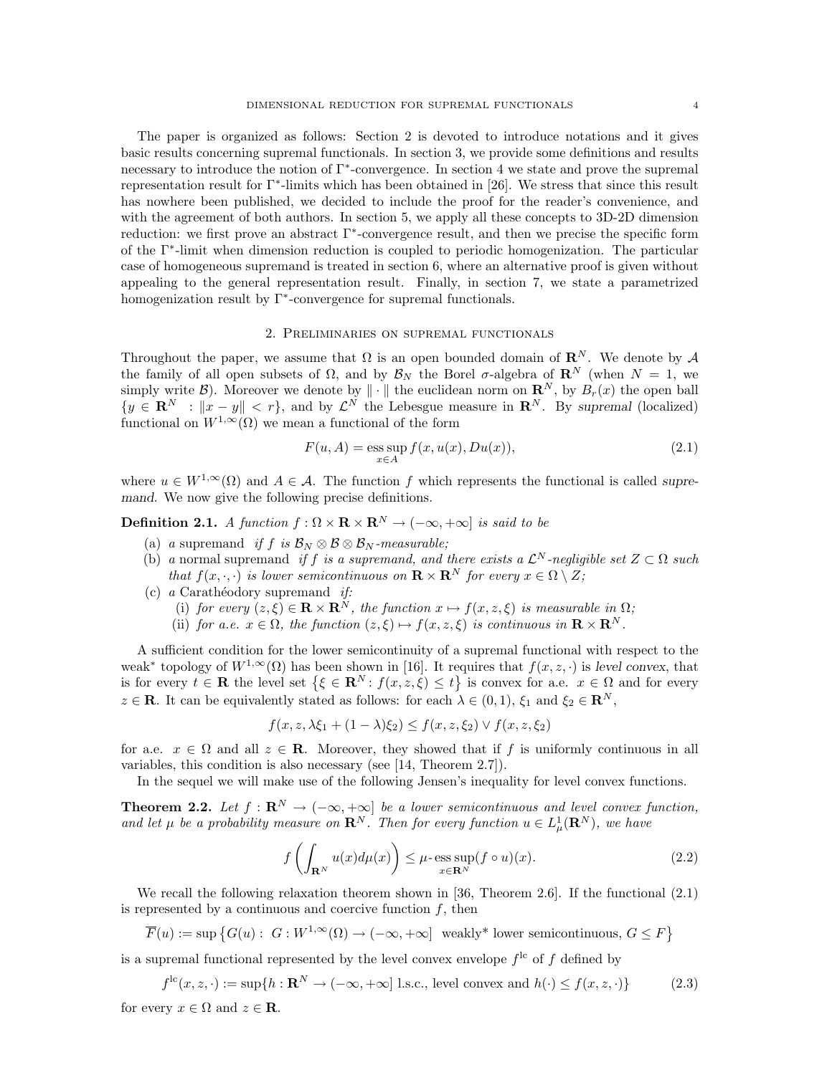The paper is organized as follows: Section 2 is devoted to introduce notations and it gives basic results concerning supremal functionals. In section 3, we provide some definitions and results necessary to introduce the notion of Γ<sup>∗</sup> -convergence. In section 4 we state and prove the supremal representation result for Γ<sup>∗</sup> -limits which has been obtained in [26]. We stress that since this result has nowhere been published, we decided to include the proof for the reader's convenience, and with the agreement of both authors. In section 5, we apply all these concepts to 3D-2D dimension reduction: we first prove an abstract Γ<sup>∗</sup> -convergence result, and then we precise the specific form of the Γ<sup>∗</sup> -limit when dimension reduction is coupled to periodic homogenization. The particular case of homogeneous supremand is treated in section 6, where an alternative proof is given without appealing to the general representation result. Finally, in section 7, we state a parametrized homogenization result by  $\Gamma^*$ -convergence for supremal functionals.

### 2. Preliminaries on supremal functionals

Throughout the paper, we assume that  $\Omega$  is an open bounded domain of  $\mathbb{R}^N$ . We denote by A the family of all open subsets of  $\Omega$ , and by  $\mathcal{B}_N$  the Borel  $\sigma$ -algebra of  $\mathbb{R}^N$  (when  $N = 1$ , we simply write  $\mathcal{B}$ ). Moreover we denote by  $\|\cdot\|$  the euclidean norm on  $\mathbb{R}^N$ , by  $B_r(x)$  the open ball  $\{y \in \mathbf{R}^N : ||x - y|| < r\}$ , and by  $\mathcal{L}^N$  the Lebesgue measure in  $\mathbf{R}^N$ . By supremal (localized) functional on  $W^{1,\infty}(\Omega)$  we mean a functional of the form

$$
F(u, A) = \operatorname*{ess\,sup}_{x \in A} f(x, u(x), Du(x)),
$$
\n(2.1)

where  $u \in W^{1,\infty}(\Omega)$  and  $A \in \mathcal{A}$ . The function f which represents the functional is called supremand. We now give the following precise definitions.

**Definition 2.1.** A function  $f : \Omega \times \mathbf{R} \times \mathbf{R}^N \to (-\infty, +\infty]$  is said to be

- (a) a supremand if f is  $\mathcal{B}_N \otimes \mathcal{B} \otimes \mathcal{B}_N$ -measurable;
- (b) a normal supremand if f is a supremand, and there exists a  $\mathcal{L}^N$ -negligible set  $Z \subset \Omega$  such that  $f(x, \cdot, \cdot)$  is lower semicontinuous on  $\mathbf{R} \times \mathbf{R}^N$  for every  $x \in \Omega \setminus Z$ ;
- (c)  $a$  Carathéodory supremand *if:* 
	- (i) for every  $(z, \xi) \in \mathbf{R} \times \mathbf{R}^{N}$ , the function  $x \mapsto f(x, z, \xi)$  is measurable in  $\Omega$ ;
	- (ii) for a.e.  $x \in \Omega$ , the function  $(z, \xi) \mapsto f(x, z, \xi)$  is continuous in  $\mathbb{R} \times \mathbb{R}^{N}$ .

A sufficient condition for the lower semicontinuity of a supremal functional with respect to the weak<sup>∗</sup> topology of  $W^{1,\infty}(\Omega)$  has been shown in [16]. It requires that  $f(x, z, \cdot)$  is level convex, that is for every  $t \in \mathbf{R}$  the level set  $\{\xi \in \mathbf{R}^N : f(x, z, \xi) \leq t\}$  is convex for a.e.  $x \in \Omega$  and for every  $z \in \mathbf{R}$ . It can be equivalently stated as follows: for each  $\lambda \in (0,1)$ ,  $\xi_1$  and  $\xi_2 \in \mathbf{R}^N$ ,

$$
f(x, z, \lambda \xi_1 + (1 - \lambda)\xi_2) \le f(x, z, \xi_2) \vee f(x, z, \xi_2)
$$

for a.e.  $x \in \Omega$  and all  $z \in \mathbf{R}$ . Moreover, they showed that if f is uniformly continuous in all variables, this condition is also necessary (see [14, Theorem 2.7]).

In the sequel we will make use of the following Jensen's inequality for level convex functions.

**Theorem 2.2.** Let  $f : \mathbf{R}^N \to (-\infty, +\infty]$  be a lower semicontinuous and level convex function, and let  $\mu$  be a probability measure on  $\mathbf{R}^N$ . Then for every function  $u \in L^1_{\mu}(\mathbf{R}^N)$ , we have

$$
f\left(\int_{\mathbf{R}^N} u(x) d\mu(x)\right) \le \mu \cdot \underset{x \in \mathbf{R}^N}{\text{ess sup}} (f \circ u)(x). \tag{2.2}
$$

We recall the following relaxation theorem shown in [36, Theorem 2.6]. If the functional  $(2.1)$ is represented by a continuous and coercive function  $f$ , then

$$
\overline{F}(u) := \sup \left\{ G(u) : G : W^{1,\infty}(\Omega) \to (-\infty, +\infty] \text{ weakly* lower semicontinuous, } G \le F \right\}
$$

is a supremal functional represented by the level convex envelope  $f^{\text{lc}}$  of f defined by

$$
f^{\text{lc}}(x, z, \cdot) := \sup\{h : \mathbf{R}^N \to (-\infty, +\infty] \text{ l.s.c., level convex and } h(\cdot) \le f(x, z, \cdot)\}\tag{2.3}
$$

for every  $x \in \Omega$  and  $z \in \mathbf{R}$ .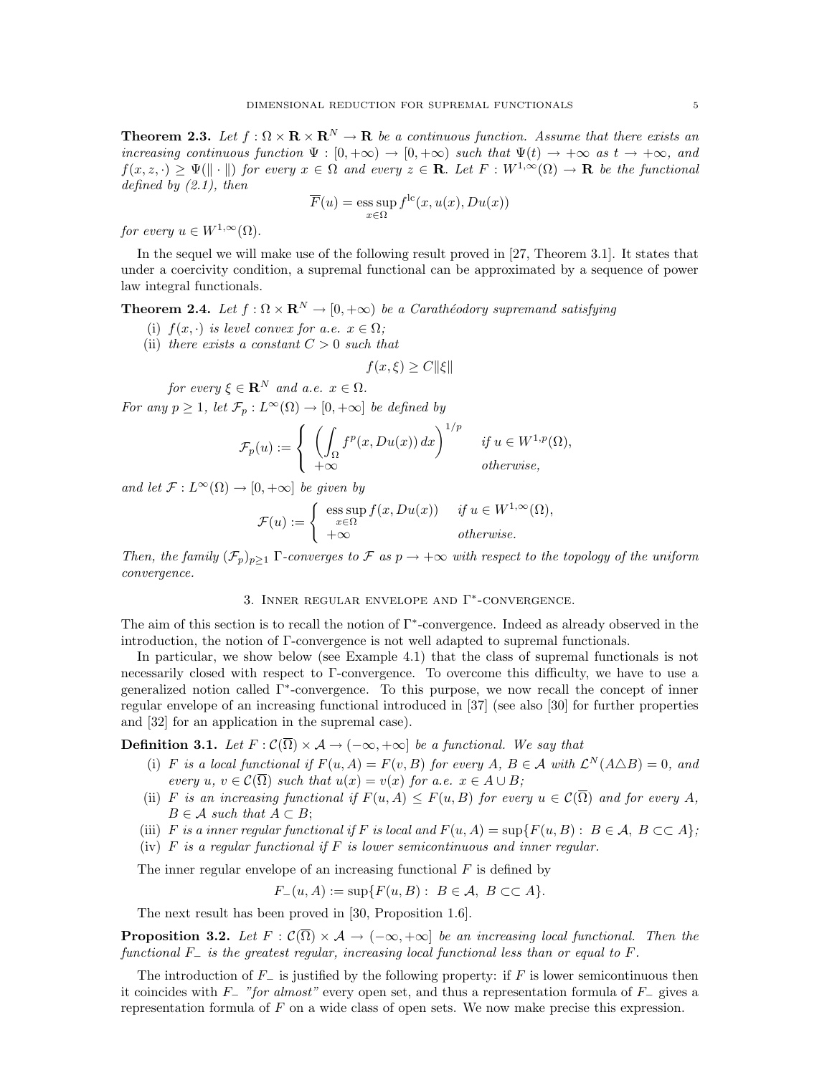**Theorem 2.3.** Let  $f : \Omega \times \mathbf{R} \times \mathbf{R}^N \to \mathbf{R}$  be a continuous function. Assume that there exists an increasing continuous function  $\Psi : [0, +\infty) \to [0, +\infty)$  such that  $\Psi(t) \to +\infty$  as  $t \to +\infty$ , and  $f(x, z, \cdot) > \Psi(\|\cdot\|)$  for every  $x \in \Omega$  and every  $z \in \mathbf{R}$ . Let  $F : W^{1,\infty}(\Omega) \to \mathbf{R}$  be the functional defined by  $(2.1)$ , then

$$
\overline{F}(u) = \operatorname*{ess\,sup}_{x \in \Omega} f^{\text{lc}}(x, u(x), Du(x))
$$

for every  $u \in W^{1,\infty}(\Omega)$ .

In the sequel we will make use of the following result proved in [27, Theorem 3.1]. It states that under a coercivity condition, a supremal functional can be approximated by a sequence of power law integral functionals.

**Theorem 2.4.** Let  $f : \Omega \times \mathbb{R}^N \to [0, +\infty)$  be a Carathéodory supremand satisfying

- (i)  $f(x, \cdot)$  is level convex for a.e.  $x \in \Omega$ ;
- (ii) there exists a constant  $C > 0$  such that

$$
f(x,\xi) \ge C \|\xi\|
$$

for every  $\xi \in \mathbf{R}^N$  and a.e.  $x \in \Omega$ . For any  $p \geq 1$ , let  $\mathcal{F}_p : L^{\infty}(\Omega) \to [0, +\infty]$  be defined by

$$
\mathcal{F}_p(u) := \begin{cases} \left( \int_{\Omega} f^p(x, Du(x)) dx \right)^{1/p} & \text{if } u \in W^{1,p}(\Omega), \\ +\infty & \text{otherwise,} \end{cases}
$$

and let  $\mathcal{F}: L^{\infty}(\Omega) \to [0, +\infty]$  be given by

$$
\mathcal{F}(u) := \begin{cases} \n\operatorname{ess} \sup_{x \in \Omega} f(x, Du(x)) & \text{if } u \in W^{1,\infty}(\Omega), \\ \n+ \infty & \text{otherwise.} \n\end{cases}
$$

Then, the family  $(\mathcal{F}_p)_{p>1}$  Γ-converges to F as  $p \to +\infty$  with respect to the topology of the uniform convergence.

# 3. INNER REGULAR ENVELOPE AND  $\Gamma^*$ -CONVERGENCE.

The aim of this section is to recall the notion of Γ<sup>∗</sup> -convergence. Indeed as already observed in the introduction, the notion of Γ-convergence is not well adapted to supremal functionals.

In particular, we show below (see Example 4.1) that the class of supremal functionals is not necessarily closed with respect to Γ-convergence. To overcome this difficulty, we have to use a generalized notion called Γ<sup>∗</sup> -convergence. To this purpose, we now recall the concept of inner regular envelope of an increasing functional introduced in [37] (see also [30] for further properties and [32] for an application in the supremal case).

**Definition 3.1.** Let  $F : \mathcal{C}(\overline{\Omega}) \times \mathcal{A} \to (-\infty, +\infty]$  be a functional. We say that

- (i) F is a local functional if  $F(u, A) = F(v, B)$  for every A,  $B \in \mathcal{A}$  with  $\mathcal{L}^N(A \triangle B) = 0$ , and every u,  $v \in \mathcal{C}(\overline{\Omega})$  such that  $u(x) = v(x)$  for a.e.  $x \in A \cup B$ ;
- (ii) F is an increasing functional if  $F(u, A) \leq F(u, B)$  for every  $u \in C(\overline{\Omega})$  and for every A,  $B \in \mathcal{A}$  such that  $A \subset B$ ;
- (iii) F is a inner regular functional if F is local and  $F(u, A) = \sup\{F(u, B): B \in \mathcal{A}, B \subset\subset A\}$ ;
- (iv)  $F$  is a regular functional if  $F$  is lower semicontinuous and inner regular.

The inner regular envelope of an increasing functional  $F$  is defined by

$$
F_{-}(u, A) := \sup\{F(u, B): B \in \mathcal{A}, B \subset\subset A\}.
$$

The next result has been proved in [30, Proposition 1.6].

**Proposition 3.2.** Let  $F : \mathcal{C}(\overline{\Omega}) \times \mathcal{A} \to (-\infty, +\infty]$  be an increasing local functional. Then the functional  $F_-\$  is the greatest regular, increasing local functional less than or equal to F.

The introduction of  $F_-\$  is justified by the following property: if F is lower semicontinuous then it coincides with  $F_$  "for almost" every open set, and thus a representation formula of  $F_$  gives a representation formula of  $F$  on a wide class of open sets. We now make precise this expression.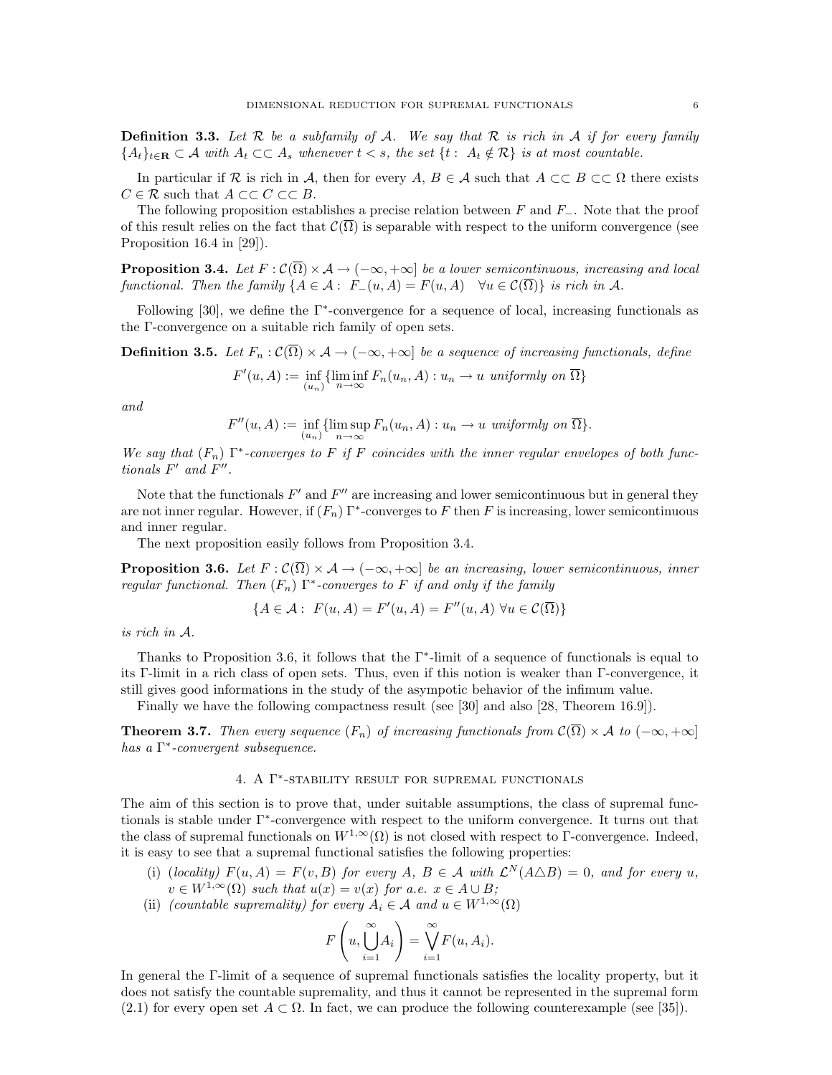**Definition 3.3.** Let  $\mathcal R$  be a subfamily of  $\mathcal A$ . We say that  $\mathcal R$  is rich in  $\mathcal A$  if for every family  ${A_t}_{t\in\mathbf{R}} \subset \mathcal{A}$  with  $A_t \subset \subset A_s$  whenever  $t < s$ , the set  $\{t : A_t \notin \mathcal{R}\}\$ is at most countable.

In particular if R is rich in A, then for every A,  $B \in \mathcal{A}$  such that  $A \subset\subset B \subset\subset \Omega$  there exists  $C \in \mathcal{R}$  such that  $A \subset\subset C \subset\subset B$ .

The following proposition establishes a precise relation between  $F$  and  $F_-\$ . Note that the proof of this result relies on the fact that  $\mathcal{C}(\overline{\Omega})$  is separable with respect to the uniform convergence (see Proposition 16.4 in [29]).

**Proposition 3.4.** Let  $F : \mathcal{C}(\overline{\Omega}) \times \mathcal{A} \to (-\infty, +\infty]$  be a lower semicontinuous, increasing and local functional. Then the family  $\{A \in \mathcal{A} : F_-(u, A) = F(u, A) \quad \forall u \in \mathcal{C}(\overline{\Omega})\}$  is rich in A.

Following [30], we define the  $\Gamma^*$ -convergence for a sequence of local, increasing functionals as the Γ-convergence on a suitable rich family of open sets.

**Definition 3.5.** Let  $F_n : \mathcal{C}(\overline{\Omega}) \times \mathcal{A} \to (-\infty, +\infty]$  be a sequence of increasing functionals, define

$$
F'(u, A) := \inf_{(u_n)} \{ \liminf_{n \to \infty} F_n(u_n, A) : u_n \to u \text{ uniformly on } \overline{\Omega} \}
$$

and

$$
F''(u, A) := \inf_{(u_n)} \{ \limsup_{n \to \infty} F_n(u_n, A) : u_n \to u \text{ uniformly on } \overline{\Omega} \}.
$$

We say that  $(F_n)$   $\Gamma^*$ -converges to F if F coincides with the inner regular envelopes of both functionals  $F'$  and  $F''$ .

Note that the functionals  $F'$  and  $F''$  are increasing and lower semicontinuous but in general they are not inner regular. However, if  $(F_n) \Gamma^*$ -converges to F then F is increasing, lower semicontinuous and inner regular.

The next proposition easily follows from Proposition 3.4.

**Proposition 3.6.** Let  $F : \mathcal{C}(\overline{\Omega}) \times \mathcal{A} \to (-\infty, +\infty]$  be an increasing, lower semicontinuous, inner regular functional. Then  $(F_n)$   $\Gamma^*$ -converges to F if and only if the family

$$
\{A \in \mathcal{A} : F(u, A) = F'(u, A) = F''(u, A) \,\forall u \in \mathcal{C}(\overline{\Omega})\}
$$

is rich in A.

Thanks to Proposition 3.6, it follows that the Γ<sup>∗</sup> -limit of a sequence of functionals is equal to its Γ-limit in a rich class of open sets. Thus, even if this notion is weaker than Γ-convergence, it still gives good informations in the study of the asympotic behavior of the infimum value.

Finally we have the following compactness result (see [30] and also [28, Theorem 16.9]).

**Theorem 3.7.** Then every sequence  $(F_n)$  of increasing functionals from  $\mathcal{C}(\overline{\Omega}) \times \mathcal{A}$  to  $(-\infty, +\infty]$ has a Γ ∗ -convergent subsequence.

# 4. A Γ ∗ -stability result for supremal functionals

The aim of this section is to prove that, under suitable assumptions, the class of supremal functionals is stable under Γ<sup>∗</sup> -convergence with respect to the uniform convergence. It turns out that the class of supremal functionals on  $W^{1,\infty}(\Omega)$  is not closed with respect to Γ-convergence. Indeed, it is easy to see that a supremal functional satisfies the following properties:

- (i) (locality)  $F(u, A) = F(v, B)$  for every A,  $B \in \mathcal{A}$  with  $\mathcal{L}^N(A \triangle B) = 0$ , and for every u,  $v \in W^{1,\infty}(\Omega)$  such that  $u(x) = v(x)$  for a.e.  $x \in A \cup B$ ;
- (ii) (countable supremality) for every  $A_i \in \mathcal{A}$  and  $u \in W^{1,\infty}(\Omega)$

$$
F\left(u, \bigcup_{i=1}^{\infty} A_i\right) = \bigvee_{i=1}^{\infty} F(u, A_i).
$$

In general the Γ-limit of a sequence of supremal functionals satisfies the locality property, but it does not satisfy the countable supremality, and thus it cannot be represented in the supremal form (2.1) for every open set  $A \subset \Omega$ . In fact, we can produce the following counterexample (see [35]).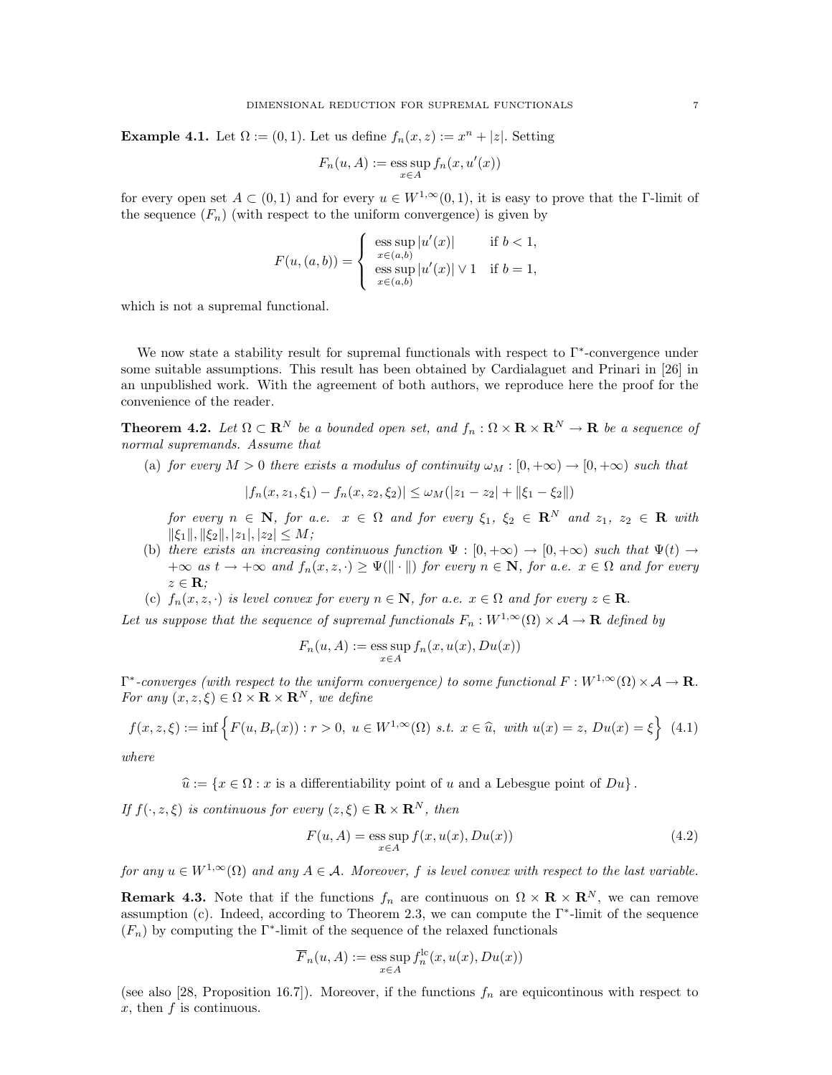Example 4.1. Let  $\Omega := (0,1)$ . Let us define  $f_n(x, z) := x^n + |z|$ . Setting

$$
F_n(u, A) := \operatorname{ess} \sup_{x \in A} f_n(x, u'(x))
$$

for every open set  $A \subset (0,1)$  and for every  $u \in W^{1,\infty}(0,1)$ , it is easy to prove that the Γ-limit of the sequence  $(F_n)$  (with respect to the uniform convergence) is given by

$$
F(u,(a,b)) = \begin{cases} \n\operatorname{ess} \sup_{x \in (a,b)} |u'(x)| & \text{if } b < 1, \\ \n\operatorname{ess} \sup_{x \in (a,b)} |u'(x)| \vee 1 & \text{if } b = 1, \n\end{cases}
$$

which is not a supremal functional.

We now state a stability result for supremal functionals with respect to Γ<sup>∗</sup> -convergence under some suitable assumptions. This result has been obtained by Cardialaguet and Prinari in [26] in an unpublished work. With the agreement of both authors, we reproduce here the proof for the convenience of the reader.

**Theorem 4.2.** Let  $\Omega \subset \mathbb{R}^N$  be a bounded open set, and  $f_n : \Omega \times \mathbb{R} \times \mathbb{R}^N \to \mathbb{R}$  be a sequence of normal supremands. Assume that

(a) for every  $M > 0$  there exists a modulus of continuity  $\omega_M : [0, +\infty) \to [0, +\infty)$  such that

$$
|f_n(x, z_1, \xi_1) - f_n(x, z_2, \xi_2)| \le \omega_M(|z_1 - z_2| + ||\xi_1 - \xi_2||)
$$

for every  $n \in \mathbb{N}$ , for a.e.  $x \in \Omega$  and for every  $\xi_1, \xi_2 \in \mathbb{R}^N$  and  $z_1, z_2 \in \mathbb{R}$  with  $\|\xi_1\|, \|\xi_2\|, |z_1|, |z_2| \leq M;$ 

- (b) there exists an increasing continuous function  $\Psi : [0, +\infty) \to [0, +\infty)$  such that  $\Psi(t) \to$  $+\infty$  as  $t \to +\infty$  and  $f_n(x, z, \cdot) \geq \Psi(\|\cdot\|)$  for every  $n \in \mathbb{N}$ , for a.e.  $x \in \Omega$  and for every  $z \in \mathbf{R}$ ;
- (c)  $f_n(x, z, \cdot)$  is level convex for every  $n \in \mathbb{N}$ , for a.e.  $x \in \Omega$  and for every  $z \in \mathbb{R}$ .

Let us suppose that the sequence of supremal functionals  $F_n : W^{1,\infty}(\Omega) \times \mathcal{A} \to \mathbf{R}$  defined by

$$
F_n(u, A) := \operatorname{ess} \sup_{x \in A} f_n(x, u(x), Du(x))
$$

 $\Gamma^*$ -converges (with respect to the uniform convergence) to some functional  $F:W^{1,\infty}(\Omega)\times\mathcal{A}\to\mathbf{R}$ . For any  $(x, z, \xi) \in \Omega \times \mathbf{R} \times \mathbf{R}^N$ , we define

$$
f(x, z, \xi) := \inf \left\{ F(u, B_r(x)) : r > 0, \ u \in W^{1, \infty}(\Omega) \ s.t. \ x \in \hat{u}, \ with \ u(x) = z, \ Du(x) = \xi \right\} \ (4.1)
$$

where

 $\hat{u} := \{x \in \Omega : x \text{ is a differentiability point of } u \text{ and a Lebesgue point of } Du\}.$ 

If  $f(\cdot, z, \xi)$  is continuous for every  $(z, \xi) \in \mathbf{R} \times \mathbf{R}^{N}$ , then

$$
F(u, A) = \operatorname{ess} \sup_{x \in A} f(x, u(x), Du(x))
$$
\n(4.2)

for any  $u \in W^{1,\infty}(\Omega)$  and any  $A \in \mathcal{A}$ . Moreover, f is level convex with respect to the last variable.

**Remark 4.3.** Note that if the functions  $f_n$  are continuous on  $\Omega \times \mathbf{R} \times \mathbf{R}^N$ , we can remove assumption (c). Indeed, according to Theorem 2.3, we can compute the Γ<sup>∗</sup> -limit of the sequence  $(F_n)$  by computing the  $\Gamma^*$ -limit of the sequence of the relaxed functionals

$$
\overline{F}_n(u, A) := \operatorname{ess} \sup_{x \in A} f_n^{\text{lc}}(x, u(x), Du(x))
$$

(see also [28, Proposition 16.7]). Moreover, if the functions  $f_n$  are equicontinous with respect to  $x$ , then  $f$  is continuous.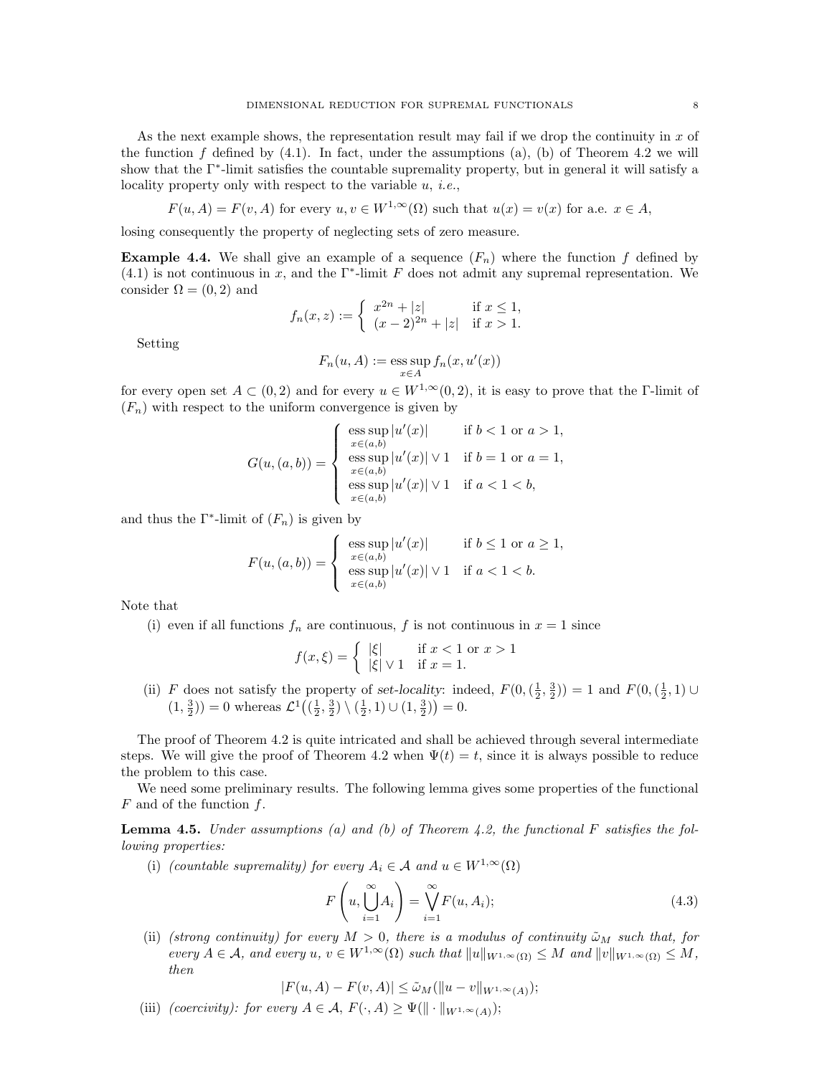As the next example shows, the representation result may fail if we drop the continuity in  $x$  of the function f defined by  $(4.1)$ . In fact, under the assumptions  $(a)$ ,  $(b)$  of Theorem 4.2 we will show that the Γ<sup>∗</sup> -limit satisfies the countable supremality property, but in general it will satisfy a locality property only with respect to the variable  $u, i.e.,$ 

$$
F(u, A) = F(v, A)
$$
 for every  $u, v \in W^{1,\infty}(\Omega)$  such that  $u(x) = v(x)$  for a.e.  $x \in A$ ,

losing consequently the property of neglecting sets of zero measure.

**Example 4.4.** We shall give an example of a sequence  $(F_n)$  where the function f defined by (4.1) is not continuous in x, and the  $\Gamma^*$ -limit F does not admit any supremal representation. We consider  $\Omega = (0, 2)$  and

$$
f_n(x, z) := \begin{cases} x^{2n} + |z| & \text{if } x \le 1, \\ (x - 2)^{2n} + |z| & \text{if } x > 1. \end{cases}
$$

Setting

$$
F_n(u, A) := \operatorname{ess} \sup_{x \in A} f_n(x, u'(x))
$$

for every open set  $A \subset (0, 2)$  and for every  $u \in W^{1,\infty}(0, 2)$ , it is easy to prove that the Γ-limit of  $(F_n)$  with respect to the uniform convergence is given by

$$
G(u,(a,b)) = \begin{cases} \n\operatorname{ess} \sup_{x \in (a,b)} |u'(x)| & \text{if } b < 1 \text{ or } a > 1, \\ \n\operatorname{ess} \sup_{x \in (a,b)} |u'(x)| \vee 1 & \text{if } b = 1 \text{ or } a = 1, \\ \n\operatorname{ess} \sup_{x \in (a,b)} |u'(x)| \vee 1 & \text{if } a < 1 < b, \n\end{cases}
$$

and thus the  $\Gamma^*$ -limit of  $(F_n)$  is given by

$$
F(u,(a,b)) = \begin{cases} \n\operatorname{ess} \sup_{x \in (a,b)} |u'(x)| & \text{if } b \le 1 \text{ or } a \ge 1, \\ \n\operatorname{ess} \sup_{x \in (a,b)} |u'(x)| \vee 1 & \text{if } a < 1 < b. \n\end{cases}
$$

Note that

(i) even if all functions  $f_n$  are continuous, f is not continuous in  $x = 1$  since

$$
f(x,\xi) = \begin{cases} |\xi| & \text{if } x < 1 \text{ or } x > 1\\ |\xi| \vee 1 & \text{if } x = 1. \end{cases}
$$

(ii) F does not satisfy the property of set-locality: indeed,  $F(0, (\frac{1}{2}, \frac{3}{2})) = 1$  and  $F(0, (\frac{1}{2}, 1) \cup$  $(1, \frac{3}{2})) = 0$  whereas  $\mathcal{L}^1((\frac{1}{2}, \frac{3}{2}) \setminus (\frac{1}{2}, 1) \cup (1, \frac{3}{2})) = 0.$ 

The proof of Theorem 4.2 is quite intricated and shall be achieved through several intermediate steps. We will give the proof of Theorem 4.2 when  $\Psi(t) = t$ , since it is always possible to reduce the problem to this case.

We need some preliminary results. The following lemma gives some properties of the functional  $F$  and of the function  $f$ .

**Lemma 4.5.** Under assumptions (a) and (b) of Theorem 4.2, the functional F satisfies the following properties:

(i) (countable supremality) for every  $A_i \in \mathcal{A}$  and  $u \in W^{1,\infty}(\Omega)$ 

$$
F\left(u,\bigcup_{i=1}^{\infty} A_i\right) = \bigvee_{i=1}^{\infty} F(u,A_i);
$$
\n(4.3)

(ii) (strong continuity) for every  $M > 0$ , there is a modulus of continuity  $\tilde{\omega}_M$  such that, for every  $A \in \mathcal{A}$ , and every  $u, v \in W^{1,\infty}(\Omega)$  such that  $||u||_{W^{1,\infty}(\Omega)} \leq M$  and  $||v||_{W^{1,\infty}(\Omega)} \leq M$ , then

$$
|F(u,A) - F(v,A)| \leq \tilde{\omega}_M(||u - v||_{W^{1,\infty}(A)});
$$

(iii) (coercivity): for every  $A \in \mathcal{A}, F(\cdot, A) \geq \Psi(\|\cdot\|_{W^{1,\infty}(A)})$ ;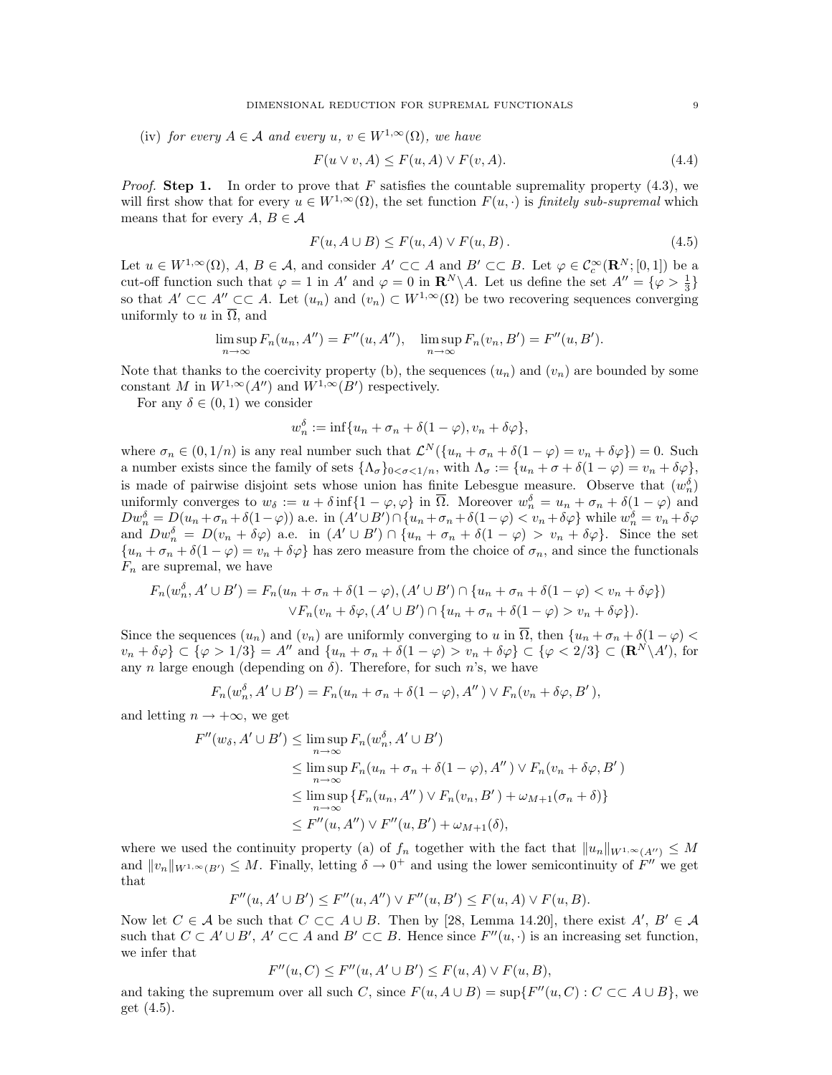(iv) for every  $A \in \mathcal{A}$  and every  $u, v \in W^{1,\infty}(\Omega)$ , we have

$$
F(u \lor v, A) \le F(u, A) \lor F(v, A). \tag{4.4}
$$

*Proof.* Step 1. In order to prove that F satisfies the countable supremality property  $(4.3)$ , we will first show that for every  $u \in W^{1,\infty}(\Omega)$ , the set function  $F(u, \cdot)$  is *finitely sub-supremal* which means that for every  $A, B \in \mathcal{A}$ 

$$
F(u, A \cup B) \le F(u, A) \vee F(u, B). \tag{4.5}
$$

Let  $u \in W^{1,\infty}(\Omega)$ ,  $A, B \in \mathcal{A}$ , and consider  $A' \subset\subset A$  and  $B' \subset\subset B$ . Let  $\varphi \in \mathcal{C}_c^\infty(\mathbf{R}^N; [0,1])$  be a cut-off function such that  $\varphi = 1$  in  $A'$  and  $\varphi = 0$  in  $\mathbb{R}^N \setminus A$ . Let us define the set  $A'' = {\varphi > \frac{1}{3}}$ so that  $A' \subset\subset A'' \subset\subset A$ . Let  $(u_n)$  and  $(v_n) \subset W^{1,\infty}(\Omega)$  be two recovering sequences converging uniformly to u in  $\overline{\Omega}$ , and

$$
\limsup_{n \to \infty} F_n(u_n, A'') = F''(u, A''), \quad \limsup_{n \to \infty} F_n(v_n, B') = F''(u, B').
$$

Note that thanks to the coercivity property (b), the sequences  $(u_n)$  and  $(v_n)$  are bounded by some constant M in  $W^{1,\infty}(A'')$  and  $W^{1,\infty}(B')$  respectively.

For any  $\delta \in (0,1)$  we consider

$$
w_n^{\delta} := \inf\{u_n + \sigma_n + \delta(1 - \varphi), v_n + \delta\varphi\},\
$$

where  $\sigma_n \in (0, 1/n)$  is any real number such that  $\mathcal{L}^N(\{u_n + \sigma_n + \delta(1 - \varphi) = v_n + \delta\varphi\}) = 0$ . Such a number exists since the family of sets  $\{\Lambda_{\sigma}\}_{0<\sigma<1/n}$ , with  $\Lambda_{\sigma} := \{u_n + \sigma + \delta(1-\varphi) = v_n + \delta\varphi\},\$ is made of pairwise disjoint sets whose union has finite Lebesgue measure. Observe that  $(w_n^{\delta})$ uniformly converges to  $w_{\delta} := u + \delta \inf\{1 - \varphi, \varphi\}$  in  $\overline{\Omega}$ . Moreover  $w_n^{\delta} = u_n + \sigma_n + \delta(1 - \varphi)$  and  $Dw_n^{\delta} = D(u_n + \sigma_n + \delta(1-\varphi))$  a.e. in  $(A' \cup B') \cap \{u_n + \sigma_n + \delta(1-\varphi) < v_n + \delta\varphi\}$  while  $w_n^{\delta} = v_n + \delta\varphi$ and  $Dw_n^{\delta} = D(v_n + \delta \varphi)$  a.e. in  $(A' \cup B') \cap \{u_n + \sigma_n + \delta(1 - \varphi) > v_n + \delta \varphi\}$ . Since the set  ${u_n + \sigma_n + \delta(1 - \varphi) = v_n + \delta\varphi}$  has zero measure from the choice of  $\sigma_n$ , and since the functionals  $F_n$  are supremal, we have

$$
F_n(w_n^{\delta}, A' \cup B') = F_n(u_n + \sigma_n + \delta(1 - \varphi), (A' \cup B') \cap \{u_n + \sigma_n + \delta(1 - \varphi) < v_n + \delta\varphi\})
$$

$$
\vee F_n(v_n + \delta\varphi, (A' \cup B') \cap \{u_n + \sigma_n + \delta(1 - \varphi) > v_n + \delta\varphi\}).
$$

Since the sequences  $(u_n)$  and  $(v_n)$  are uniformly converging to u in  $\overline{\Omega}$ , then  $\{u_n + \sigma_n + \delta(1-\varphi)$  $v_n + \delta \varphi$   $\subset \{\varphi > 1/3\} = A''$  and  $\{u_n + \sigma_n + \delta(1 - \varphi) > v_n + \delta \varphi\} \subset \{\varphi < 2/3\} \subset (\mathbf{R}^N \setminus A'),$  for any n large enough (depending on  $\delta$ ). Therefore, for such n's, we have

$$
F_n(w_n^{\delta}, A' \cup B') = F_n(u_n + \sigma_n + \delta(1 - \varphi), A'') \vee F_n(v_n + \delta \varphi, B'),
$$

and letting  $n \to +\infty$ , we get

$$
F''(w_{\delta}, A' \cup B') \leq \limsup_{n \to \infty} F_n(w_n^{\delta}, A' \cup B')
$$
  
\n
$$
\leq \limsup_{n \to \infty} F_n(u_n + \sigma_n + \delta(1 - \varphi), A'') \vee F_n(v_n + \delta \varphi, B')
$$
  
\n
$$
\leq \limsup_{n \to \infty} \{ F_n(u_n, A'') \vee F_n(v_n, B') + \omega_{M+1}(\sigma_n + \delta) \}
$$
  
\n
$$
\leq F''(u, A'') \vee F''(u, B') + \omega_{M+1}(\delta),
$$

where we used the continuity property (a) of  $f_n$  together with the fact that  $||u_n||_{W^{1,\infty}(A'')} \leq M$ and  $||v_n||_{W^{1,\infty}(B')} \leq M$ . Finally, letting  $\delta \to 0^+$  and using the lower semicontinuity of  $F''$  we get that

$$
F''(u, A' \cup B') \le F''(u, A'') \vee F''(u, B') \le F(u, A) \vee F(u, B).
$$

Now let  $C \in \mathcal{A}$  be such that  $C \subset\subset A\cup B$ . Then by [28, Lemma 14.20], there exist  $A', B' \in \mathcal{A}$ such that  $C \subset A' \cup B'$ ,  $A' \subset \subset A$  and  $B' \subset \subset B$ . Hence since  $F''(u, \cdot)$  is an increasing set function, we infer that

$$
F''(u, C) \le F''(u, A' \cup B') \le F(u, A) \vee F(u, B),
$$

and taking the supremum over all such C, since  $F(u, A \cup B) = \sup\{F''(u, C) : C \subset A \cup B\}$ , we get (4.5).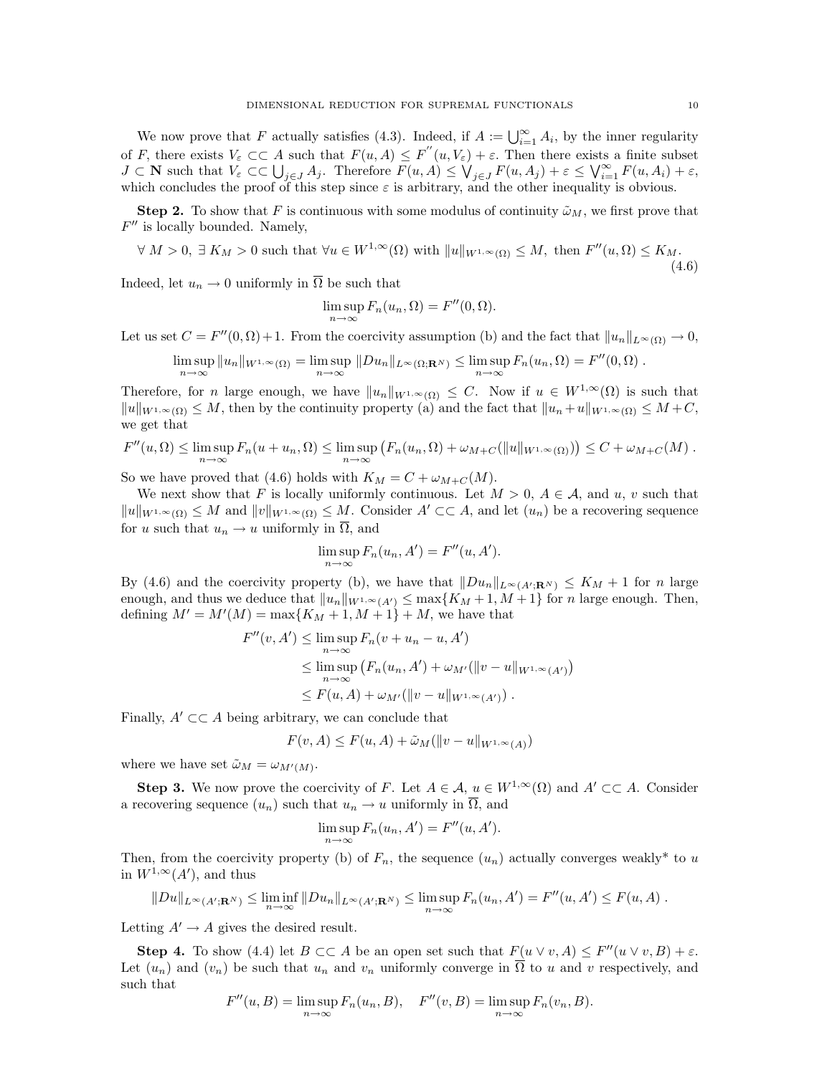We now prove that F actually satisfies (4.3). Indeed, if  $A := \bigcup_{i=1}^{\infty} A_i$ , by the inner regularity of F, there exists  $V_{\varepsilon} \subset \subset A$  such that  $F(u, A) \leq F''(u, V_{\varepsilon}) + \varepsilon$ . Then there exists a finite subset  $J \subset \mathbf{N}$  such that  $V_{\varepsilon} \subset \bigcup_{j \in J} A_j$ . Therefore  $F(u, A) \leq \bigvee_{j \in J} F(u, A_j) + \varepsilon \leq \bigvee_{i=1}^{\infty} F(u, A_i) + \varepsilon$ , which concludes the proof of this step since  $\varepsilon$  is arbitrary, and the other inequality is obvious.

**Step 2.** To show that F is continuous with some modulus of continuity  $\tilde{\omega}_M$ , we first prove that  $F''$  is locally bounded. Namely,

$$
\forall M > 0, \exists K_M > 0 \text{ such that } \forall u \in W^{1,\infty}(\Omega) \text{ with } \|u\|_{W^{1,\infty}(\Omega)} \le M, \text{ then } F''(u,\Omega) \le K_M. \tag{4.6}
$$

Indeed, let  $u_n \to 0$  uniformly in  $\overline{\Omega}$  be such that

$$
\limsup_{n \to \infty} F_n(u_n, \Omega) = F''(0, \Omega).
$$

Let us set  $C = F''(0, \Omega) + 1$ . From the coercivity assumption (b) and the fact that  $||u_n||_{L^{\infty}(\Omega)} \to 0$ ,

$$
\limsup_{n\to\infty}||u_n||_{W^{1,\infty}(\Omega)}=\limsup_{n\to\infty}||Du_n||_{L^{\infty}(\Omega;\mathbf{R}^N)}\leq \limsup_{n\to\infty}F_n(u_n,\Omega)=F''(0,\Omega).
$$

Therefore, for n large enough, we have  $||u_n||_{W^{1,\infty}(\Omega)} \leq C$ . Now if  $u \in W^{1,\infty}(\Omega)$  is such that  $||u||_{W^{1,\infty}(\Omega)} \leq M$ , then by the continuity property (a) and the fact that  $||u_n + u||_{W^{1,\infty}(\Omega)} \leq M + C$ , we get that

$$
F''(u,\Omega) \leq \limsup_{n\to\infty} F_n(u+u_n,\Omega) \leq \limsup_{n\to\infty} (F_n(u_n,\Omega)+\omega_{M+C}(\|u\|_{W^{1,\infty}(\Omega)})) \leq C+\omega_{M+C}(M).
$$

So we have proved that (4.6) holds with  $K_M = C + \omega_{M+C}(M)$ .

We next show that F is locally uniformly continuous. Let  $M > 0$ ,  $A \in \mathcal{A}$ , and u, v such that  $||u||_{W^{1,\infty}(\Omega)} \leq M$  and  $||v||_{W^{1,\infty}(\Omega)} \leq M$ . Consider  $A' \subset A$ , and let  $(u_n)$  be a recovering sequence for u such that  $u_n \to u$  uniformly in  $\overline{\Omega}$ , and

$$
\limsup_{n \to \infty} F_n(u_n, A') = F''(u, A').
$$

By (4.6) and the coercivity property (b), we have that  $||Du_n||_{L^{\infty}(A';\mathbf{R}^N)} \leq K_M + 1$  for n large enough, and thus we deduce that  $||u_n||_{W^1,\infty(A')} \leq \max\{K_M + 1, M + 1\}$  for n large enough. Then, defining  $M' = M'(M) = \max\{K_M + 1, M + 1\} + M$ , we have that

$$
F''(v, A') \le \limsup_{n \to \infty} F_n(v + u_n - u, A')
$$
  
\n
$$
\le \limsup_{n \to \infty} (F_n(u_n, A') + \omega_{M'}(\|v - u\|_{W^{1,\infty}(A')})
$$
  
\n
$$
\le F(u, A) + \omega_{M'}(\|v - u\|_{W^{1,\infty}(A')})
$$
.

Finally,  $A' \subset \subset A$  being arbitrary, we can conclude that

$$
F(v, A) \le F(u, A) + \tilde{\omega}_M(\|v - u\|_{W^{1,\infty}(A)})
$$

where we have set  $\tilde{\omega}_M = \omega_{M'(M)}$ .

**Step 3.** We now prove the coercivity of F. Let  $A \in \mathcal{A}$ ,  $u \in W^{1,\infty}(\Omega)$  and  $A' \subset\subset A$ . Consider a recovering sequence  $(u_n)$  such that  $u_n \to u$  uniformly in  $\overline{\Omega}$ , and

$$
\limsup_{n \to \infty} F_n(u_n, A') = F''(u, A').
$$

Then, from the coercivity property (b) of  $F_n$ , the sequence  $(u_n)$  actually converges weakly<sup>\*</sup> to u in  $W^{1,\infty}(A')$ , and thus

$$
||Du||_{L^{\infty}(A';\mathbf{R}^N)} \leq \liminf_{n\to\infty} ||Du_n||_{L^{\infty}(A';\mathbf{R}^N)} \leq \limsup_{n\to\infty} F_n(u_n,A') = F''(u,A') \leq F(u,A) .
$$

Letting  $A' \rightarrow A$  gives the desired result.

**Step 4.** To show (4.4) let  $B \subset\subset A$  be an open set such that  $F(u \vee v, A) \leq F''(u \vee v, B) + \varepsilon$ . Let  $(u_n)$  and  $(v_n)$  be such that  $u_n$  and  $v_n$  uniformly converge in  $\overline{\Omega}$  to u and v respectively, and such that

$$
F''(u, B) = \limsup_{n \to \infty} F_n(u_n, B), \quad F''(v, B) = \limsup_{n \to \infty} F_n(v_n, B).
$$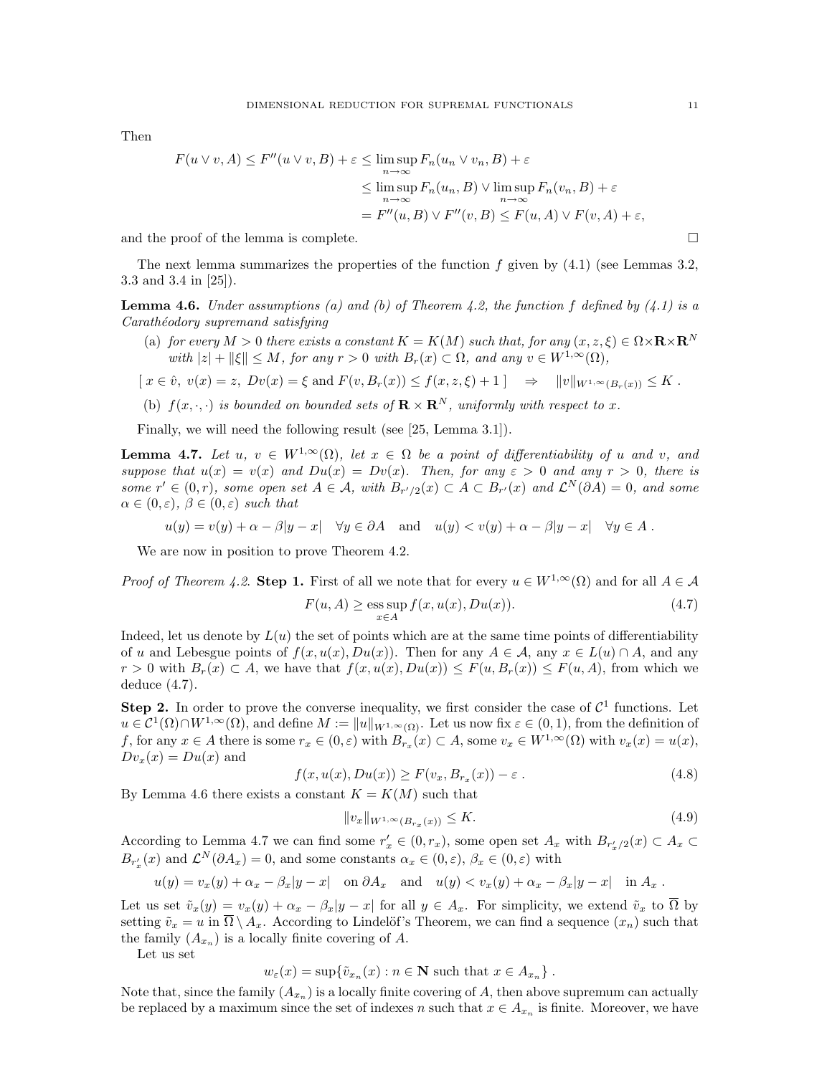Then

$$
F(u \lor v, A) \le F''(u \lor v, B) + \varepsilon \le \limsup_{n \to \infty} F_n(u_n \lor v_n, B) + \varepsilon
$$
  

$$
\le \limsup_{n \to \infty} F_n(u_n, B) \lor \limsup_{n \to \infty} F_n(v_n, B) + \varepsilon
$$
  

$$
= F''(u, B) \lor F''(v, B) \le F(u, A) \lor F(v, A) + \varepsilon,
$$

and the proof of the lemma is complete.  $\Box$ 

The next lemma summarizes the properties of the function  $f$  given by  $(4.1)$  (see Lemmas 3.2, 3.3 and 3.4 in [25]).

**Lemma 4.6.** Under assumptions (a) and (b) of Theorem 4.2, the function f defined by  $(4.1)$  is a Carathéodory supremand satisfying

(a) for every  $M > 0$  there exists a constant  $K = K(M)$  such that, for any  $(x, z, \xi) \in \Omega \times \mathbf{R} \times \mathbf{R}^N$ with  $|z| + ||\xi|| \leq M$ , for any  $r > 0$  with  $B_r(x) \subset \Omega$ , and any  $v \in W^{1,\infty}(\Omega)$ ,

$$
[x \in \hat{v}, v(x) = z, Dv(x) = \xi \text{ and } F(v, B_r(x)) \le f(x, z, \xi) + 1] \Rightarrow ||v||_{W^{1,\infty}(B_r(x))} \le K.
$$

(b)  $f(x, \cdot, \cdot)$  is bounded on bounded sets of  $\mathbf{R} \times \mathbf{R}^{N}$ , uniformly with respect to x.

Finally, we will need the following result (see [25, Lemma 3.1]).

**Lemma 4.7.** Let u,  $v \in W^{1,\infty}(\Omega)$ , let  $x \in \Omega$  be a point of differentiability of u and v, and suppose that  $u(x) = v(x)$  and  $Du(x) = Dv(x)$ . Then, for any  $\varepsilon > 0$  and any  $r > 0$ , there is some  $r' \in (0,r)$ , some open set  $A \in \mathcal{A}$ , with  $B_{r'/2}(x) \subset A \subset B_{r'}(x)$  and  $\mathcal{L}^N(\partial A) = 0$ , and some  $\alpha \in (0,\varepsilon), \ \beta \in (0,\varepsilon)$  such that

$$
u(y) = v(y) + \alpha - \beta |y - x| \quad \forall y \in \partial A
$$
 and  $u(y) < v(y) + \alpha - \beta |y - x| \quad \forall y \in A$ .

We are now in position to prove Theorem 4.2.

*Proof of Theorem 4.2.* Step 1. First of all we note that for every  $u \in W^{1,\infty}(\Omega)$  and for all  $A \in \mathcal{A}$ 

$$
F(u, A) \ge \underset{x \in A}{\text{ess sup}} f(x, u(x), Du(x)). \tag{4.7}
$$

Indeed, let us denote by  $L(u)$  the set of points which are at the same time points of differentiability of u and Lebesgue points of  $f(x, u(x), Du(x))$ . Then for any  $A \in \mathcal{A}$ , any  $x \in L(u) \cap A$ , and any  $r > 0$  with  $B_r(x) \subset A$ , we have that  $f(x, u(x), Du(x)) \leq F(u, B_r(x)) \leq F(u, A)$ , from which we deduce (4.7).

**Step 2.** In order to prove the converse inequality, we first consider the case of  $\mathcal{C}^1$  functions. Let  $u \in C^1(\Omega) \cap W^{1,\infty}(\Omega)$ , and define  $M := ||u||_{W^{1,\infty}(\Omega)}$ . Let us now fix  $\varepsilon \in (0,1)$ , from the definition of f, for any  $x \in A$  there is some  $r_x \in (0, \varepsilon)$  with  $B_{r_x}(x) \subset A$ , some  $v_x \in W^{1,\infty}(\Omega)$  with  $v_x(x) = u(x)$ ,  $Dv_x(x) = Du(x)$  and

$$
f(x, u(x), Du(x)) \ge F(v_x, B_{r_x}(x)) - \varepsilon.
$$
\n(4.8)

By Lemma 4.6 there exists a constant  $K = K(M)$  such that

$$
||v_x||_{W^{1,\infty}(B_{r_x}(x))} \le K. \tag{4.9}
$$

According to Lemma 4.7 we can find some  $r'_x \in (0, r_x)$ , some open set  $A_x$  with  $B_{r'_x/2}(x) \subset A_x \subset$  $B_{r'_x}(x)$  and  $\mathcal{L}^N(\partial A_x) = 0$ , and some constants  $\alpha_x \in (0, \varepsilon)$ ,  $\beta_x \in (0, \varepsilon)$  with

$$
u(y) = v_x(y) + \alpha_x - \beta_x |y - x|
$$
 on  $\partial A_x$  and  $u(y) < v_x(y) + \alpha_x - \beta_x |y - x|$  in  $A_x$ .

Let us set  $\tilde{v}_x(y) = v_x(y) + \alpha_x - \beta_x |y - x|$  for all  $y \in A_x$ . For simplicity, we extend  $\tilde{v}_x$  to  $\overline{\Omega}$  by setting  $\tilde{v}_x = u$  in  $\overline{\Omega} \setminus A_x$ . According to Lindelöf's Theorem, we can find a sequence  $(x_n)$  such that the family  $(A_{x_n})$  is a locally finite covering of A.

Let us set

 $w_{\varepsilon}(x) = \sup \{ \tilde{v}_{x_n}(x) : n \in \mathbb{N} \text{ such that } x \in A_{x_n} \}.$ 

Note that, since the family  $(A_{x_n})$  is a locally finite covering of A, then above supremum can actually be replaced by a maximum since the set of indexes n such that  $x \in A_{x_n}$  is finite. Moreover, we have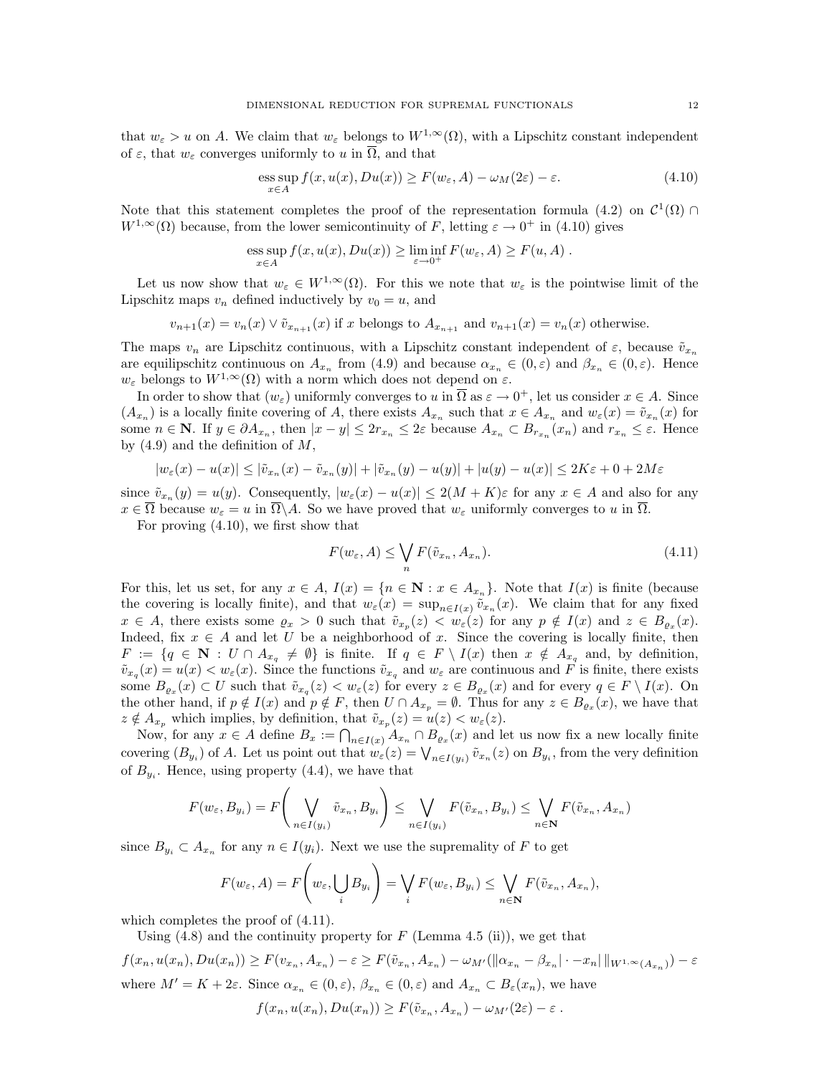that  $w_{\varepsilon} > u$  on A. We claim that  $w_{\varepsilon}$  belongs to  $W^{1,\infty}(\Omega)$ , with a Lipschitz constant independent of  $\varepsilon$ , that  $w_{\varepsilon}$  converges uniformly to u in  $\overline{\Omega}$ , and that

$$
\underset{x \in A}{\operatorname{ess\,sup}} f(x, u(x), Du(x)) \ge F(w_{\varepsilon}, A) - \omega_M(2\varepsilon) - \varepsilon. \tag{4.10}
$$

Note that this statement completes the proof of the representation formula (4.2) on  $\mathcal{C}^1(\Omega) \cap$  $W^{1,\infty}(\Omega)$  because, from the lower semicontinuity of F, letting  $\varepsilon \to 0^+$  in (4.10) gives

ess sup 
$$
f(x, u(x), Du(x)) \ge \liminf_{\varepsilon \to 0^+} F(w_{\varepsilon}, A) \ge F(u, A)
$$
.

Let us now show that  $w_{\varepsilon} \in W^{1,\infty}(\Omega)$ . For this we note that  $w_{\varepsilon}$  is the pointwise limit of the Lipschitz maps  $v_n$  defined inductively by  $v_0 = u$ , and

$$
v_{n+1}(x) = v_n(x) \vee \tilde{v}_{x_{n+1}}(x)
$$
 if x belongs to  $A_{x_{n+1}}$  and  $v_{n+1}(x) = v_n(x)$  otherwise.

The maps  $v_n$  are Lipschitz continuous, with a Lipschitz constant independent of  $\varepsilon$ , because  $\tilde{v}_{x_n}$ are equilipschitz continuous on  $A_{x_n}$  from (4.9) and because  $\alpha_{x_n} \in (0,\varepsilon)$  and  $\beta_{x_n} \in (0,\varepsilon)$ . Hence  $w_{\varepsilon}$  belongs to  $W^{1,\infty}(\Omega)$  with a norm which does not depend on  $\varepsilon$ .

In order to show that  $(w_{\varepsilon})$  uniformly converges to u in  $\overline{\Omega}$  as  $\varepsilon \to 0^+$ , let us consider  $x \in A$ . Since  $(A_{x_n})$  is a locally finite covering of A, there exists  $A_{x_n}$  such that  $x \in A_{x_n}$  and  $w_{\varepsilon}(x) = \tilde{v}_{x_n}(x)$  for some  $n \in \mathbb{N}$ . If  $y \in \partial A_{x_n}$ , then  $|x - y| \leq 2r_{x_n} \leq 2\varepsilon$  because  $A_{x_n} \subset B_{r_{x_n}}(x_n)$  and  $r_{x_n} \leq \varepsilon$ . Hence by  $(4.9)$  and the definition of  $M$ ,

$$
|w_{\varepsilon}(x) - u(x)| \leq |\tilde{v}_{x_n}(x) - \tilde{v}_{x_n}(y)| + |\tilde{v}_{x_n}(y) - u(y)| + |u(y) - u(x)| \leq 2K\varepsilon + 0 + 2M\varepsilon
$$

since  $\tilde{v}_{x_n}(y) = u(y)$ . Consequently,  $|w_{\varepsilon}(x) - u(x)| \le 2(M + K)\varepsilon$  for any  $x \in A$  and also for any  $x \in \overline{\Omega}$  because  $w_{\varepsilon} = u$  in  $\overline{\Omega} \backslash A$ . So we have proved that  $w_{\varepsilon}$  uniformly converges to u in  $\overline{\Omega}$ .

For proving (4.10), we first show that

$$
F(w_{\varepsilon}, A) \le \bigvee_{n} F(\tilde{v}_{x_n}, A_{x_n}).
$$
\n(4.11)

For this, let us set, for any  $x \in A$ ,  $I(x) = \{n \in \mathbb{N} : x \in A_{x_n}\}\$ . Note that  $I(x)$  is finite (because the covering is locally finite), and that  $w_{\varepsilon}(x) = \sup_{n \in I(x)} \tilde{v}_{x_n}(x)$ . We claim that for any fixed  $x \in A$ , there exists some  $\varrho_x > 0$  such that  $\tilde{v}_{x_p}(z) < w_{\varepsilon}(z)$  for any  $p \notin I(x)$  and  $z \in B_{\varrho_x}(x)$ . Indeed, fix  $x \in A$  and let U be a neighborhood of x. Since the covering is locally finite, then  $F := \{q \in \mathbb{N} : U \cap A_{x_q} \neq \emptyset\}$  is finite. If  $q \in F \setminus I(x)$  then  $x \notin A_{x_q}$  and, by definition,  $\tilde{v}_{x_q}(x) = u(x) < w_\varepsilon(x)$ . Since the functions  $\tilde{v}_{x_q}$  and  $w_\varepsilon$  are continuous and F is finite, there exists some  $B_{\varrho_x}(x) \subset U$  such that  $\tilde{v}_{x_q}(z) < w_{\varepsilon}(z)$  for every  $z \in B_{\varrho_x}(x)$  and for every  $q \in F \setminus I(x)$ . On the other hand, if  $p \notin I(x)$  and  $p \notin F$ , then  $U \cap A_{x_p} = \emptyset$ . Thus for any  $z \in B_{\varrho_x}(x)$ , we have that  $z \notin A_{x_p}$  which implies, by definition, that  $\tilde{v}_{x_p}(z) = u(z) < w_{\varepsilon}(z)$ .

Now, for any  $x \in A$  define  $B_x := \bigcap_{n \in I(x)} A_{x_n} \cap B_{\varrho_x}(x)$  and let us now fix a new locally finite covering  $(B_{y_i})$  of A. Let us point out that  $w_{\varepsilon}(z) = \bigvee_{n \in I(y_i)} \tilde{v}_{x_n}(z)$  on  $B_{y_i}$ , from the very definition of  $B_{y_i}$ . Hence, using property (4.4), we have that

$$
F(w_{\varepsilon}, B_{y_i}) = F\left(\bigvee_{n \in I(y_i)} \tilde{v}_{x_n}, B_{y_i}\right) \le \bigvee_{n \in I(y_i)} F(\tilde{v}_{x_n}, B_{y_i}) \le \bigvee_{n \in \mathbb{N}} F(\tilde{v}_{x_n}, A_{x_n})
$$

since  $B_{y_i} \subset A_{x_n}$  for any  $n \in I(y_i)$ . Next we use the supremality of F to get

$$
F(w_{\varepsilon}, A) = F\left(w_{\varepsilon}, \bigcup_{i} B_{y_{i}}\right) = \bigvee_{i} F(w_{\varepsilon}, B_{y_{i}}) \leq \bigvee_{n \in \mathbb{N}} F(\tilde{v}_{x_{n}}, A_{x_{n}}),
$$

which completes the proof of  $(4.11)$ .

Using  $(4.8)$  and the continuity property for F (Lemma 4.5 (ii)), we get that

$$
f(x_n, u(x_n), Du(x_n)) \ge F(v_{x_n}, A_{x_n}) - \varepsilon \ge F(\tilde{v}_{x_n}, A_{x_n}) - \omega_{M'}(\|\alpha_{x_n} - \beta_{x_n}\| \cdot - x_n \| \|_{W^{1,\infty}(A_{x_n})}) - \varepsilon
$$
  
where  $M' = K + 2\varepsilon$ . Since  $\alpha_{x_n} \in (0, \varepsilon)$ ,  $\beta_{x_n} \in (0, \varepsilon)$  and  $A_{x_n} \subset B_{\varepsilon}(x_n)$ , we have  

$$
f(x_n, u(x_n), Du(x_n)) \ge F(\tilde{v}_{x_n}, A_{x_n}) - \omega_{M'}(2\varepsilon) - \varepsilon.
$$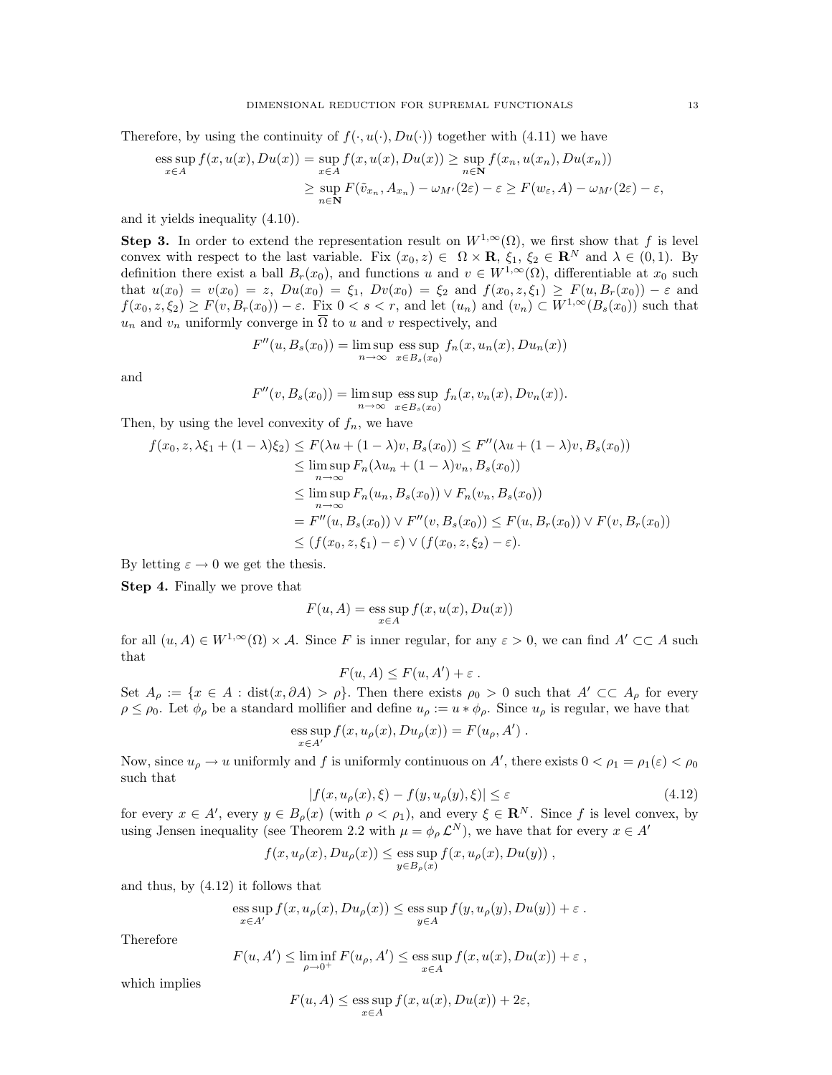Therefore, by using the continuity of  $f(\cdot, u(\cdot), Du(\cdot))$  together with (4.11) we have

ess sup 
$$
f(x, u(x), Du(x)) = \sup_{x \in A} f(x, u(x), Du(x)) \ge \sup_{n \in \mathbb{N}} f(x_n, u(x_n), Du(x_n))
$$
  
  $\ge \sup_{n \in \mathbb{N}} F(\tilde{v}_{x_n}, A_{x_n}) - \omega_{M'}(2\varepsilon) - \varepsilon \ge F(w_{\varepsilon}, A) - \omega_{M'}(2\varepsilon) - \varepsilon$ ,

and it yields inequality (4.10).

Step 3. In order to extend the representation result on  $W^{1,\infty}(\Omega)$ , we first show that f is level convex with respect to the last variable. Fix  $(x_0, z) \in \Omega \times \mathbf{R}$ ,  $\xi_1, \xi_2 \in \mathbf{R}^N$  and  $\lambda \in (0, 1)$ . By definition there exist a ball  $B_r(x_0)$ , and functions u and  $v \in W^{1,\infty}(\Omega)$ , differentiable at  $x_0$  such that  $u(x_0) = v(x_0) = z$ ,  $Du(x_0) = \xi_1$ ,  $Dv(x_0) = \xi_2$  and  $f(x_0, z, \xi_1) \geq F(u, B_r(x_0)) - \varepsilon$  and  $f(x_0, z, \xi_2) \geq F(v, B_r(x_0)) - \varepsilon$ . Fix  $0 < s < r$ , and let  $(u_n)$  and  $(v_n) \subset W^{1,\infty}(B_s(x_0))$  such that  $u_n$  and  $v_n$  uniformly converge in  $\overline{\Omega}$  to u and v respectively, and

$$
F''(u, Bs(x0)) = \limsup_{n \to \infty} \text{ess sup } f_n(x, u_n(x), Du_n(x))
$$

and

$$
F''(v, Bs(x0)) = \limsup_{n \to \infty} \text{ess sup}_{x \in Bs(x0)} fn(x, vn(x), Dvn(x)).
$$

Then, by using the level convexity of  $f_n$ , we have

$$
f(x_0, z, \lambda \xi_1 + (1 - \lambda)\xi_2) \le F(\lambda u + (1 - \lambda)v, B_s(x_0)) \le F''(\lambda u + (1 - \lambda)v, B_s(x_0))
$$
  
\n
$$
\le \limsup_{n \to \infty} F_n(\lambda u_n + (1 - \lambda)v_n, B_s(x_0))
$$
  
\n
$$
\le \limsup_{n \to \infty} F_n(u_n, B_s(x_0)) \vee F_n(v_n, B_s(x_0))
$$
  
\n
$$
= F''(u, B_s(x_0)) \vee F''(v, B_s(x_0)) \le F(u, B_r(x_0)) \vee F(v, B_r(x_0))
$$
  
\n
$$
\le (f(x_0, z, \xi_1) - \varepsilon) \vee (f(x_0, z, \xi_2) - \varepsilon).
$$

By letting  $\varepsilon \to 0$  we get the thesis.

Step 4. Finally we prove that

$$
F(u, A) = \operatorname{ess} \sup_{x \in A} f(x, u(x), Du(x))
$$

for all  $(u, A) \in W^{1,\infty}(\Omega) \times \mathcal{A}$ . Since F is inner regular, for any  $\varepsilon > 0$ , we can find  $A' \subset \subset A$  such that

$$
F(u, A) \le F(u, A') + \varepsilon.
$$

Set  $A_\rho := \{x \in A : \text{dist}(x, \partial A) > \rho\}$ . Then there exists  $\rho_0 > 0$  such that  $A' \subset A_\rho$  for every  $\rho \leq \rho_0$ . Let  $\phi_\rho$  be a standard mollifier and define  $u_\rho := u * \phi_\rho$ . Since  $u_\rho$  is regular, we have that

$$
\operatorname*{ess\,sup}_{x\in A'} f(x,u_\rho(x),Du_\rho(x))=F(u_\rho,A')\;.
$$

Now, since  $u_{\rho} \to u$  uniformly and f is uniformly continuous on A', there exists  $0 < \rho_1 = \rho_1(\varepsilon) < \rho_0$ such that

$$
|f(x, u_{\rho}(x), \xi) - f(y, u_{\rho}(y), \xi)| \le \varepsilon \tag{4.12}
$$

for every  $x \in A'$ , every  $y \in B_{\rho}(x)$  (with  $\rho < \rho_1$ ), and every  $\xi \in \mathbb{R}^N$ . Since f is level convex, by using Jensen inequality (see Theorem 2.2 with  $\mu = \phi_{\rho} \mathcal{L}^{N}$ ), we have that for every  $x \in A'$ 

$$
f(x, u_{\rho}(x), Du_{\rho}(x)) \le \underset{y \in B_{\rho}(x)}{\text{ess sup }} f(x, u_{\rho}(x), Du(y)),
$$

and thus, by (4.12) it follows that

ess sup 
$$
f(x, u_{\rho}(x), Du_{\rho}(x)) \le
$$
ess sup  $f(y, u_{\rho}(y), Du(y)) + \varepsilon$ .  
 $y \in A$ 

Therefore

$$
F(u, A') \le \liminf_{\rho \to 0^+} F(u_\rho, A') \le \operatorname{ess} \sup_{x \in A} f(x, u(x), Du(x)) + \varepsilon ,
$$

which implies

$$
F(u, A) \le \underset{x \in A}{\text{ess sup }} f(x, u(x), Du(x)) + 2\varepsilon,
$$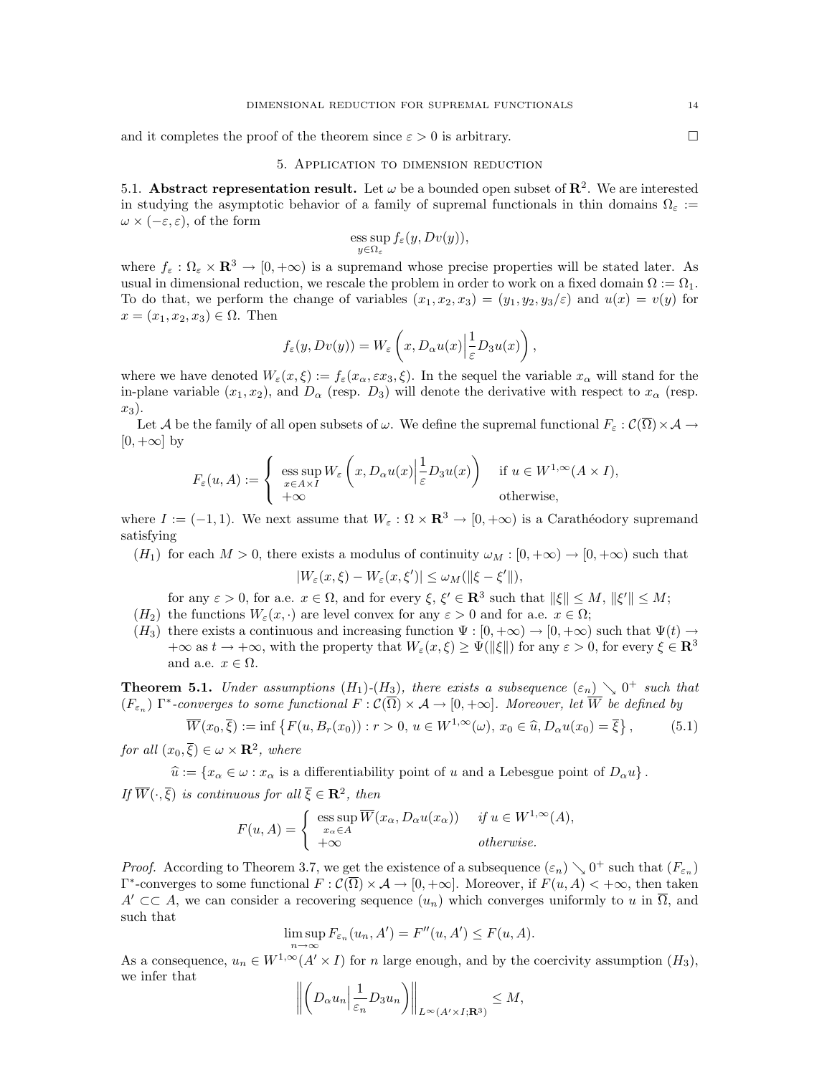and it completes the proof of the theorem since  $\varepsilon > 0$  is arbitrary.

### 5. Application to dimension reduction

5.1. Abstract representation result. Let  $\omega$  be a bounded open subset of  $\mathbb{R}^2$ . We are interested in studying the asymptotic behavior of a family of supremal functionals in thin domains  $\Omega_{\epsilon}$  :=  $\omega \times (-\varepsilon, \varepsilon)$ , of the form

$$
\operatorname{ess} \operatorname{sup}_{y \in \Omega_{\varepsilon}} f_{\varepsilon}(y, Dv(y)),
$$

where  $f_{\varepsilon}: \Omega_{\varepsilon} \times \mathbf{R}^3 \to [0, +\infty)$  is a supremand whose precise properties will be stated later. As usual in dimensional reduction, we rescale the problem in order to work on a fixed domain  $\Omega := \Omega_1$ . To do that, we perform the change of variables  $(x_1, x_2, x_3) = (y_1, y_2, y_3/\varepsilon)$  and  $u(x) = v(y)$  for  $x = (x_1, x_2, x_3) \in \Omega$ . Then

$$
f_{\varepsilon}(y, Dv(y)) = W_{\varepsilon}\left(x, D_{\alpha}u(x)\Big| \frac{1}{\varepsilon}D_3u(x)\right),\,
$$

where we have denoted  $W_{\varepsilon}(x,\xi) := f_{\varepsilon}(x_{\alpha}, \varepsilon x_3,\xi)$ . In the sequel the variable  $x_{\alpha}$  will stand for the in-plane variable  $(x_1, x_2)$ , and  $D_\alpha$  (resp.  $D_3$ ) will denote the derivative with respect to  $x_\alpha$  (resp.  $x_3$ ).

Let A be the family of all open subsets of  $\omega$ . We define the supremal functional  $F_{\varepsilon}: \mathcal{C}(\overline{\Omega}) \times \mathcal{A} \to$  $[0, +\infty]$  by

$$
F_{\varepsilon}(u, A) := \begin{cases} \operatorname{ess} \operatorname{sup}_{x \in A \times I} W_{\varepsilon}\left(x, D_{\alpha} u(x) \Big| \frac{1}{\varepsilon} D_3 u(x)\right) & \text{if } u \in W^{1, \infty}(A \times I), \\ +\infty & \text{otherwise,} \end{cases}
$$

where  $I := (-1, 1)$ . We next assume that  $W_{\varepsilon} : \Omega \times \mathbb{R}^3 \to [0, +\infty)$  is a Carathéodory supremand satisfying

 $(H_1)$  for each  $M > 0$ , there exists a modulus of continuity  $\omega_M : [0, +\infty) \to [0, +\infty)$  such that

$$
|W_{\varepsilon}(x,\xi) - W_{\varepsilon}(x,\xi')| \le \omega_M(\|\xi - \xi'\|),
$$

for any  $\varepsilon > 0$ , for a.e.  $x \in \Omega$ , and for every  $\xi, \xi' \in \mathbb{R}^3$  such that  $\|\xi\| \le M, \|\xi'\| \le M$ ;

- $(H_2)$  the functions  $W_{\varepsilon}(x, \cdot)$  are level convex for any  $\varepsilon > 0$  and for a.e.  $x \in \Omega$ ;
- $(H_3)$  there exists a continuous and increasing function  $\Psi : [0, +\infty) \to [0, +\infty)$  such that  $\Psi(t) \to$  $+\infty$  as  $t \to +\infty$ , with the property that  $W_{\varepsilon}(x,\xi) \geq \Psi(\|\xi\|)$  for any  $\varepsilon > 0$ , for every  $\xi \in \mathbb{R}^3$ and a.e.  $x \in \Omega$ .

**Theorem 5.1.** Under assumptions  $(H_1)$ - $(H_3)$ , there exists a subsequence  $(\varepsilon_n) \searrow 0^+$  such that  $(F_{\varepsilon_n})$   $\Gamma^*$ -converges to some functional  $F: \mathcal{C}(\overline{\Omega}) \times \mathcal{A} \to [0, +\infty]$ . Moreover, let  $\overline{W}$  be defined by

$$
\overline{W}(x_0,\overline{\xi}) := \inf \left\{ F(u, B_r(x_0)) : r > 0, u \in W^{1,\infty}(\omega), x_0 \in \widehat{u}, D_\alpha u(x_0) = \overline{\xi} \right\},\tag{5.1}
$$

for all  $(x_0, \overline{\xi}) \in \omega \times \mathbf{R}^2$ , where

 $\widehat{u} := \{x_{\alpha} \in \omega : x_{\alpha} \text{ is a differentiability point of } u \text{ and a Lebesgue point of } D_{\alpha}u\}.$ If  $\overline{W}(\cdot,\overline{\xi})$  is continuous for all  $\overline{\xi} \in \mathbb{R}^2$ , then

$$
F(u, A) = \begin{cases} \operatorname{ess} \operatorname{sup} \overline{W}(x_{\alpha}, D_{\alpha}u(x_{\alpha})) & \text{if } u \in W^{1, \infty}(A), \\ +\infty & \text{otherwise.} \end{cases}
$$

*Proof.* According to Theorem 3.7, we get the existence of a subsequence  $(\varepsilon_n) \searrow 0^+$  such that  $(F_{\varepsilon_n})$  $\Gamma^*$ -converges to some functional  $F: \mathcal{C}(\overline{\Omega}) \times \mathcal{A} \to [0, +\infty]$ . Moreover, if  $F(u, A) < +\infty$ , then taken  $A' \subset\subset A$ , we can consider a recovering sequence  $(u_n)$  which converges uniformly to u in  $\overline{\Omega}$ , and such that

$$
\limsup_{n \to \infty} F_{\varepsilon_n}(u_n, A') = F''(u, A') \le F(u, A).
$$

As a consequence,  $u_n \in W^{1,\infty}(A' \times I)$  for n large enough, and by the coercivity assumption  $(H_3)$ , we infer that

$$
\left\| \left(D_\alpha u_n \Big| \frac{1}{\varepsilon_n} D_3 u_n\right) \right\|_{L^\infty(A' \times I; \mathbf{R}^3)} \le M,
$$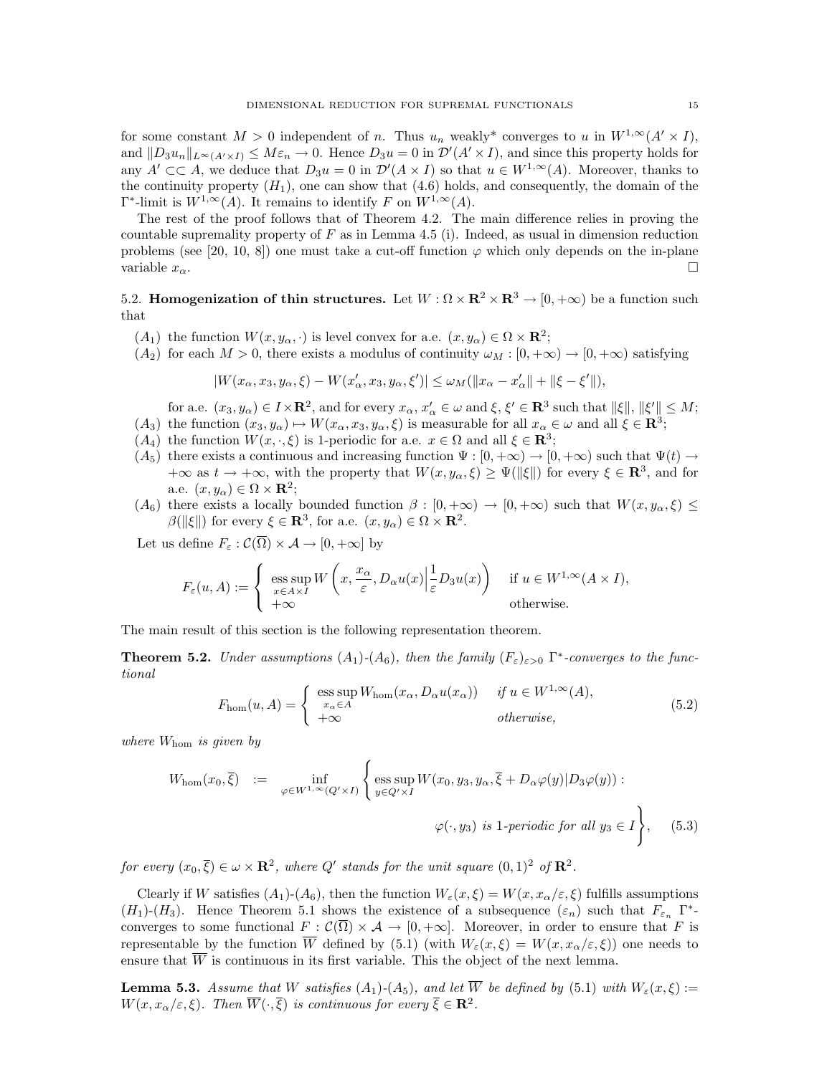for some constant  $M > 0$  independent of n. Thus  $u_n$  weakly\* converges to u in  $W^{1,\infty}(A' \times I)$ , and  $||D_3u_n||_{L^{\infty}(A'\times I)} \leq M\varepsilon_n \to 0$ . Hence  $D_3u = 0$  in  $\mathcal{D}'(A'\times I)$ , and since this property holds for any  $A' \subset\subset A$ , we deduce that  $D_3u = 0$  in  $\mathcal{D}'(A \times I)$  so that  $u \in W^{1,\infty}(A)$ . Moreover, thanks to the continuity property  $(H_1)$ , one can show that  $(4.6)$  holds, and consequently, the domain of the  $\Gamma^*$ -limit is  $W^{1,\infty}(A)$ . It remains to identify F on  $W^{1,\infty}(A)$ .

The rest of the proof follows that of Theorem 4.2. The main difference relies in proving the countable supremality property of  $F$  as in Lemma 4.5 (i). Indeed, as usual in dimension reduction problems (see [20, 10, 8]) one must take a cut-off function  $\varphi$  which only depends on the in-plane variable  $x_{\alpha}$ .

5.2. Homogenization of thin structures. Let  $W : \Omega \times \mathbb{R}^2 \times \mathbb{R}^3 \to [0, +\infty)$  be a function such that

- $(A_1)$  the function  $W(x, y_\alpha, \cdot)$  is level convex for a.e.  $(x, y_\alpha) \in \Omega \times \mathbb{R}^2$ ;
- $(A_2)$  for each  $M > 0$ , there exists a modulus of continuity  $\omega_M : [0, +\infty) \to [0, +\infty)$  satisfying

$$
|W(x_\alpha, x_3, y_\alpha, \xi) - W(x_\alpha', x_3, y_\alpha, \xi')| \leq \omega_M (\|x_\alpha - x_\alpha'\| + \|\xi - \xi'\|),
$$

for a.e.  $(x_3, y_\alpha) \in I \times \mathbf{R}^2$ , and for every  $x_\alpha, x'_\alpha \in \omega$  and  $\xi, \xi' \in \mathbf{R}^3$  such that  $\|\xi\|, \|\xi'\| \leq M$ ;  $(A_3)$  the function  $(x_3, y_\alpha) \mapsto W(x_\alpha, x_3, y_\alpha, \xi)$  is measurable for all  $x_\alpha \in \omega$  and all  $\xi \in \mathbb{R}^3$ ;

- $(A_4)$  the function  $W(x, \cdot, \xi)$  is 1-periodic for a.e.  $x \in \Omega$  and all  $\xi \in \mathbb{R}^3$ ;
- $(A_5)$  there exists a continuous and increasing function  $\Psi : [0, +\infty) \to [0, +\infty)$  such that  $\Psi(t) \to$  $+\infty$  as  $t \to +\infty$ , with the property that  $W(x, y_\alpha, \xi) \ge \Psi(\|\xi\|)$  for every  $\xi \in \mathbb{R}^3$ , and for a.e.  $(x, y_\alpha) \in \Omega \times \mathbf{R}^2$ ;
- $(A_6)$  there exists a locally bounded function  $\beta : [0, +\infty) \to [0, +\infty)$  such that  $W(x, y_\alpha, \xi) \leq$  $\beta(\|\xi\|)$  for every  $\xi \in \mathbf{R}^3$ , for a.e.  $(x, y_\alpha) \in \Omega \times \mathbf{R}^2$ .

Let us define  $F_{\varepsilon}: \mathcal{C}(\overline{\Omega}) \times \mathcal{A} \to [0, +\infty]$  by

$$
F_{\varepsilon}(u, A) := \begin{cases} \operatorname{ess} \sup_{x \in A \times I} W\left(x, \frac{x_{\alpha}}{\varepsilon}, D_{\alpha} u(x) \Big| \frac{1}{\varepsilon} D_3 u(x)\right) & \text{if } u \in W^{1, \infty}(A \times I), \\ +\infty & \text{otherwise.} \end{cases}
$$

The main result of this section is the following representation theorem.

**Theorem 5.2.** Under assumptions  $(A_1)$ - $(A_6)$ , then the family  $(F_{\varepsilon})_{\varepsilon>0}$   $\Gamma^*$ -converges to the functional

$$
F_{\text{hom}}(u, A) = \begin{cases} \text{ess} \sup_{x_{\alpha} \in A} W_{\text{hom}}(x_{\alpha}, D_{\alpha}u(x_{\alpha})) & \text{if } u \in W^{1, \infty}(A), \\ +\infty & \text{otherwise,} \end{cases}
$$
(5.2)

where  $W_{\text{hom}}$  is given by

$$
W_{\text{hom}}(x_0, \overline{\xi}) := \inf_{\varphi \in W^{1, \infty}(Q' \times I)} \left\{ \underset{y \in Q' \times I}{\text{ess sup }} W(x_0, y_3, y_\alpha, \overline{\xi} + D_\alpha \varphi(y) | D_3 \varphi(y)) : \\ \varphi(\cdot, y_3) \text{ is 1-periodic for all } y_3 \in I \right\}, \quad (5.3)
$$

for every  $(x_0, \overline{\xi}) \in \omega \times \mathbf{R}^2$ , where  $Q'$  stands for the unit square  $(0, 1)^2$  of  $\mathbf{R}^2$ .

Clearly if W satisfies  $(A_1)-(A_6)$ , then the function  $W_{\varepsilon}(x,\xi)=W(x,x_{\alpha}/\varepsilon,\xi)$  fulfills assumptions  $(H_1)-(H_3)$ . Hence Theorem 5.1 shows the existence of a subsequence  $(\varepsilon_n)$  such that  $F_{\varepsilon_n}$   $\Gamma^*$ converges to some functional  $F : \mathcal{C}(\overline{\Omega}) \times \mathcal{A} \to [0, +\infty]$ . Moreover, in order to ensure that F is representable by the function  $\overline{W}$  defined by (5.1) (with  $W_{\varepsilon}(x,\xi) = W(x,x_{\alpha}/\varepsilon,\xi)$ ) one needs to ensure that  $\overline{W}$  is continuous in its first variable. This the object of the next lemma.

**Lemma 5.3.** Assume that W satisfies  $(A_1)$ - $(A_5)$ , and let  $\overline{W}$  be defined by (5.1) with  $W_{\varepsilon}(x,\xi)$  :=  $W(x, x_{\alpha}/\varepsilon, \xi)$ . Then  $\overline{W}(\cdot, \overline{\xi})$  is continuous for every  $\overline{\xi} \in \mathbb{R}^2$ .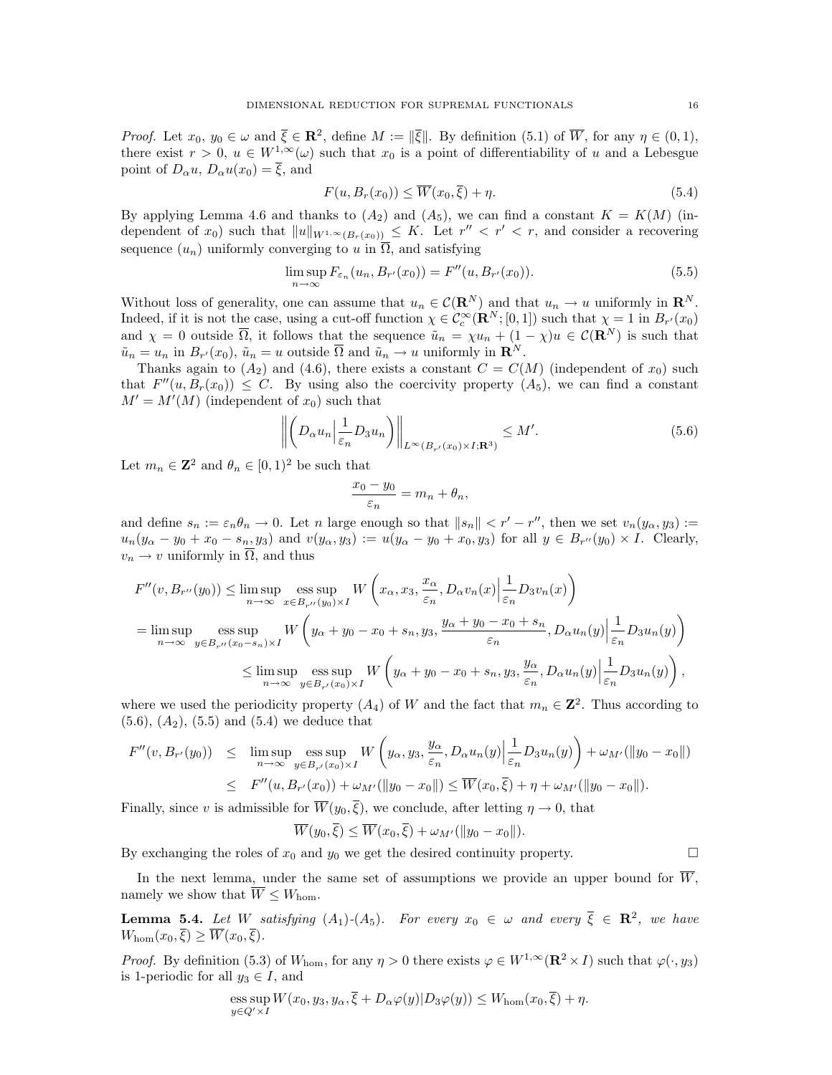*Proof.* Let  $x_0, y_0 \in \omega$  and  $\overline{\xi} \in \mathbb{R}^2$ , define  $M := \|\overline{\xi}\|$ . By definition (5.1) of  $\overline{W}$ , for any  $\eta \in (0,1)$ , there exist  $r > 0$ ,  $u \in W^{1,\infty}(\omega)$  such that  $x_0$  is a point of differentiability of u and a Lebesgue point of  $D_{\alpha}u$ ,  $D_{\alpha}u(x_0) = \overline{\xi}$ , and

$$
F(u, B_r(x_0)) \le \overline{W}(x_0, \overline{\xi}) + \eta. \tag{5.4}
$$

By applying Lemma 4.6 and thanks to  $(A_2)$  and  $(A_5)$ , we can find a constant  $K = K(M)$  (independent of  $x_0$ ) such that  $||u||_{W^{1,\infty}(B_r(x_0))} \leq K$ . Let  $r'' < r' < r$ , and consider a recovering sequence  $(u_n)$  uniformly converging to u in  $\overline{\Omega}$ , and satisfying

$$
\limsup_{n \to \infty} F_{\varepsilon_n}(u_n, B_{r'}(x_0)) = F''(u, B_{r'}(x_0)).
$$
\n(5.5)

Without loss of generality, one can assume that  $u_n \in \mathcal{C}(\mathbf{R}^N)$  and that  $u_n \to u$  uniformly in  $\mathbf{R}^N$ . Indeed, if it is not the case, using a cut-off function  $\chi \in C_c^{\infty}(\mathbf{R}^N;[0,1])$  such that  $\chi=1$  in  $B_{r'}(x_0)$ and  $\chi = 0$  outside  $\overline{\Omega}$ , it follows that the sequence  $\tilde{u}_n = \chi u_n + (1 - \chi)u \in \mathcal{C}(\mathbf{R}^N)$  is such that  $\tilde{u}_n = u_n$  in  $B_{r'}(x_0)$ ,  $\tilde{u}_n = u$  outside  $\overline{\Omega}$  and  $\tilde{u}_n \to u$  uniformly in  $\mathbb{R}^N$ .

Thanks again to  $(A_2)$  and  $(4.6)$ , there exists a constant  $C = C(M)$  (independent of  $x_0$ ) such that  $F''(u, B_r(x_0)) \leq C$ . By using also the coercivity property  $(A_5)$ , we can find a constant  $M' = M'(M)$  (independent of  $x_0$ ) such that

$$
\left\| \left( D_{\alpha} u_n \middle| \frac{1}{\varepsilon_n} D_3 u_n \right) \right\|_{L^\infty(B_{r'}(x_0) \times I; \mathbf{R}^3)} \le M'. \tag{5.6}
$$

Let  $m_n \in \mathbb{Z}^2$  and  $\theta_n \in [0,1)^2$  be such that

$$
\frac{x_0 - y_0}{\varepsilon_n} = m_n + \theta_n,
$$

and define  $s_n := \varepsilon_n \theta_n \to 0$ . Let n large enough so that  $||s_n|| < r' - r''$ , then we set  $v_n(y_\alpha, y_3) :=$  $u_n(y_\alpha - y_0 + x_0 - s_n, y_3)$  and  $v(y_\alpha, y_3) := u(y_\alpha - y_0 + x_0, y_3)$  for all  $y \in B_{r''}(y_0) \times I$ . Clearly,  $v_n \to v$  uniformly in  $\overline{\Omega}$ , and thus

$$
F''(v, B_{r''}(y_0)) \le \limsup_{n \to \infty} \operatorname*{ess\,sup}_{x \in B_{r''}(y_0) \times I} W\left(x_\alpha, x_3, \frac{x_\alpha}{\varepsilon_n}, D_\alpha v_n(x) \Big| \frac{1}{\varepsilon_n} D_3 v_n(x)\right)
$$
  
= 
$$
\limsup_{n \to \infty} \operatorname*{ess\,sup}_{y \in B_{r''}(x_0 - s_n) \times I} W\left(y_\alpha + y_0 - x_0 + s_n, y_3, \frac{y_\alpha + y_0 - x_0 + s_n}{\varepsilon_n}, D_\alpha u_n(y) \Big| \frac{1}{\varepsilon_n} D_3 u_n(y)\right)
$$
  

$$
\le \limsup_{n \to \infty} \operatorname*{ess\,sup}_{y \in B_{r'}(x_0) \times I} W\left(y_\alpha + y_0 - x_0 + s_n, y_3, \frac{y_\alpha}{\varepsilon_n}, D_\alpha u_n(y) \Big| \frac{1}{\varepsilon_n} D_3 u_n(y)\right),
$$

where we used the periodicity property  $(A_4)$  of W and the fact that  $m_n \in \mathbb{Z}^2$ . Thus according to  $(5.6), (A_2), (5.5)$  and  $(5.4)$  we deduce that

$$
F''(v, B_{r'}(y_0)) \leq \limsup_{n \to \infty} \operatorname*{ess\,sup}_{y \in B_{r'}(x_0) \times I} W\left(y_\alpha, y_3, \frac{y_\alpha}{\varepsilon_n}, D_\alpha u_n(y) \Big| \frac{1}{\varepsilon_n} D_3 u_n(y)\right) + \omega_{M'}(\|y_0 - x_0\|)
$$
  

$$
\leq F''(u, B_{r'}(x_0)) + \omega_{M'}(\|y_0 - x_0\|) \leq \overline{W}(x_0, \overline{\xi}) + \eta + \omega_{M'}(\|y_0 - x_0\|).
$$

Finally, since v is admissible for  $\overline{W}(y_0, \overline{\xi})$ , we conclude, after letting  $\eta \to 0$ , that

$$
\overline{W}(y_0,\overline{\xi}) \le \overline{W}(x_0,\overline{\xi}) + \omega_{M'}(\|y_0 - x_0\|).
$$

By exchanging the roles of  $x_0$  and  $y_0$  we get the desired continuity property.

In the next lemma, under the same set of assumptions we provide an upper bound for  $\overline{W}$ , namely we show that  $\overline{W} \leq W_{\text{hom}}$ .

**Lemma 5.4.** Let W satisfying  $(A_1)$ - $(A_5)$ . For every  $x_0 \in \omega$  and every  $\overline{\xi} \in \mathbb{R}^2$ , we have  $W_{\text{hom}}(x_0,\overline{\xi}) \geq \overline{W}(x_0,\overline{\xi}).$ 

*Proof.* By definition (5.3) of  $W_{\text{hom}}$ , for any  $\eta > 0$  there exists  $\varphi \in W^{1,\infty}(\mathbf{R}^2 \times I)$  such that  $\varphi(\cdot, y_3)$ is 1-periodic for all  $y_3 \in I$ , and

ess sup 
$$
W(x_0, y_3, y_\alpha, \overline{\xi} + D_\alpha \varphi(y) | D_3 \varphi(y)) \leq W_{\text{hom}}(x_0, \overline{\xi}) + \eta
$$
.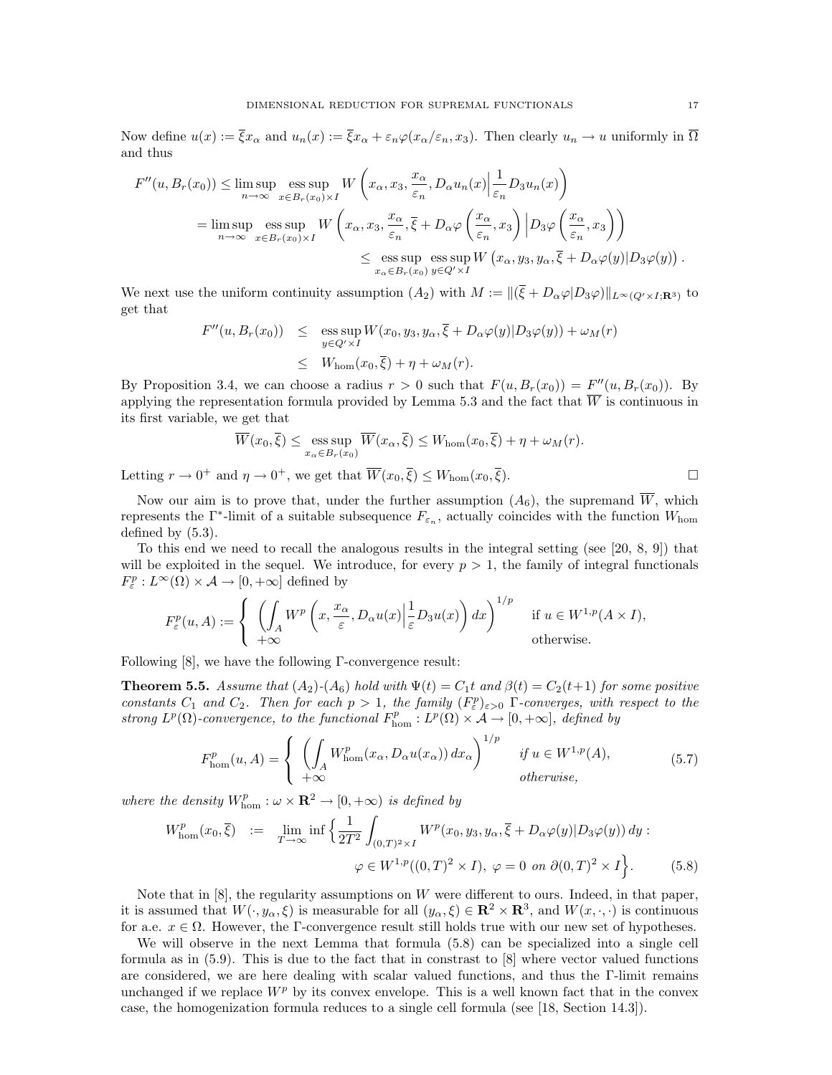Now define  $u(x) := \overline{\xi}x_{\alpha}$  and  $u_n(x) := \overline{\xi}x_{\alpha} + \varepsilon_n\varphi(x_{\alpha}/\varepsilon_n, x_3)$ . Then clearly  $u_n \to u$  uniformly in  $\overline{\Omega}$ and thus

$$
F''(u, B_r(x_0)) \le \limsup_{n \to \infty} \operatorname*{ess\,sup}_{x \in B_r(x_0) \times I} W\left(x_\alpha, x_3, \frac{x_\alpha}{\varepsilon_n}, D_\alpha u_n(x) \Big| \frac{1}{\varepsilon_n} D_3 u_n(x)\right)
$$
  
\n
$$
= \limsup_{n \to \infty} \operatorname*{ess\,sup}_{x \in B_r(x_0) \times I} W\left(x_\alpha, x_3, \frac{x_\alpha}{\varepsilon_n}, \overline{\xi} + D_\alpha \varphi\left(\frac{x_\alpha}{\varepsilon_n}, x_3\right) \Big| D_3 \varphi\left(\frac{x_\alpha}{\varepsilon_n}, x_3\right)\right)
$$
  
\n
$$
\le \operatorname*{ess\,sup}_{x_\alpha \in B_r(x_0)} \operatorname{ess\,sup}_{y \in Q' \times I} W\left(x_\alpha, y_3, y_\alpha, \overline{\xi} + D_\alpha \varphi(y) | D_3 \varphi(y)\right).
$$

We next use the uniform continuity assumption  $(A_2)$  with  $M := ||(\overline{\xi} + D_\alpha \varphi | D_3 \varphi)||_{L^\infty(Q' \times I; \mathbf{R}^3)}$  to get that

$$
F''(u, B_r(x_0)) \leq \operatorname{ess} \sup_{y \in Q' \times I} W(x_0, y_3, y_\alpha, \overline{\xi} + D_\alpha \varphi(y) | D_3 \varphi(y)) + \omega_M(r)
$$
  

$$
\leq W_{\text{hom}}(x_0, \overline{\xi}) + \eta + \omega_M(r).
$$

By Proposition 3.4, we can choose a radius  $r > 0$  such that  $F(u, B_r(x_0)) = F''(u, B_r(x_0))$ . By applying the representation formula provided by Lemma 5.3 and the fact that  $\overline{W}$  is continuous in its first variable, we get that

$$
\overline{W}(x_0, \overline{\xi}) \le \operatorname*{ess\,sup}_{x_\alpha \in B_r(x_0)} \overline{W}(x_\alpha, \overline{\xi}) \le W_{\text{hom}}(x_0, \overline{\xi}) + \eta + \omega_M(r).
$$

Letting  $r \to 0^+$  and  $\eta \to 0^+$ , we get that  $\overline{W}(x_0, \overline{\xi}) \leq W_{\text{hom}}(x_0, \overline{\xi})$ .

Now our aim is to prove that, under the further assumption  $(A_6)$ , the supremand  $\overline{W}$ , which represents the  $\Gamma^*$ -limit of a suitable subsequence  $F_{\varepsilon_n}$ , actually coincides with the function  $W_{\text{hom}}$ defined by (5.3).

To this end we need to recall the analogous results in the integral setting (see [20, 8, 9]) that will be exploited in the sequel. We introduce, for every  $p > 1$ , the family of integral functionals  $F_{\varepsilon}^p: L^{\infty}(\Omega) \times \mathcal{A} \to [0, +\infty]$  defined by

$$
F_{\varepsilon}^{p}(u, A) := \begin{cases} \left( \int_{A} W^{p}\left(x, \frac{x_{\alpha}}{\varepsilon}, D_{\alpha} u(x) \Big| \frac{1}{\varepsilon} D_{3} u(x)\right) dx \right)^{1/p} & \text{if } u \in W^{1, p}(A \times I), \\ +\infty & \text{otherwise.} \end{cases}
$$

Following [8], we have the following Γ-convergence result:

**Theorem 5.5.** Assume that  $(A_2)$ - $(A_6)$  hold with  $\Psi(t) = C_1 t$  and  $\beta(t) = C_2(t+1)$  for some positive constants  $C_1$  and  $C_2$ . Then for each  $p > 1$ , the family  $(F_{\varepsilon}^p)_{\varepsilon > 0}$   $\Gamma$ -converges, with respect to the strong  $L^p(\Omega)$ -convergence, to the functional  $F_{\text{hom}}^p: L^p(\Omega) \times \mathcal{A} \to [0, +\infty]$ , defined by

$$
F_{\text{hom}}^p(u, A) = \begin{cases} \left( \int_A W_{\text{hom}}^p(x_\alpha, D_\alpha u(x_\alpha)) dx_\alpha \right)^{1/p} & \text{if } u \in W^{1,p}(A), \\ +\infty & \text{otherwise,} \end{cases}
$$
(5.7)

where the density  $W_{\text{hom}}^p : \omega \times \mathbf{R}^2 \to [0, +\infty)$  is defined by

$$
W_{\text{hom}}^p(x_0, \overline{\xi}) \quad := \quad \lim_{T \to \infty} \inf \left\{ \frac{1}{2T^2} \int_{(0,T)^2 \times I} W^p(x_0, y_3, y_\alpha, \overline{\xi} + D_\alpha \varphi(y) | D_3 \varphi(y)) \, dy \, : \right. \\
\varphi \in W^{1,p}((0,T)^2 \times I), \, \varphi = 0 \, \text{ on } \partial(0,T)^2 \times I \right\}.
$$
\n
$$
(5.8)
$$

Note that in  $[8]$ , the regularity assumptions on W were different to ours. Indeed, in that paper, it is assumed that  $W(\cdot, y_\alpha, \xi)$  is measurable for all  $(y_\alpha, \xi) \in \mathbb{R}^2 \times \mathbb{R}^3$ , and  $W(x, \cdot, \cdot)$  is continuous for a.e.  $x \in \Omega$ . However, the Γ-convergence result still holds true with our new set of hypotheses.

We will observe in the next Lemma that formula (5.8) can be specialized into a single cell formula as in (5.9). This is due to the fact that in constrast to [8] where vector valued functions are considered, we are here dealing with scalar valued functions, and thus the Γ-limit remains unchanged if we replace  $W^p$  by its convex envelope. This is a well known fact that in the convex case, the homogenization formula reduces to a single cell formula (see [18, Section 14.3]).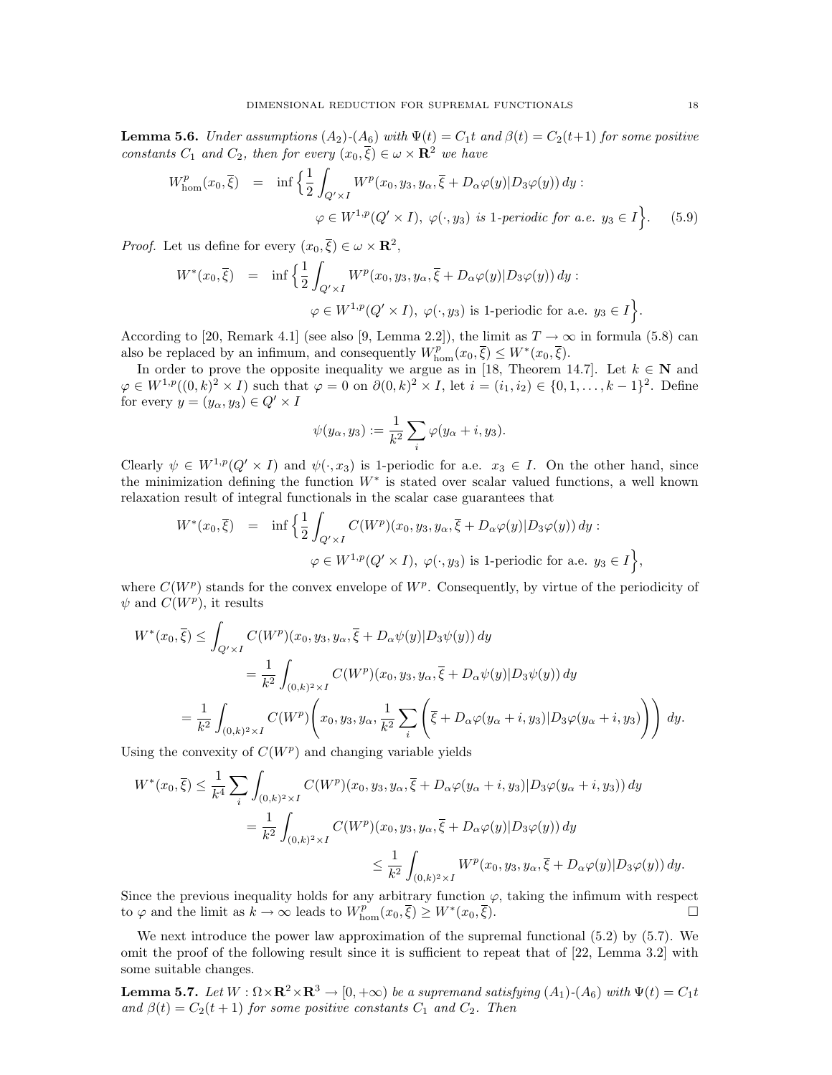**Lemma 5.6.** Under assumptions  $(A_2)$ - $(A_6)$  with  $\Psi(t) = C_1 t$  and  $\beta(t) = C_2(t+1)$  for some positive constants  $C_1$  and  $C_2$ , then for every  $(x_0, \overline{\xi}) \in \omega \times \mathbf{R}^2$  we have

$$
W_{\text{hom}}^p(x_0, \overline{\xi}) = \inf \left\{ \frac{1}{2} \int_{Q' \times I} W^p(x_0, y_3, y_\alpha, \overline{\xi} + D_\alpha \varphi(y) | D_3 \varphi(y)) dy : \varphi \in W^{1, p}(Q' \times I), \varphi(\cdot, y_3) \text{ is 1-periodic for a.e. } y_3 \in I \right\}.
$$
 (5.9)

*Proof.* Let us define for every  $(x_0, \overline{\xi}) \in \omega \times \mathbf{R}^2$ ,

$$
W^*(x_0, \overline{\xi}) = \inf \Big\{ \frac{1}{2} \int_{Q' \times I} W^p(x_0, y_3, y_\alpha, \overline{\xi} + D_\alpha \varphi(y) | D_3 \varphi(y)) dy :
$$
  

$$
\varphi \in W^{1, p}(Q' \times I), \ \varphi(\cdot, y_3) \text{ is 1-periodic for a.e. } y_3 \in I \Big\}.
$$

According to [20, Remark 4.1] (see also [9, Lemma 2.2]), the limit as  $T \to \infty$  in formula (5.8) can also be replaced by an infimum, and consequently  $W_{\text{hom}}^{p^{\sim}}(x_0,\overline{\xi}) \leq W^{*}(x_0,\overline{\xi}).$ 

In order to prove the opposite inequality we argue as in [18, Theorem 14.7]. Let  $k \in \mathbb{N}$  and  $\varphi \in W^{1,p}((0,k)^2 \times I)$  such that  $\varphi = 0$  on  $\partial (0,k)^2 \times I$ , let  $i = (i_1, i_2) \in \{0,1,\ldots,k-1\}^2$ . Define for every  $y = (y_\alpha, y_3) \in Q' \times I$ 

$$
\psi(y_{\alpha}, y_3) := \frac{1}{k^2} \sum_i \varphi(y_{\alpha} + i, y_3).
$$

Clearly  $\psi \in W^{1,p}(Q' \times I)$  and  $\psi(\cdot, x_3)$  is 1-periodic for a.e.  $x_3 \in I$ . On the other hand, since the minimization defining the function  $W^*$  is stated over scalar valued functions, a well known relaxation result of integral functionals in the scalar case guarantees that

$$
W^*(x_0, \overline{\xi}) = \inf \left\{ \frac{1}{2} \int_{Q' \times I} C(W^p)(x_0, y_3, y_\alpha, \overline{\xi} + D_\alpha \varphi(y) | D_3 \varphi(y)) dy : \right. \varphi \in W^{1,p}(Q' \times I), \varphi(\cdot, y_3) \text{ is 1-periodic for a.e. } y_3 \in I \right\},
$$

where  $C(W^p)$  stands for the convex envelope of  $W^p$ . Consequently, by virtue of the periodicity of  $\psi$  and  $C(W^p)$ , it results

$$
W^*(x_0, \overline{\xi}) \le \int_{Q' \times I} C(W^p)(x_0, y_3, y_\alpha, \overline{\xi} + D_\alpha \psi(y) | D_3 \psi(y)) dy
$$
  
\n
$$
= \frac{1}{k^2} \int_{(0,k)^2 \times I} C(W^p)(x_0, y_3, y_\alpha, \overline{\xi} + D_\alpha \psi(y) | D_3 \psi(y)) dy
$$
  
\n
$$
= \frac{1}{k^2} \int_{(0,k)^2 \times I} C(W^p) \left( x_0, y_3, y_\alpha, \frac{1}{k^2} \sum_i \left( \overline{\xi} + D_\alpha \varphi(y_\alpha + i, y_3) | D_3 \varphi(y_\alpha + i, y_3) \right) \right) dy.
$$

Using the convexity of  $C(W^p)$  and changing variable yields

$$
W^*(x_0, \overline{\xi}) \le \frac{1}{k^4} \sum_i \int_{(0,k)^2 \times I} C(W^p)(x_0, y_3, y_\alpha, \overline{\xi} + D_\alpha \varphi(y_\alpha + i, y_3) | D_3 \varphi(y_\alpha + i, y_3)) dy
$$
  

$$
= \frac{1}{k^2} \int_{(0,k)^2 \times I} C(W^p)(x_0, y_3, y_\alpha, \overline{\xi} + D_\alpha \varphi(y) | D_3 \varphi(y)) dy
$$
  

$$
\le \frac{1}{k^2} \int_{(0,k)^2 \times I} W^p(x_0, y_3, y_\alpha, \overline{\xi} + D_\alpha \varphi(y) | D_3 \varphi(y)) dy.
$$

Since the previous inequality holds for any arbitrary function  $\varphi$ , taking the infimum with respect to  $\varphi$  and the limit as  $k \to \infty$  leads to  $W_{\text{hom}}^p(x_0, \overline{\xi}) \ge W^*(x_0, \overline{\xi})$ .

We next introduce the power law approximation of the supremal functional (5.2) by (5.7). We omit the proof of the following result since it is sufficient to repeat that of [22, Lemma 3.2] with some suitable changes.

**Lemma 5.7.** Let  $W : \Omega \times \mathbb{R}^2 \times \mathbb{R}^3 \to [0, +\infty)$  be a supremand satisfying  $(A_1) \cdot (A_6)$  with  $\Psi(t) = C_1 t$ and  $\beta(t) = C_2(t+1)$  for some positive constants  $C_1$  and  $C_2$ . Then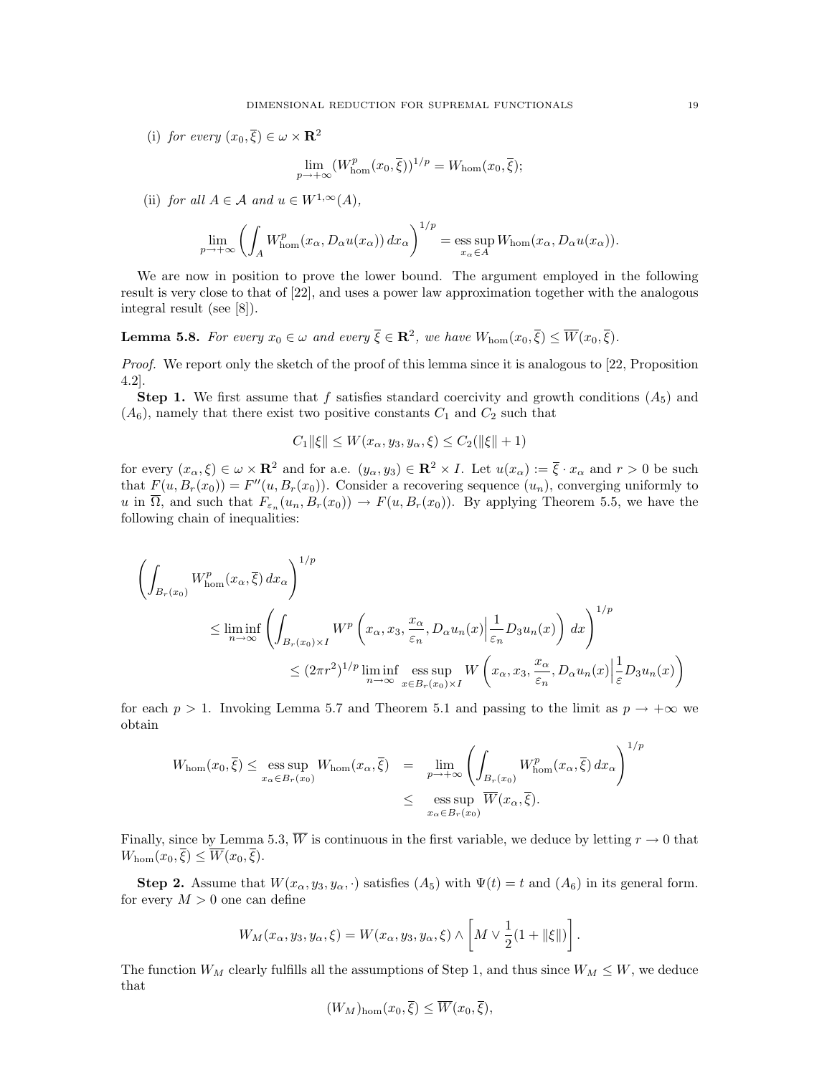(i) for every  $(x_0, \overline{\xi}) \in \omega \times \mathbf{R}^2$ 

$$
\lim_{p \to +\infty} (W_{\text{hom}}^p(x_0, \overline{\xi}))^{1/p} = W_{\text{hom}}(x_0, \overline{\xi});
$$

(ii) for all  $A \in \mathcal{A}$  and  $u \in W^{1,\infty}(A)$ ,

$$
\lim_{p \to +\infty} \left( \int_A W^p_{\text{hom}}(x_\alpha, D_\alpha u(x_\alpha)) dx_\alpha \right)^{1/p} = \operatorname*{ess\,sup}_{x_\alpha \in A} W_{\text{hom}}(x_\alpha, D_\alpha u(x_\alpha)).
$$

We are now in position to prove the lower bound. The argument employed in the following result is very close to that of [22], and uses a power law approximation together with the analogous integral result (see [8]).

**Lemma 5.8.** For every  $x_0 \in \omega$  and every  $\overline{\xi} \in \mathbb{R}^2$ , we have  $W_{\text{hom}}(x_0, \overline{\xi}) \leq \overline{W}(x_0, \overline{\xi})$ .

Proof. We report only the sketch of the proof of this lemma since it is analogous to [22, Proposition] 4.2].

**Step 1.** We first assume that f satisfies standard coercivity and growth conditions  $(A_5)$  and  $(A<sub>6</sub>)$ , namely that there exist two positive constants  $C<sub>1</sub>$  and  $C<sub>2</sub>$  such that

$$
C_1 \|\xi\| \le W(x_\alpha, y_3, y_\alpha, \xi) \le C_2(\|\xi\| + 1)
$$

for every  $(x_\alpha, \xi) \in \omega \times \mathbb{R}^2$  and for a.e.  $(y_\alpha, y_3) \in \mathbb{R}^2 \times I$ . Let  $u(x_\alpha) := \overline{\xi} \cdot x_\alpha$  and  $r > 0$  be such that  $F(u, B_r(x_0)) = F''(u, B_r(x_0))$ . Consider a recovering sequence  $(u_n)$ , converging uniformly to u in  $\Omega$ , and such that  $F_{\varepsilon_n}(u_n, B_r(x_0)) \to F(u, B_r(x_0))$ . By applying Theorem 5.5, we have the following chain of inequalities:

$$
\left(\int_{B_r(x_0)} W_{\text{hom}}^p(x_\alpha, \overline{\xi}) dx_\alpha\right)^{1/p}
$$
\n
$$
\leq \liminf_{n \to \infty} \left(\int_{B_r(x_0) \times I} W^p\left(x_\alpha, x_3, \frac{x_\alpha}{\varepsilon_n}, D_\alpha u_n(x) \Big| \frac{1}{\varepsilon_n} D_3 u_n(x)\right) dx\right)^{1/p}
$$
\n
$$
\leq (2\pi r^2)^{1/p} \liminf_{n \to \infty} \underset{x \in B_r(x_0) \times I}{\text{ess sup }} W\left(x_\alpha, x_3, \frac{x_\alpha}{\varepsilon_n}, D_\alpha u_n(x) \Big| \frac{1}{\varepsilon} D_3 u_n(x)\right)
$$

for each  $p > 1$ . Invoking Lemma 5.7 and Theorem 5.1 and passing to the limit as  $p \to +\infty$  we obtain

$$
W_{\text{hom}}(x_0, \overline{\xi}) \le \underset{x_{\alpha} \in B_r(x_0)}{\text{ess sup}} W_{\text{hom}}(x_{\alpha}, \overline{\xi}) = \underset{y \to +\infty}{\text{lim}} \left( \int_{B_r(x_0)} W_{\text{hom}}^p(x_{\alpha}, \overline{\xi}) dx_{\alpha} \right)^{1/p}
$$
  

$$
\le \underset{x_{\alpha} \in B_r(x_0)}{\text{ess sup}} \overline{W}(x_{\alpha}, \overline{\xi}).
$$

Finally, since by Lemma 5.3,  $\overline{W}$  is continuous in the first variable, we deduce by letting  $r \to 0$  that  $W_{\text{hom}}(x_0, \overline{\xi}) \leq \overline{W}(x_0, \overline{\xi}).$ 

Step 2. Assume that  $W(x_{\alpha}, y_3, y_{\alpha}, \cdot)$  satisfies  $(A_5)$  with  $\Psi(t) = t$  and  $(A_6)$  in its general form. for every  $M > 0$  one can define

$$
W_M(x_\alpha, y_3, y_\alpha, \xi) = W(x_\alpha, y_3, y_\alpha, \xi) \wedge \left[ M \vee \frac{1}{2} (1 + ||\xi||) \right]
$$

.

The function  $W_M$  clearly fulfills all the assumptions of Step 1, and thus since  $W_M \leq W$ , we deduce that

$$
(W_M)_{\text{hom}}(x_0,\overline{\xi}) \le \overline{W}(x_0,\overline{\xi}),
$$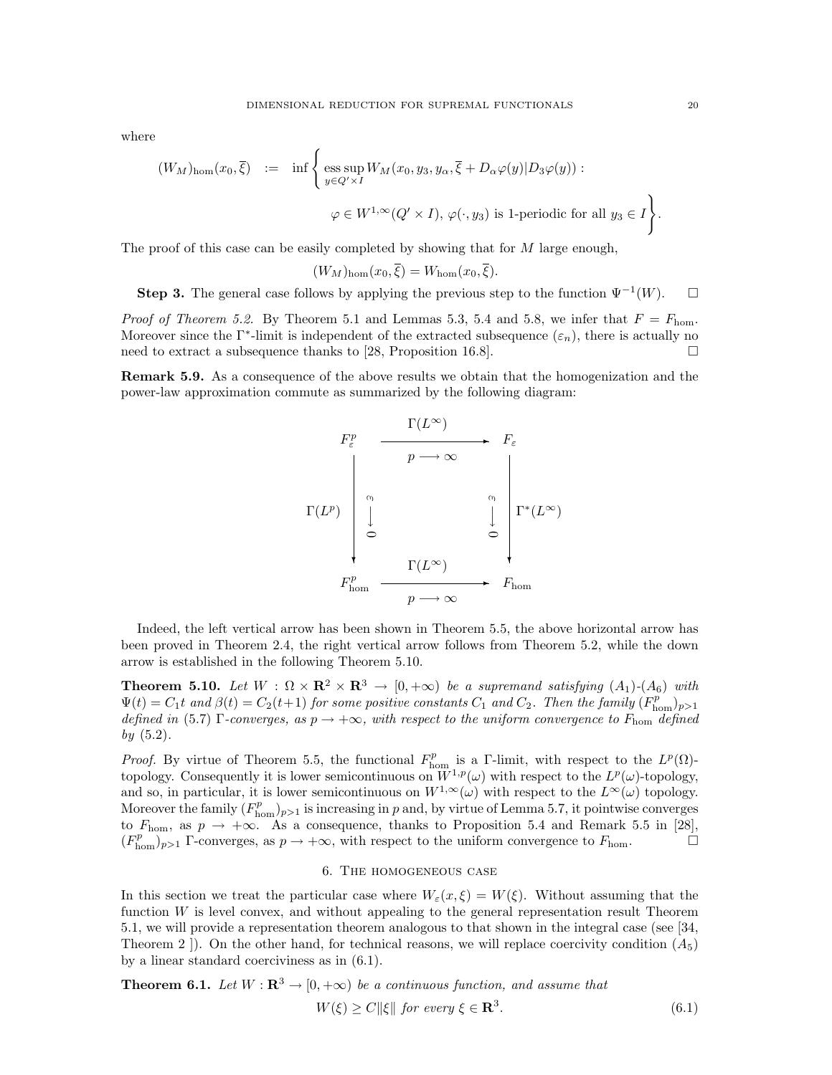where

$$
(W_M)_{\text{hom}}(x_0, \overline{\xi}) := \inf \left\{ \underset{y \in Q' \times I}{\text{ess sup }} W_M(x_0, y_3, y_\alpha, \overline{\xi} + D_\alpha \varphi(y) | D_3 \varphi(y)) : \right. \left. \varphi \in W^{1, \infty}(Q' \times I), \varphi(\cdot, y_3) \text{ is 1-periodic for all } y_3 \in I \right\}.
$$

The proof of this case can be easily completed by showing that for  $M$  large enough,

$$
(W_M)_{\text{hom}}(x_0,\overline{\xi})=W_{\text{hom}}(x_0,\overline{\xi}).
$$

Step 3. The general case follows by applying the previous step to the function  $\Psi^{-1}(W)$ .  $\Box$ 

*Proof of Theorem 5.2.* By Theorem 5.1 and Lemmas 5.3, 5.4 and 5.8, we infer that  $F = F_{\text{hom}}$ . Moreover since the  $\Gamma^*$ -limit is independent of the extracted subsequence  $(\varepsilon_n)$ , there is actually no need to extract a subsequence thanks to [28, Proposition 16.8].  $\Box$ 

Remark 5.9. As a consequence of the above results we obtain that the homogenization and the power-law approximation commute as summarized by the following diagram:



Indeed, the left vertical arrow has been shown in Theorem 5.5, the above horizontal arrow has been proved in Theorem 2.4, the right vertical arrow follows from Theorem 5.2, while the down arrow is established in the following Theorem 5.10.

**Theorem 5.10.** Let  $W : \Omega \times \mathbf{R}^2 \times \mathbf{R}^3 \to [0, +\infty)$  be a supremand satisfying  $(A_1)$ - $(A_6)$  with  $\Psi(t) = C_1 t$  and  $\beta(t) = C_2(t+1)$  for some positive constants  $C_1$  and  $C_2$ . Then the family  $(F_{\text{hom}}^p)_{p>1}$ defined in (5.7) Γ-converges, as  $p \to +\infty$ , with respect to the uniform convergence to  $F_{\text{hom}}$  defined by  $(5.2)$ .

*Proof.* By virtue of Theorem 5.5, the functional  $F_{\text{hom}}^p$  is a Γ-limit, with respect to the  $L^p(\Omega)$ topology. Consequently it is lower semicontinuous on  $W^{1,p}(\omega)$  with respect to the  $L^p(\omega)$ -topology, and so, in particular, it is lower semicontinuous on  $W^{1,\infty}(\omega)$  with respect to the  $L^{\infty}(\omega)$  topology. Moreover the family  $(F_{\text{hom}}^p)_{p>1}$  is increasing in p and, by virtue of Lemma 5.7, it pointwise converges to  $F_{\text{hom}}$ , as  $p \to +\infty$ . As a consequence, thanks to Proposition 5.4 and Remark 5.5 in [28],  $(F_{\text{hom}}^p)_{p>1}$  Γ-converges, as  $p \to +\infty$ , with respect to the uniform convergence to  $F_{\text{hom}}$ .

### 6. The homogeneous case

In this section we treat the particular case where  $W_{\varepsilon}(x,\xi)=W(\xi)$ . Without assuming that the function  $W$  is level convex, and without appealing to the general representation result Theorem 5.1, we will provide a representation theorem analogous to that shown in the integral case (see [34, Theorem 2  $\vert$ ). On the other hand, for technical reasons, we will replace coercivity condition  $(A_5)$ by a linear standard coerciviness as in (6.1).

**Theorem 6.1.** Let  $W : \mathbb{R}^3 \to [0, +\infty)$  be a continuous function, and assume that

$$
W(\xi) \ge C \|\xi\| \text{ for every } \xi \in \mathbf{R}^3. \tag{6.1}
$$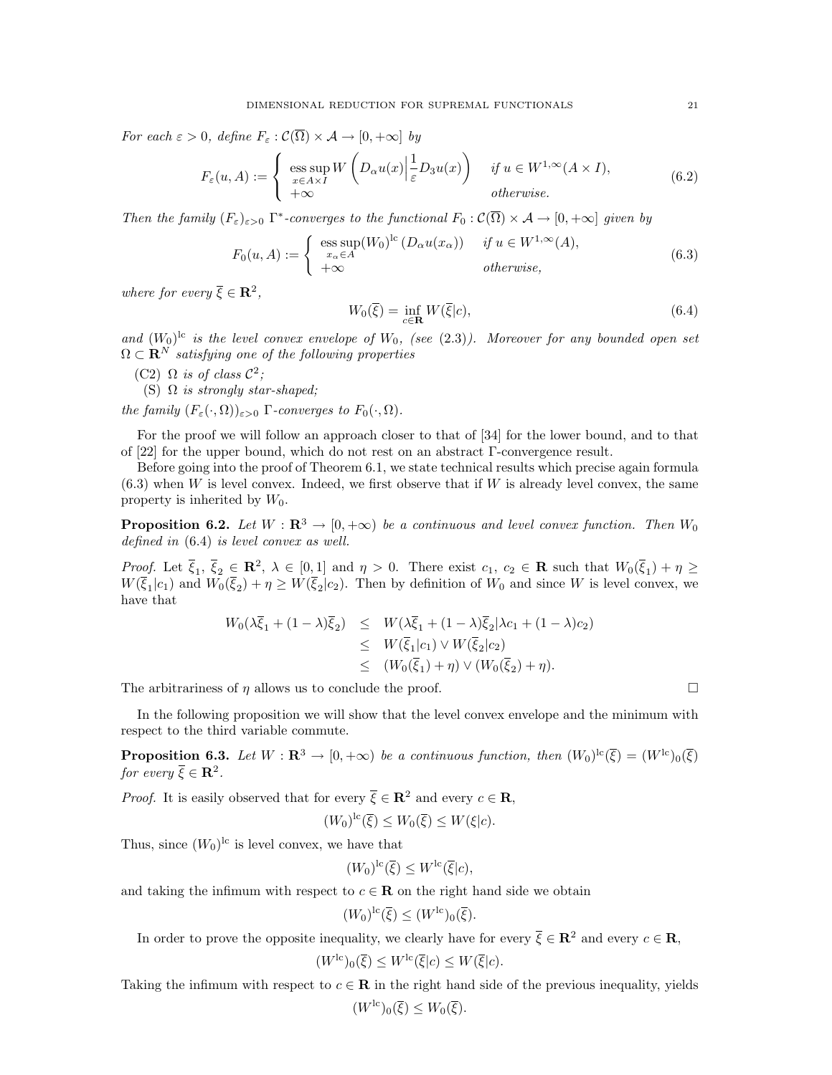For each  $\varepsilon > 0$ , define  $F_{\varepsilon} : \mathcal{C}(\overline{\Omega}) \times \mathcal{A} \to [0, +\infty]$  by

$$
F_{\varepsilon}(u, A) := \begin{cases} \operatorname{ess} \sup_{x \in A \times I} W\left(D_{\alpha} u(x) \Big| \frac{1}{\varepsilon} D_3 u(x)\right) & \text{if } u \in W^{1, \infty}(A \times I), \\ +\infty & \text{otherwise.} \end{cases}
$$
(6.2)

Then the family  $(F_{\varepsilon})_{\varepsilon>0}$   $\Gamma^*$ -converges to the functional  $F_0: \mathcal{C}(\overline{\Omega}) \times \mathcal{A} \to [0, +\infty]$  given by

$$
F_0(u, A) := \begin{cases} \operatorname{ess} \operatorname{sup}(W_0)^{lc} (D_\alpha u(x_\alpha)) & \text{if } u \in W^{1,\infty}(A), \\ +\infty & \text{otherwise,} \end{cases}
$$
(6.3)

where for every  $\overline{\xi} \in \mathbb{R}^2$ ,

$$
W_0(\overline{\xi}) = \inf_{c \in \mathbf{R}} W(\overline{\xi}|c),\tag{6.4}
$$

and  $(W_0)^{lc}$  is the level convex envelope of  $W_0$ , (see (2.3)). Moreover for any bounded open set  $\Omega \subset \mathbf{R}^N$  satisfying one of the following properties

- (C2)  $\Omega$  is of class  $\mathcal{C}^2$ ;
	- (S)  $\Omega$  is strongly star-shaped;

the family  $(F_{\varepsilon}(\cdot, \Omega))_{\varepsilon > 0}$  Γ-converges to  $F_0(\cdot, \Omega)$ .

For the proof we will follow an approach closer to that of [34] for the lower bound, and to that of [22] for the upper bound, which do not rest on an abstract Γ-convergence result.

Before going into the proof of Theorem 6.1, we state technical results which precise again formula  $(6.3)$  when W is level convex. Indeed, we first observe that if W is already level convex, the same property is inherited by  $W_0$ .

**Proposition 6.2.** Let  $W : \mathbb{R}^3 \to [0, +\infty)$  be a continuous and level convex function. Then  $W_0$ defined in (6.4) is level convex as well.

Proof. Let  $\overline{\xi}_1, \overline{\xi}_2 \in \mathbb{R}^2$ ,  $\lambda \in [0,1]$  and  $\eta > 0$ . There exist  $c_1, c_2 \in \mathbb{R}$  such that  $W_0(\overline{\xi}_1) + \eta \geq 0$  $W(\bar{\xi}_1|c_1)$  and  $W_0(\bar{\xi}_2)+\eta\geq W(\bar{\xi}_2|c_2)$ . Then by definition of  $W_0$  and since W is level convex, we have that

$$
W_0(\lambda \xi_1 + (1 - \lambda)\xi_2) \leq W(\lambda \xi_1 + (1 - \lambda)\xi_2 | \lambda c_1 + (1 - \lambda)c_2)
$$
  
\n
$$
\leq W(\overline{\xi}_1 | c_1) \vee W(\overline{\xi}_2 | c_2)
$$
  
\n
$$
\leq (W_0(\overline{\xi}_1) + \eta) \vee (W_0(\overline{\xi}_2) + \eta).
$$

The arbitrariness of  $\eta$  allows us to conclude the proof.

In the following proposition we will show that the level convex envelope and the minimum with respect to the third variable commute.

**Proposition 6.3.** Let  $W : \mathbf{R}^3 \to [0, +\infty)$  be a continuous function, then  $(W_0)^{lc}(\overline{\xi}) = (W^{lc})_0(\overline{\xi})$ for every  $\overline{\xi} \in \mathbb{R}^2$ .

*Proof.* It is easily observed that for every  $\bar{\xi} \in \mathbb{R}^2$  and every  $c \in \mathbb{R}$ ,

$$
(W_0)^{lc}(\overline{\xi}) \le W_0(\overline{\xi}) \le W(\xi|c).
$$

Thus, since  $(W_0)^{lc}$  is level convex, we have that

$$
(W_0)^{lc}(\overline{\xi}) \leq W^{lc}(\overline{\xi}|c),
$$

and taking the infimum with respect to  $c \in \mathbf{R}$  on the right hand side we obtain

$$
(W_0)^{lc}(\overline{\xi}) \leq (W^{lc})_0(\overline{\xi}).
$$

In order to prove the opposite inequality, we clearly have for every  $\bar{\xi} \in \mathbb{R}^2$  and every  $c \in \mathbb{R}$ ,

$$
(W^{\text{lc}})_0(\overline{\xi}) \leq W^{\text{lc}}(\overline{\xi}|c) \leq W(\overline{\xi}|c).
$$

Taking the infimum with respect to  $c \in \mathbf{R}$  in the right hand side of the previous inequality, yields

$$
(W^{\text{lc}})_0(\overline{\xi}) \leq W_0(\overline{\xi}).
$$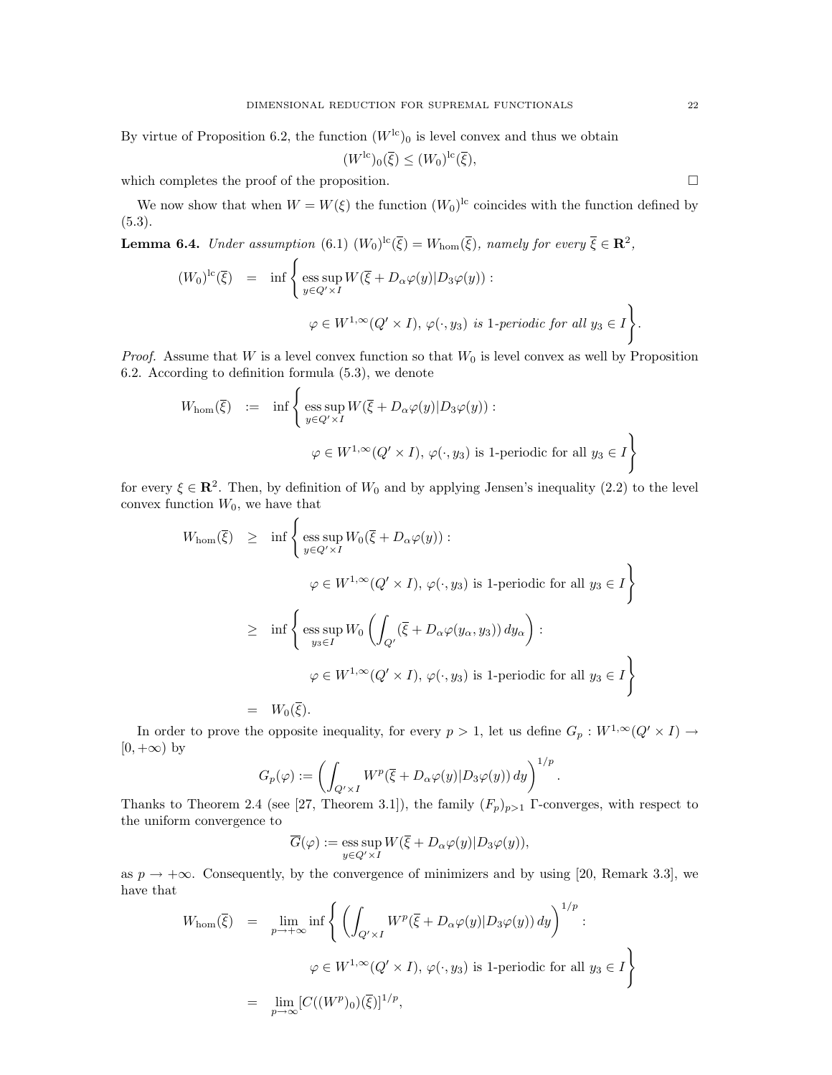By virtue of Proposition 6.2, the function  $(W^{\text{lc}})_0$  is level convex and thus we obtain

$$
(W^{\mathrm{lc}})_0(\overline{\xi}) \le (W_0)^{\mathrm{lc}}(\overline{\xi}),
$$

which completes the proof of the proposition.  $\Box$ 

We now show that when  $W = W(\xi)$  the function  $(W_0)^{lc}$  coincides with the function defined by  $(5.3).$ 

**Lemma 6.4.** Under assumption (6.1)  $(W_0)^{lc}(\overline{\xi}) = W_{hom}(\overline{\xi})$ , namely for every  $\overline{\xi} \in \mathbb{R}^2$ ,

$$
(W_0)^{lc}(\overline{\xi}) = \inf \left\{ \underset{y \in Q' \times I}{\text{ess sup }} W(\overline{\xi} + D_\alpha \varphi(y) | D_3 \varphi(y)) : \right. \varphi \in W^{1, \infty}(Q' \times I), \varphi(\cdot, y_3) \text{ is 1-periodic for all } y_3 \in I \right\}.
$$

*Proof.* Assume that W is a level convex function so that  $W_0$  is level convex as well by Proposition 6.2. According to definition formula (5.3), we denote

$$
W_{\text{hom}}(\overline{\xi}) \quad := \quad \inf \left\{ \underset{y \in Q' \times I}{\text{ess sup }} W(\overline{\xi} + D_{\alpha} \varphi(y) | D_3 \varphi(y)) : \\ \varphi \in W^{1, \infty}(Q' \times I), \, \varphi(\cdot, y_3) \text{ is 1-periodic for all } y_3 \in I \right\}
$$

for every  $\xi \in \mathbb{R}^2$ . Then, by definition of  $W_0$  and by applying Jensen's inequality (2.2) to the level convex function  $W_0$ , we have that

$$
W_{\text{hom}}(\overline{\xi}) \ge \inf \left\{ \underset{y \in Q' \times I}{\text{ess sup }} W_0(\overline{\xi} + D_\alpha \varphi(y)) : \right.
$$
  

$$
\varphi \in W^{1, \infty}(Q' \times I), \varphi(\cdot, y_3) \text{ is 1-periodic for all } y_3 \in I \right\}
$$
  

$$
\ge \inf \left\{ \underset{y_3 \in I}{\text{ess sup }} W_0 \left( \int_{Q'} (\overline{\xi} + D_\alpha \varphi(y_\alpha, y_3)) dy_\alpha \right) : \right.
$$
  

$$
\varphi \in W^{1, \infty}(Q' \times I), \varphi(\cdot, y_3) \text{ is 1-periodic for all } y_3 \in I \right\}
$$
  

$$
= W_0(\overline{\xi}).
$$

In order to prove the opposite inequality, for every  $p > 1$ , let us define  $G_p : W^{1,\infty}(Q' \times I) \to$  $[0, +\infty)$  by

$$
G_p(\varphi) := \left( \int_{Q' \times I} W^p(\overline{\xi} + D_\alpha \varphi(y) | D_3 \varphi(y)) dy \right)^{1/p}.
$$

Thanks to Theorem 2.4 (see [27, Theorem 3.1]), the family  $(F_p)_{p>1}$  Γ-converges, with respect to the uniform convergence to

$$
\overline{G}(\varphi):=\mathop{\rm ess\,sup}\limits_{y\in Q'\times I}W(\overline{\xi}+D_{\alpha}\varphi(y)|D_3\varphi(y)),
$$

as  $p \to +\infty$ . Consequently, by the convergence of minimizers and by using [20, Remark 3.3], we have that

$$
W_{\text{hom}}(\overline{\xi}) = \lim_{p \to +\infty} \inf \left\{ \left( \int_{Q' \times I} W^p(\overline{\xi} + D_\alpha \varphi(y) | D_3 \varphi(y)) dy \right)^{1/p} : \right. \left. \varphi \in W^{1, \infty}(Q' \times I), \varphi(\cdot, y_3) \text{ is 1-periodic for all } y_3 \in I \right\}
$$
  
= 
$$
\lim_{p \to \infty} [C((W^p)_0)(\overline{\xi})]^{1/p},
$$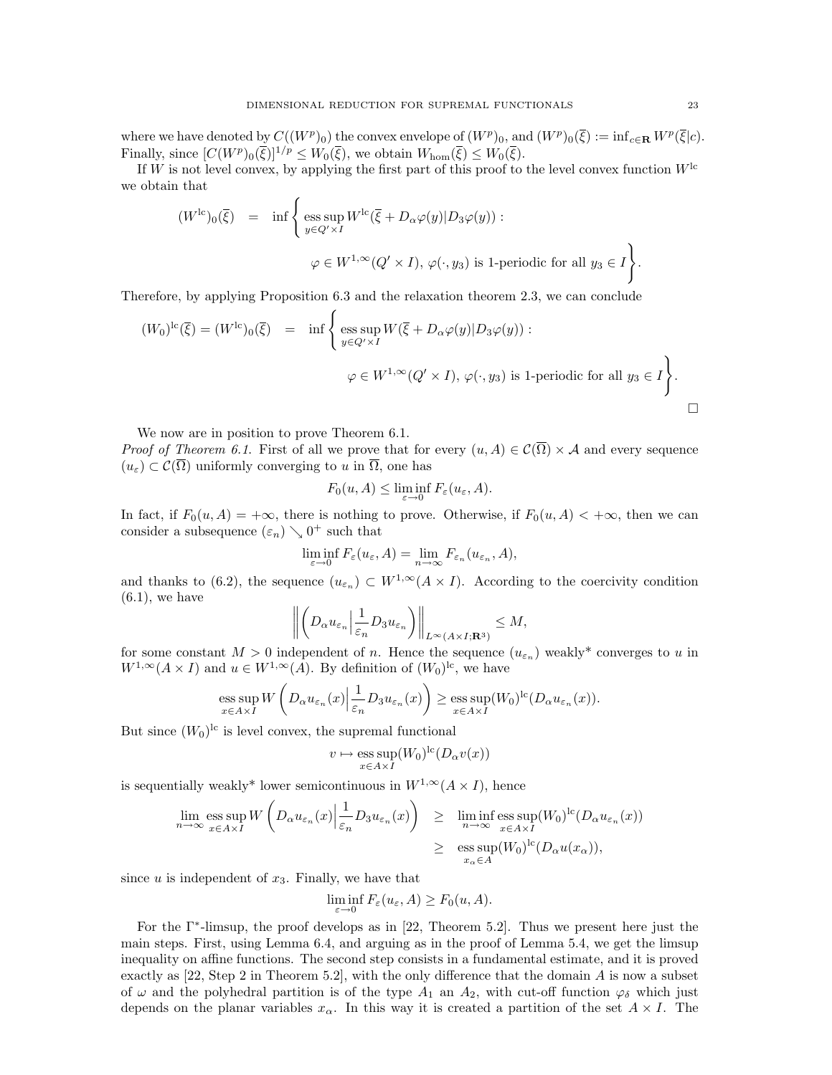where we have denoted by  $C((W^p)_0)$  the convex envelope of  $(W^p)_0$ , and  $(W^p)_0(\overline{\xi}) := \inf_{c \in \mathbf{R}} W^p(\overline{\xi}|c)$ . Finally, since  $[C(W^p)_0(\overline{\xi})]^{1/p} \leq W_0(\overline{\xi})$ , we obtain  $W_{\text{hom}}(\overline{\xi}) \leq W_0(\overline{\xi})$ .

If W is not level convex, by applying the first part of this proof to the level convex function  $W^{\text{lc}}$ we obtain that

$$
(W^{\text{lc}})_0(\overline{\xi}) = \inf \left\{ \underset{y \in Q' \times I}{\text{ess sup }} W^{\text{lc}}(\overline{\xi} + D_\alpha \varphi(y) | D_3 \varphi(y)) : \varphi \in W^{1, \infty}(Q' \times I), \varphi(\cdot, y_3) \text{ is 1-periodic for all } y_3 \in I \right\}.
$$

Therefore, by applying Proposition 6.3 and the relaxation theorem 2.3, we can conclude

$$
(W_0)^{lc}(\overline{\xi}) = (W^{lc})_0(\overline{\xi}) = \inf \left\{ \underset{y \in Q' \times I}{\text{ess sup }} W(\overline{\xi} + D_\alpha \varphi(y) | D_3 \varphi(y)) : \right. \varphi \in W^{1, \infty}(Q' \times I), \, \varphi(\cdot, y_3) \text{ is 1-periodic for all } y_3 \in I \right\}.
$$

We now are in position to prove Theorem 6.1.

*Proof of Theorem 6.1.* First of all we prove that for every  $(u, A) \in C(\overline{\Omega}) \times A$  and every sequence  $(u_{\varepsilon}) \subset \mathcal{C}(\overline{\Omega})$  uniformly converging to u in  $\overline{\Omega}$ , one has

$$
F_0(u, A) \le \liminf_{\varepsilon \to 0} F_{\varepsilon}(u_{\varepsilon}, A).
$$

In fact, if  $F_0(u, A) = +\infty$ , there is nothing to prove. Otherwise, if  $F_0(u, A) < +\infty$ , then we can consider a subsequence  $(\varepsilon_n) \searrow 0^+$  such that

$$
\liminf_{\varepsilon \to 0} F_{\varepsilon}(u_{\varepsilon}, A) = \lim_{n \to \infty} F_{\varepsilon_n}(u_{\varepsilon_n}, A),
$$

and thanks to (6.2), the sequence  $(u_{\varepsilon_n}) \subset W^{1,\infty}(A \times I)$ . According to the coercivity condition  $(6.1)$ , we have

$$
\left\| \left(D_{\alpha} u_{\varepsilon_n} \Big| \frac{1}{\varepsilon_n} D_3 u_{\varepsilon_n}\right) \right\|_{L^{\infty}(A \times I; \mathbf{R}^3)} \le M,
$$

for some constant  $M > 0$  independent of n. Hence the sequence  $(u_{\varepsilon_n})$  weakly\* converges to u in  $W^{1,\infty}(A \times I)$  and  $u \in W^{1,\infty}(A)$ . By definition of  $(W_0)^{lc}$ , we have

ess sup 
$$
W\left(D_{\alpha}u_{\varepsilon_n}(x)\Big|\frac{1}{\varepsilon_n}D_3u_{\varepsilon_n}(x)\right) \ge \underset{x\in A\times I}{\text{ess sup}}(W_0)^{\text{lc}}(D_{\alpha}u_{\varepsilon_n}(x)).
$$

But since  $(W_0)^{lc}$  is level convex, the supremal functional

$$
v \mapsto \underset{x \in A \times I}{\text{ess sup}} (W_0)^{\text{lc}} (D_\alpha v(x))
$$

is sequentially weakly\* lower semicontinuous in  $W^{1,\infty}(A \times I)$ , hence

$$
\lim_{n \to \infty} \operatorname*{ess\,sup}_{x \in A \times I} W\left(D_{\alpha} u_{\varepsilon_n}(x) \Big| \frac{1}{\varepsilon_n} D_3 u_{\varepsilon_n}(x)\right) \geq \liminf_{n \to \infty} \operatorname*{ess\,sup}_{x \in A \times I} (W_0)^{\text{lc}} (D_{\alpha} u_{\varepsilon_n}(x))
$$
\n
$$
\geq \operatorname*{ess\,sup}_{x_{\alpha} \in A} (W_0)^{\text{lc}} (D_{\alpha} u(x_{\alpha})),
$$

since  $u$  is independent of  $x_3$ . Finally, we have that

$$
\liminf_{\varepsilon \to 0} F_{\varepsilon}(u_{\varepsilon}, A) \ge F_0(u, A).
$$

For the Γ<sup>∗</sup> -limsup, the proof develops as in [22, Theorem 5.2]. Thus we present here just the main steps. First, using Lemma 6.4, and arguing as in the proof of Lemma 5.4, we get the limsup inequality on affine functions. The second step consists in a fundamental estimate, and it is proved exactly as [22, Step 2 in Theorem 5.2], with the only difference that the domain A is now a subset of  $\omega$  and the polyhedral partition is of the type  $A_1$  an  $A_2$ , with cut-off function  $\varphi_\delta$  which just depends on the planar variables  $x_{\alpha}$ . In this way it is created a partition of the set  $A \times I$ . The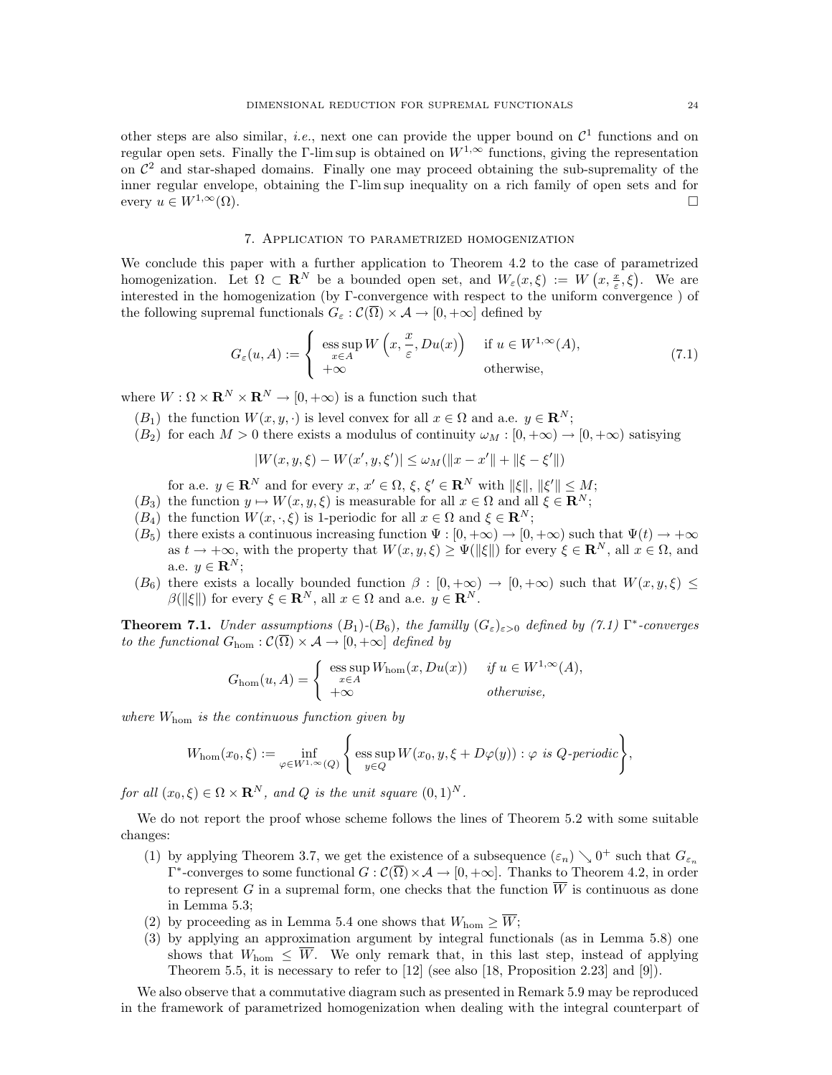other steps are also similar, *i.e.*, next one can provide the upper bound on  $\mathcal{C}^1$  functions and on regular open sets. Finally the Γ-lim sup is obtained on  $W^{1,\infty}$  functions, giving the representation on  $\mathcal{C}^2$  and star-shaped domains. Finally one may proceed obtaining the sub-supremality of the inner regular envelope, obtaining the Γ-lim sup inequality on a rich family of open sets and for every  $u \in W^{1,\infty}(\Omega)$ .

#### 7. Application to parametrized homogenization

We conclude this paper with a further application to Theorem 4.2 to the case of parametrized homogenization. Let  $\Omega \subset \mathbf{R}^N$  be a bounded open set, and  $W_{\varepsilon}(x,\xi) := W(x,\frac{x}{\varepsilon},\xi)$ . We are interested in the homogenization (by Γ-convergence with respect to the uniform convergence ) of the following supremal functionals  $G_{\varepsilon}: \mathcal{C}(\overline{\Omega}) \times \mathcal{A} \to [0, +\infty]$  defined by

$$
G_{\varepsilon}(u, A) := \begin{cases} \operatorname{ess} \sup_{x \in A} W\left(x, \frac{x}{\varepsilon}, Du(x)\right) & \text{if } u \in W^{1,\infty}(A), \\ +\infty & \text{otherwise}, \end{cases}
$$
(7.1)

where  $W : \Omega \times \mathbf{R}^N \times \mathbf{R}^N \to [0, +\infty)$  is a function such that

- $(B_1)$  the function  $W(x, y, \cdot)$  is level convex for all  $x \in \Omega$  and a.e.  $y \in \mathbb{R}^N$ ;
- $(B_2)$  for each  $M > 0$  there exists a modulus of continuity  $\omega_M : [0, +\infty) \to [0, +\infty)$  satisying

$$
|W(x,y,\xi) - W(x',y,\xi')| \leq \omega_M (\|x-x'\| + \|\xi - \xi'\|)
$$

for a.e.  $y \in \mathbf{R}^N$  and for every  $x, x' \in \Omega, \xi, \xi' \in \mathbf{R}^N$  with  $\|\xi\|, \|\xi'\| \le M$ ;

- $(B_3)$  the function  $y \mapsto W(x, y, \xi)$  is measurable for all  $x \in \Omega$  and all  $\xi \in \mathbb{R}^N$ ;
- $(B_4)$  the function  $W(x, \cdot, \xi)$  is 1-periodic for all  $x \in \Omega$  and  $\xi \in \mathbb{R}^N$ ;
- $(B_5)$  there exists a continuous increasing function  $\Psi : [0, +\infty) \to [0, +\infty)$  such that  $\Psi(t) \to +\infty$ as  $t \to +\infty$ , with the property that  $W(x, y, \xi) \geq \Psi(\|\xi\|)$  for every  $\xi \in \mathbb{R}^N$ , all  $x \in \Omega$ , and a.e.  $y \in \mathbf{R}^N$ ;
- $(B_6)$  there exists a locally bounded function  $\beta : [0, +\infty) \to [0, +\infty)$  such that  $W(x, y, \xi) \leq$  $\beta(\|\xi\|)$  for every  $\xi \in \mathbf{R}^N$ , all  $x \in \Omega$  and a.e.  $y \in \mathbf{R}^N$ .

**Theorem 7.1.** Under assumptions  $(B_1)$ - $(B_6)$ , the familly  $(G_{\varepsilon})_{\varepsilon>0}$  defined by (7.1)  $\Gamma^*$ -converges to the functional  $G_{\text{hom}}: \mathcal{C}(\overline{\Omega}) \times \mathcal{A} \to [0, +\infty]$  defined by

$$
G_{\text{hom}}(u, A) = \begin{cases} \operatorname{ess} \sup_{x \in A} W_{\text{hom}}(x, Du(x)) & \text{if } u \in W^{1, \infty}(A), \\ +\infty & \text{otherwise,} \end{cases}
$$

where  $W_{\text{hom}}$  is the continuous function given by

$$
W_{\text{hom}}(x_0,\xi) := \inf_{\varphi \in W^{1,\infty}(Q)} \left\{ \text{ess}\sup_{y \in Q} W(x_0,y,\xi + D\varphi(y)) : \varphi \text{ is } Q\text{-periodic} \right\},\,
$$

for all  $(x_0, \xi) \in \Omega \times \mathbf{R}^N$ , and Q is the unit square  $(0, 1)^N$ .

We do not report the proof whose scheme follows the lines of Theorem 5.2 with some suitable changes:

- (1) by applying Theorem 3.7, we get the existence of a subsequence  $(\varepsilon_n) \searrow 0^+$  such that  $G_{\varepsilon_n}$  $\Gamma^*$ -converges to some functional  $G: \mathcal{C}(\overline{\Omega}) \times \mathcal{A} \to [0, +\infty]$ . Thanks to Theorem 4.2, in order to represent G in a supremal form, one checks that the function  $\overline{W}$  is continuous as done in Lemma 5.3;
- (2) by proceeding as in Lemma 5.4 one shows that  $W_{\text{hom}} \geq \overline{W}$ ;
- (3) by applying an approximation argument by integral functionals (as in Lemma 5.8) one shows that  $W_{\text{hom}} \leq \overline{W}$ . We only remark that, in this last step, instead of applying Theorem 5.5, it is necessary to refer to [12] (see also [18, Proposition 2.23] and [9]).

We also observe that a commutative diagram such as presented in Remark 5.9 may be reproduced in the framework of parametrized homogenization when dealing with the integral counterpart of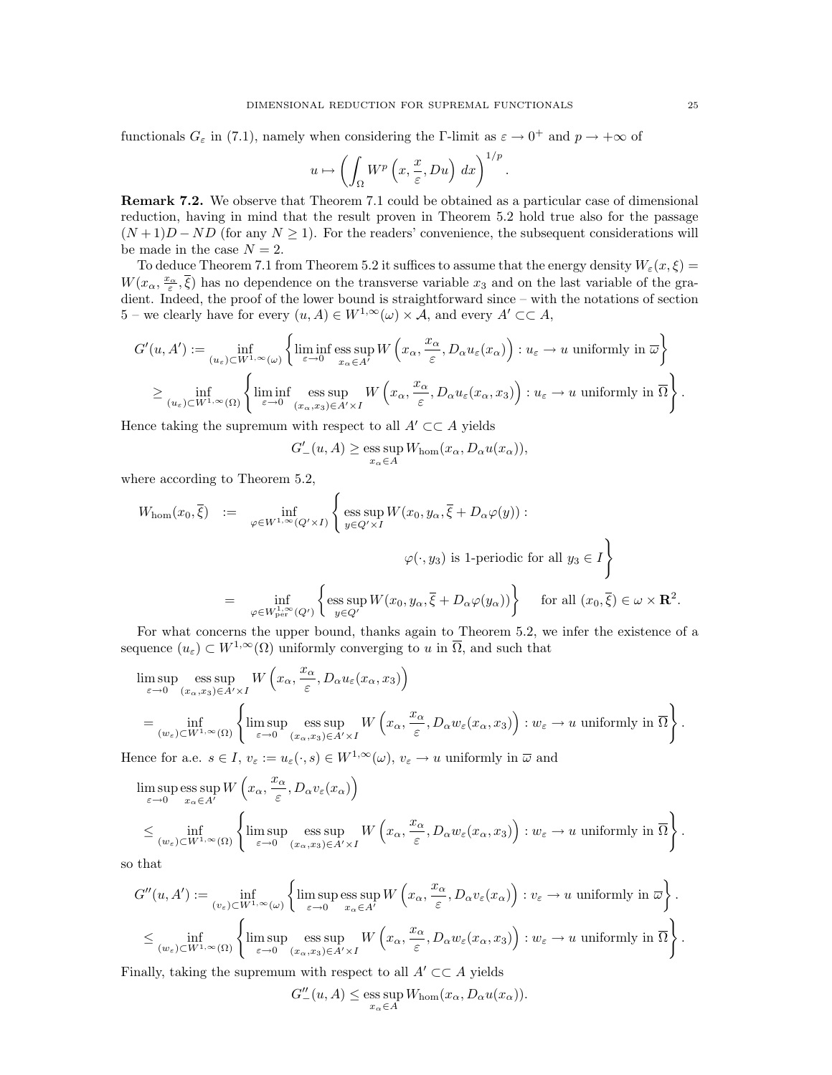functionals  $G_{\varepsilon}$  in (7.1), namely when considering the Γ-limit as  $\varepsilon \to 0^+$  and  $p \to +\infty$  of

$$
u \mapsto \left(\int_{\Omega} W^p\left(x, \frac{x}{\varepsilon}, Du\right) dx\right)^{1/p}
$$

.

Remark 7.2. We observe that Theorem 7.1 could be obtained as a particular case of dimensional reduction, having in mind that the result proven in Theorem 5.2 hold true also for the passage  $(N+1)D - ND$  (for any  $N \ge 1$ ). For the readers' convenience, the subsequent considerations will be made in the case  $N = 2$ .

To deduce Theorem 7.1 from Theorem 5.2 it suffices to assume that the energy density  $W_{\varepsilon}(x,\xi)$  =  $W(x_\alpha, \frac{x_\alpha}{\varepsilon}, \overline{\xi})$  has no dependence on the transverse variable  $x_3$  and on the last variable of the gradient. Indeed, the proof of the lower bound is straightforward since – with the notations of section 5 – we clearly have for every  $(u, A) \in W^{1,\infty}(\omega) \times \mathcal{A}$ , and every  $A' \subset \subset A$ ,

$$
G'(u, A') := \inf_{(u_{\varepsilon}) \subset W^{1,\infty}(\omega)} \left\{ \liminf_{\varepsilon \to 0} \operatorname*{ess\,sup}_{x_{\alpha} \in A'} W\left(x_{\alpha}, \frac{x_{\alpha}}{\varepsilon}, D_{\alpha} u_{\varepsilon}(x_{\alpha})\right) : u_{\varepsilon} \to u \text{ uniformly in } \overline{\omega} \right\}
$$

$$
\geq \inf_{(u_{\varepsilon}) \subset W^{1,\infty}(\Omega)} \left\{ \liminf_{\varepsilon \to 0} \operatorname*{ess\,sup}_{(x_{\alpha}, x_{3}) \in A' \times I} W\left(x_{\alpha}, \frac{x_{\alpha}}{\varepsilon}, D_{\alpha} u_{\varepsilon}(x_{\alpha}, x_{3})\right) : u_{\varepsilon} \to u \text{ uniformly in } \overline{\Omega} \right\}.
$$

Hence taking the supremum with respect to all  $A' \subset \subset A$  yields

$$
G'_{-}(u, A) \ge \underset{x_{\alpha} \in A}{\text{ess sup }} W_{\text{hom}}(x_{\alpha}, D_{\alpha}u(x_{\alpha})),
$$

where according to Theorem 5.2,

$$
W_{\text{hom}}(x_0, \overline{\xi}) := \inf_{\varphi \in W^{1, \infty}(Q' \times I)} \left\{ \operatorname{ess} \sup_{y \in Q' \times I} W(x_0, y_\alpha, \overline{\xi} + D_\alpha \varphi(y)) : \right.
$$
  
\n
$$
\varphi(\cdot, y_3) \text{ is 1-periodic for all } y_3 \in I \right\}
$$
  
\n
$$
= \inf_{\varphi \in W^{1, \infty}_{\text{per}}(Q')} \left\{ \operatorname{ess} \sup_{y \in Q'} W(x_0, y_\alpha, \overline{\xi} + D_\alpha \varphi(y_\alpha)) \right\} \quad \text{for all } (x_0, \overline{\xi}) \in \omega \times \mathbf{R}^2.
$$

For what concerns the upper bound, thanks again to Theorem 5.2, we infer the existence of a sequence  $(u_{\varepsilon}) \subset W^{1,\infty}(\Omega)$  uniformly converging to u in  $\overline{\Omega}$ , and such that

$$
\limsup_{\varepsilon \to 0} \underset{(w_{\varepsilon}) \subset W^{1,\infty}(\Omega)}{\text{ess sup }} W\left(x_{\alpha}, \frac{x_{\alpha}}{\varepsilon}, D_{\alpha} u_{\varepsilon}(x_{\alpha}, x_{3})\right)
$$
\n
$$
= \underset{(w_{\varepsilon}) \subset W^{1,\infty}(\Omega)}{\text{inf }} \left\{ \limsup_{\varepsilon \to 0} \underset{(x_{\alpha}, x_{3}) \in A' \times I}{\text{ess sup }} W\left(x_{\alpha}, \frac{x_{\alpha}}{\varepsilon}, D_{\alpha} w_{\varepsilon}(x_{\alpha}, x_{3})\right) : w_{\varepsilon} \to u \text{ uniformly in } \overline{\Omega} \right\}.
$$

Hence for a.e.  $s \in I$ ,  $v_{\varepsilon} := u_{\varepsilon}(\cdot, s) \in W^{1,\infty}(\omega)$ ,  $v_{\varepsilon} \to u$  uniformly in  $\overline{\omega}$  and

$$
\begin{split} &\limsup_{\varepsilon\to 0} \mathop{\mathrm{ess~sup}}_{x_\alpha\in A'} W\left(x_\alpha, \frac{x_\alpha}{\varepsilon}, D_\alpha v_\varepsilon(x_\alpha)\right)\\ &\leq \inf_{(w_\varepsilon)\subset W^{1,\infty}(\Omega)} \left\{\limsup_{\varepsilon\to 0} \mathop{\mathrm{ess~sup}}_{(x_\alpha, x_3)\in A'\times I} W\left(x_\alpha, \frac{x_\alpha}{\varepsilon}, D_\alpha w_\varepsilon(x_\alpha, x_3)\right) : w_\varepsilon\to u \text{ uniformly in } \overline{\Omega}\right\}. \end{split}
$$

so that

$$
G''(u, A') := \inf_{(v_{\varepsilon}) \subset W^{1, \infty}(\omega)} \left\{ \limsup_{\varepsilon \to 0} \operatorname*{ess\,sup}_{x_{\alpha} \in A'} W\left(x_{\alpha}, \frac{x_{\alpha}}{\varepsilon}, D_{\alpha}v_{\varepsilon}(x_{\alpha})\right) : v_{\varepsilon} \to u \text{ uniformly in } \overline{\omega} \right\}.
$$
  

$$
\leq \inf_{(w_{\varepsilon}) \subset W^{1, \infty}(\Omega)} \left\{ \limsup_{\varepsilon \to 0} \operatorname*{ess\,sup}_{(x_{\alpha}, x_{3}) \in A' \times I} W\left(x_{\alpha}, \frac{x_{\alpha}}{\varepsilon}, D_{\alpha}w_{\varepsilon}(x_{\alpha}, x_{3})\right) : w_{\varepsilon} \to u \text{ uniformly in } \overline{\Omega} \right\}.
$$

Finally, taking the supremum with respect to all  $A' \subset\subset A$  yields

$$
G''_{-}(u, A) \le \underset{x_{\alpha} \in A}{\text{ess sup }} W_{\text{hom}}(x_{\alpha}, D_{\alpha}u(x_{\alpha})).
$$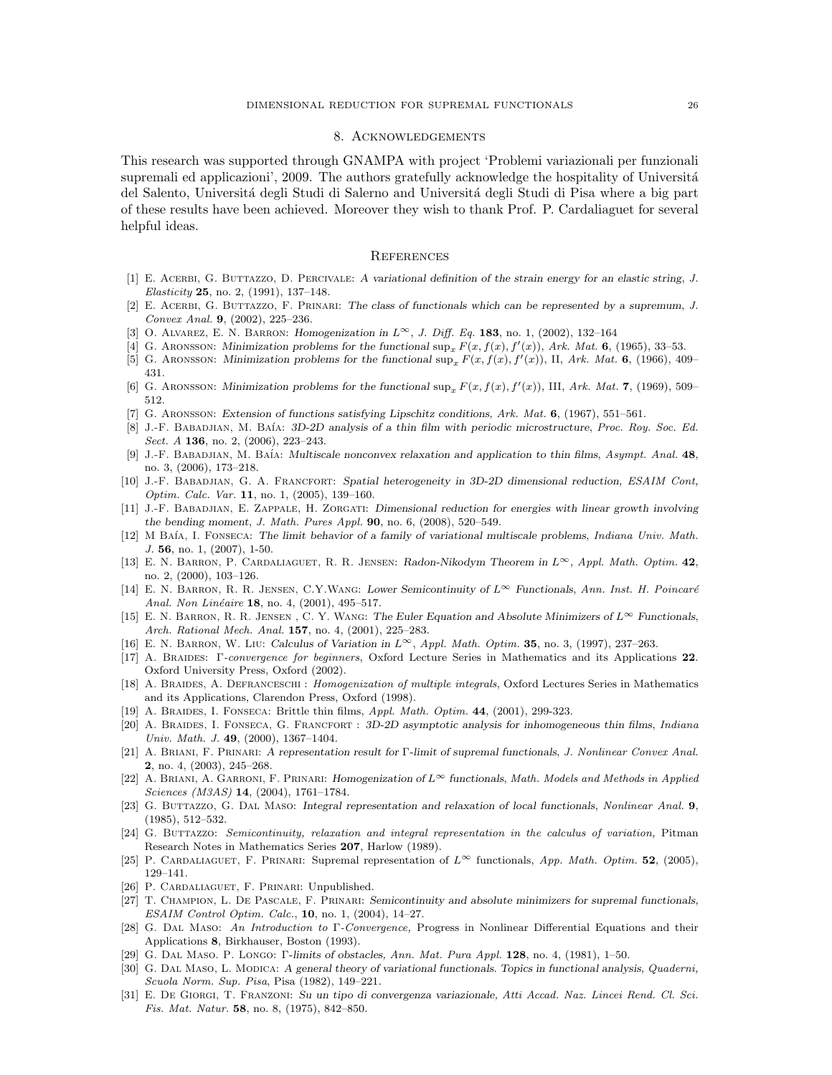## 8. Acknowledgements

This research was supported through GNAMPA with project 'Problemi variazionali per funzionali supremali ed applicazioni', 2009. The authors gratefully acknowledge the hospitality of Universitá del Salento, Università degli Studi di Salerno and Università degli Studi di Pisa where a big part of these results have been achieved. Moreover they wish to thank Prof. P. Cardaliaguet for several helpful ideas.

#### **REFERENCES**

- [1] E. Acerbi, G. Buttazzo, D. Percivale: A variational definition of the strain energy for an elastic string, J. Elasticity 25, no. 2, (1991), 137–148.
- [2] E. Acerbi, G. Buttazzo, F. Prinari: The class of functionals which can be represented by a supremum, J. Convex Anal. 9, (2002), 225–236.
- [3] O. ALVAREZ, E. N. BARRON: Homogenization in  $L^{\infty}$ , J. Diff. Eq. 183, no. 1, (2002), 132–164
- [4] G. ARONSSON: Minimization problems for the functional  $\sup_x F(x, f(x), f'(x))$ , Ark. Mat. 6, (1965), 33–53.
- [5] G. ARONSSON: Minimization problems for the functional  $\sup_x F(x, f(x), f'(x))$ , II, Ark. Mat. 6, (1966), 409– 431.
- [6] G. ARONSSON: Minimization problems for the functional  $\sup_x F(x, f(x), f'(x))$ , III, Ark. Mat. 7, (1969), 509– 512.
- [7] G. Aronsson: Extension of functions satisfying Lipschitz conditions, Ark. Mat. 6, (1967), 551–561.
- [8] J.-F. BABADJIAN, M. BAÍA: 3D-2D analysis of a thin film with periodic microstructure, Proc. Roy. Soc. Ed. Sect. A **136**, no. 2, (2006), 223-243.
- [9] J.-F. BABADJIAN, M. BAÍA: Multiscale nonconvex relaxation and application to thin films, Asympt. Anal. 48, no. 3, (2006), 173–218.
- [10] J.-F. Babadjian, G. A. Francfort: Spatial heterogeneity in 3D-2D dimensional reduction, ESAIM Cont, Optim. Calc. Var. 11, no. 1, (2005), 139–160.
- [11] J.-F. BABADJIAN, E. ZAPPALE, H. ZORGATI: Dimensional reduction for energies with linear growth involving the bending moment, J. Math. Pures Appl. 90, no. 6, (2008), 520–549.
- [12] M BAÍA, I. FONSECA: The limit behavior of a family of variational multiscale problems, Indiana Univ. Math. J. 56, no. 1, (2007), 1-50.
- [13] E. N. Barron, P. Cardaliaguet, R. R. Jensen: Radon-Nikodym Theorem in L∞, Appl. Math. Optim. 42, no. 2, (2000), 103–126.
- [14] E. N. BARRON, R. R. JENSEN, C.Y.WANG: Lower Semicontinuity of L∞ Functionals, Ann. Inst. H. Poincaré Anal. Non Linéaire 18, no. 4, (2001), 495-517.
- [15] E. N. BARRON, R. R. JENSEN, C. Y. WANG: The Euler Equation and Absolute Minimizers of  $L^{\infty}$  Functionals, Arch. Rational Mech. Anal. **157**, no. 4, (2001), 225-283.
- [16] E. N. BARRON, W. LIU: Calculus of Variation in  $L^{\infty}$ , Appl. Math. Optim. **35**, no. 3, (1997), 237–263.
- [17] A. Braides: Γ-convergence for beginners, Oxford Lecture Series in Mathematics and its Applications 22. Oxford University Press, Oxford (2002).
- [18] A. Braides, A. Defranceschi : Homogenization of multiple integrals, Oxford Lectures Series in Mathematics and its Applications, Clarendon Press, Oxford (1998).
- [19] A. Braides, I. Fonseca: Brittle thin films, Appl. Math. Optim. 44, (2001), 299-323.
- [20] A. Braides, I. Fonseca, G. Francfort : 3D-2D asymptotic analysis for inhomogeneous thin films, Indiana Univ. Math. J. 49, (2000), 1367–1404.
- [21] A. Briani, F. Prinari: A representation result for Γ-limit of supremal functionals, J. Nonlinear Convex Anal. 2, no. 4, (2003), 245–268.
- [22] A. Briani, A. Garroni, F. Prinari: Homogenization of L<sup>∞</sup> functionals, Math. Models and Methods in Applied Sciences (M3AS) 14, (2004), 1761–1784.
- [23] G. BUTTAZZO, G. DAL MASO: Integral representation and relaxation of local functionals, Nonlinear Anal. 9, (1985), 512–532.
- [24] G. BUTTAZZO: Semicontinuity, relaxation and integral representation in the calculus of variation, Pitman Research Notes in Mathematics Series 207, Harlow (1989).
- [25] P. CARDALIAGUET, F. PRINARI: Supremal representation of  $L^{\infty}$  functionals, App. Math. Optim. 52, (2005), 129–141.
- [26] P. CARDALIAGUET, F. PRINARI: Unpublished.
- [27] T. Champion, L. De Pascale, F. Prinari: Semicontinuity and absolute minimizers for supremal functionals, ESAIM Control Optim. Calc., 10, no. 1, (2004), 14–27.
- [28] G. Dal Maso: An Introduction to Γ-Convergence, Progress in Nonlinear Differential Equations and their Applications 8, Birkhauser, Boston (1993).
- [29] G. Dal Maso. P. Longo: Γ-limits of obstacles, Ann. Mat. Pura Appl. 128, no. 4, (1981), 1–50.
- [30] G. DAL MASO, L. MODICA: A general theory of variational functionals. Topics in functional analysis, Quaderni, Scuola Norm. Sup. Pisa, Pisa (1982), 149–221.
- [31] E. De Giorgi, T. Franzoni: Su un tipo di convergenza variazionale, Atti Accad. Naz. Lincei Rend. Cl. Sci. Fis. Mat. Natur. 58, no. 8, (1975), 842–850.